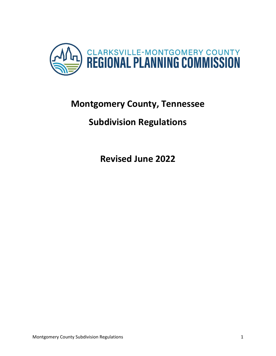

# **Montgomery County, Tennessee**

# **Subdivision Regulations**

**Revised June 2022**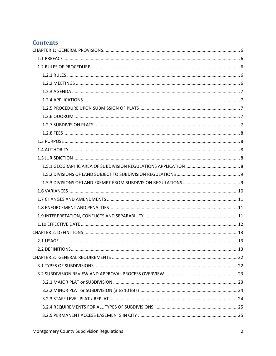# **Contents**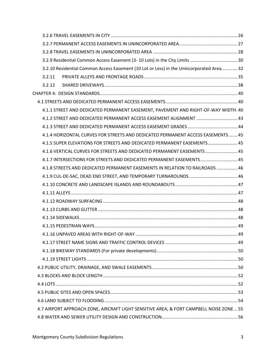| 3.2.10 Residential Common Access Easement (10 Lot or Less) in the Unincorporated Area 32 |  |
|------------------------------------------------------------------------------------------|--|
| 3.2.11                                                                                   |  |
| 3.2.12                                                                                   |  |
|                                                                                          |  |
|                                                                                          |  |
| 4.1.1 STREET AND DEDICATED PERMANENT EASEMENT, PAVEMENT AND RIGHT-OF-WAY WIDTH. 40       |  |
| 43.1.2 STREET AND DEDICATED PERMANENT ACCESS EASEMENT ALIGNMENT  43                      |  |
|                                                                                          |  |
| 4.1.4 HORIZONTAL CURVES FOR STREETS AND DEDICATED PERMANENT ACCESS EASEMENTS  45         |  |
| 4.1.5 SUPER ELEVATIONS FOR STREETS AND DEDICATED PERMANENT EASEMENTS 45                  |  |
| 4.1.6 VERTICAL CURVES FOR STREETS AND DEDICATED PERMANENT EASEMENTS  45                  |  |
| 4.1.7 INTERSECTIONS FOR STREETS AND DEDICATED PERMANENT EASEMENTS 45                     |  |
| 4.1.8 STREETS AND DEDICATED PERMANENT EASEMENTS IN RELATION TO RAILROADS  46             |  |
|                                                                                          |  |
|                                                                                          |  |
|                                                                                          |  |
|                                                                                          |  |
|                                                                                          |  |
|                                                                                          |  |
|                                                                                          |  |
|                                                                                          |  |
|                                                                                          |  |
|                                                                                          |  |
|                                                                                          |  |
|                                                                                          |  |
|                                                                                          |  |
|                                                                                          |  |
|                                                                                          |  |
|                                                                                          |  |
| 4.7 AIRPORT APPROACH ZONE, AIRCRAFT LIGHT SENSITIVE AREA, & FORT CAMPBELL NOISE ZONE55   |  |
|                                                                                          |  |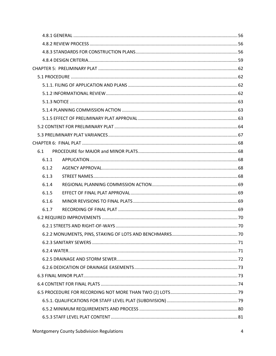| 6.1   |  |
|-------|--|
| 6.1.1 |  |
| 6.1.2 |  |
| 6.1.3 |  |
| 6.1.4 |  |
| 6.1.5 |  |
| 6.1.6 |  |
| 6.1.7 |  |
|       |  |
|       |  |
|       |  |
|       |  |
|       |  |
|       |  |
|       |  |
|       |  |
|       |  |
|       |  |
|       |  |
|       |  |
|       |  |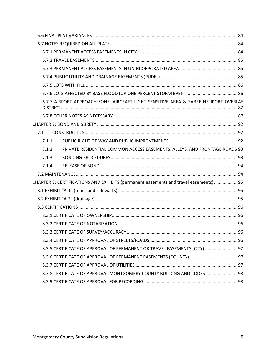|       | 6.7.7 AIRPORT APPROACH ZONE, AIRCRAFT LIGHT SENSITIVE AREA & SABRE HELIPORT OVERLAY  |  |
|-------|--------------------------------------------------------------------------------------|--|
|       |                                                                                      |  |
|       |                                                                                      |  |
| 7.1   |                                                                                      |  |
| 7.1.1 |                                                                                      |  |
| 7.1.2 | PRIVATE RESIDENTIAL COMMON ACCESS EASEMENTS, ALLEYS, AND FRONTAGE ROADS 93           |  |
| 7.1.3 |                                                                                      |  |
| 7.1.4 |                                                                                      |  |
|       |                                                                                      |  |
|       | CHAPTER 8: CERTIFICATIONS AND EXHIBITS (permanent easements and travel easements) 95 |  |
|       |                                                                                      |  |
|       |                                                                                      |  |
|       |                                                                                      |  |
|       |                                                                                      |  |
|       |                                                                                      |  |
|       |                                                                                      |  |
|       |                                                                                      |  |
|       | 8.3.5 CERTIFICATE OF APPROVAL OF PERMANENT OR TRAVEL EASEMENTS (CITY)  97            |  |
|       |                                                                                      |  |
|       |                                                                                      |  |
|       | 8.3.8 CERTIFICATE OF APPROVAL MONTGOMERY COUNTY BUILDING AND CODES 98                |  |
|       |                                                                                      |  |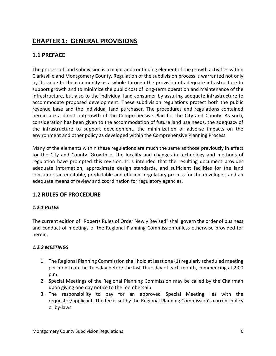# <span id="page-5-0"></span>**CHAPTER 1: GENERAL PROVISIONS**

# <span id="page-5-1"></span>**1.1 PREFACE**

The process of land subdivision is a major and continuing element of the growth activities within Clarksville and Montgomery County. Regulation of the subdivision process is warranted not only by its value to the community as a whole through the provision of adequate infrastructure to support growth and to minimize the public cost of long-term operation and maintenance of the infrastructure, but also to the individual land consumer by assuring adequate infrastructure to accommodate proposed development. These subdivision regulations protect both the public revenue base and the individual land purchaser*.* The procedures and regulations contained herein are a direct outgrowth of the Comprehensive Plan for the City and County. As such, consideration has been given to the accommodation of future land use needs, the adequacy of the infrastructure to support development, the minimization of adverse impacts on the environment and other policy as developed within the Comprehensive Planning Process.

Many of the elements within these regulations are much the same as those previously in effect for the City and County. Growth of the locality and changes in technology and methods of regulation have prompted this revision. It is intended that the resulting document provides adequate information, approximate design standards, and sufficient facilities for the land consumer; an equitable, predictable and efficient regulatory process for the developer; and an adequate means of review and coordination for regulatory agencies.

# <span id="page-5-2"></span>**1.2 RULES OF PROCEDURE**

# <span id="page-5-3"></span>*1.2.1 RULES*

The current edition of "Roberts Rules of Order Newly Revised" shall govern the order of business and conduct of meetings of the Regional Planning Commission unless otherwise provided for herein.

## <span id="page-5-4"></span>*1.2.2 MEETINGS*

- 1. The Regional Planning Commission shall hold at least one (1) regularly scheduled meeting per month on the Tuesday before the last Thursday of each month, commencing at 2:00 p.m.
- 2. Special Meetings of the Regional Planning Commission may be called by the Chairman upon giving one day notice to the membership.
- 3. The responsibility to pay for an approved Special Meeting lies with the requestor/applicant. The fee is set by the Regional Planning Commission's current policy or by-laws.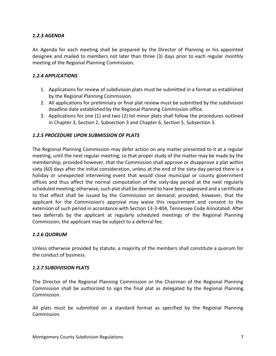#### <span id="page-6-0"></span>*1.2.3 AGENDA*

An Agenda for each meeting shall be prepared by the Director of Planning or his appointed designee and mailed to members not later than three (3) days prior to each regular monthly meeting of the Regional Planning Commission.

#### <span id="page-6-1"></span>*1.2.4 APPLICATIONS*

- 1. Applications for review of subdivision plats must be submitted in a format as established by the Regional Planning Commission.
- 2. All applications for preliminary or final plat review must be submitted by the subdivision deadline date established by the Regional Planning Commission office.
- 3. Applications for one (1) and two (2) lot minor plats shall follow the procedures outlined in Chapter 3, Section 2, Subsection 3 and Chapter 6, Section 5, Subsection 3.

#### <span id="page-6-2"></span>*1.2.5 PROCEDURE UPON SUBMISSION OF PLATS*

The Regional Planning Commission may defer action on any matter presented to it at a regular meeting, until the next regular meeting; so that proper study of the matter may be made by the membership; provided however, that the Commission shall approve or disapprove a plat within sixty (60) days after the initial consideration, unless at the end of the sixty-day period there is a holiday or unexpected intervening event that would close municipal or county government offices and thus affect the normal computation of the sixty-day period at the next regularly scheduled meeting; otherwise, such plat shall be deemed to have been approved and a certificate to that effect shall be issued by the Commission on demand; provided, however, that the applicant for the Commission's approval may waive this requirement and consent to the extension of such period in accordance with Section 13-3-404, Tennessee Code Annotated. After two deferrals by the applicant at regularly scheduled meetings of the Regional Planning Commission, the applicant may be subject to a deferral fee.

## <span id="page-6-3"></span>*1.2.6 QUORUM*

Unless otherwise provided by statute, a majority of the members shall constitute a quorum for the conduct of business.

#### <span id="page-6-4"></span>*1.2.7 SUBDIVISION PLATS*

The Director of the Regional Planning Commission or the Chairman of the Regional Planning Commission shall be authorized to sign the final plat as delegated by the Regional Planning Commission.

All plats must be submitted on a standard format as specified by the Regional Planning Commission.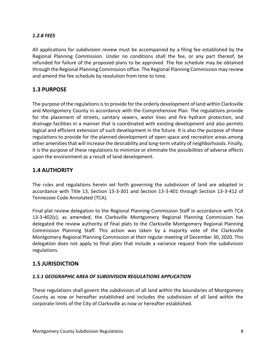#### <span id="page-7-0"></span>*1.2.8 FEES*

All applications for subdivision review must be accompanied by a filing fee established by the Regional Planning Commission. Under no conditions shall the fee, or any part thereof, be refunded for failure of the proposed plans to be approved. The fee schedule may be obtained through the Regional Planning Commission office. The Regional Planning Commission may review and amend the fee schedule by resolution from time to time.

# <span id="page-7-1"></span>**1.3 PURPOSE**

The purpose of the regulations is to provide for the orderly development of land within Clarksville and Montgomery County in accordance with the Comprehensive Plan. The regulations provide for the placement of streets, sanitary sewers, water lines and fire hydrant protection, and drainage facilities in a manner that is coordinated with existing development and also permits logical and efficient extension of such development in the future. It is also the purpose of these regulations to provide for the planned development of open space and recreation areas among other amenities that will increase the desirability and long-term vitality of neighborhoods. Finally, it is the purpose of these regulations to minimize or eliminate the possibilities of adverse effects upon the environment as a result of land development.

# <span id="page-7-2"></span>**1.4 AUTHORITY**

The rules and regulations herein set forth governing the subdivision of land are adopted in accordance with Title 13, Section 13-3-301 and Section 13-3-401 through Section 13-3-412 of Tennessee Code Annotated (TCA).

Final plat review delegation to the Regional Planning Commission Staff in accordance with TCA 13-3-402(c), as amended, the Clarksville Montgomery Regional Planning Commission has delegated the review authority of final plats to the Clarksville Montgomery Regional Planning Commission Planning Staff. This action was taken by a majority vote of the Clarksville Montgomery Regional Planning Commission at their regular meeting of December 30, 2020. This delegation does not apply to final plats that include a variance request from the subdivision regulations.

# <span id="page-7-3"></span>**1.5 JURISDICTION**

## <span id="page-7-4"></span>*1.5.1 GEOGRAPHIC AREA OF SUBDIVISION REGULATIONS APPLICATION*

These regulations shall govern the subdivision of all land within the boundaries of Montgomery County as now or hereafter established and includes the subdivision of all land within the corporate limits of the City of Clarksville as now or hereafter established.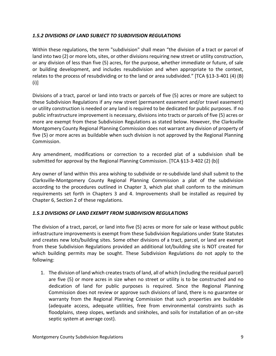# <span id="page-8-0"></span>*1.5.2 DIVISIONS OF LAND SUBJECT TO SUBDIVISION REGULATIONS*

Within these regulations, the term "subdivision" shall mean "the division of a tract or parcel of land into two (2) or more lots, sites, or other divisions requiring new street or utility construction, or any division of less than five (5) acres, for the purpose, whether immediate or future, of sale or building development, and includes resubdivision and when appropriate to the context, relates to the process of resubdividing or to the land or area subdivided." [TCA §13-3-401 (4) (B) (i)]

Divisions of a tract, parcel or land into tracts or parcels of five (5) acres or more are subject to these Subdivision Regulations if any new street (permanent easement and/or travel easement) or utility construction is needed or any land is required to be dedicated for public purposes. If no public infrastructure improvement is necessary, divisions into tracts or parcels of five (5) acres or more are exempt from these Subdivision Regulations as stated below. However, the Clarksville Montgomery County Regional Planning Commission does not warrant any division of property of five (5) or more acres as buildable when such division is not approved by the Regional Planning Commission.

Any amendment, modifications or correction to a recorded plat of a subdivision shall be submitted for approval by the Regional Planning Commission. [TCA §13-3-402 (2) (b)]

Any owner of land within this area wishing to subdivide or re-subdivide land shall submit to the Clarksville-Montgomery County Regional Planning Commission a plat of the subdivision according to the procedures outlined in Chapter 3, which plat shall conform to the minimum requirements set forth in Chapters 3 and 4. Improvements shall be installed as required by Chapter 6, Section 2 of these regulations.

## <span id="page-8-1"></span>*1.5.3 DIVISIONS OF LAND EXEMPT FROM SUBDIVISION REGULATIONS*

The division of a tract, parcel, or land into five (5) acres or more for sale or lease without public infrastructure improvements is exempt from these Subdivision Regulations under State Statutes and creates new lots/building sites. Some other divisions of a tract, parcel, or land are exempt from these Subdivision Regulations provided an additional lot/building site is NOT created for which building permits may be sought. These Subdivision Regulations do not apply to the following:

1. The division of land which createstracts of land, all of which (including the residual parcel) are five (5) or more acres in size when no street or utility is to be constructed and no dedication of land for public purposes is required. Since the Regional Planning Commission does not review or approve such divisions of land, there is no guarantee or warranty from the Regional Planning Commission that such properties are buildable (adequate access, adequate utilities, free from environmental constraints such as floodplains, steep slopes, wetlands and sinkholes, and soils for installation of an on-site septic system at average cost).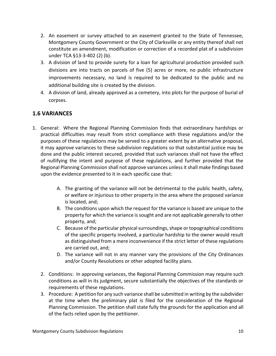- 2. An easement or survey attached to an easement granted to the State of Tennessee, Montgomery County Government or the City of Clarksville or any entity thereof shall not constitute an amendment, modification or correction of a recorded plat of a subdivision under TCA §13-3-402 (2) (b).
- 3. A division of land to provide surety for a loan for agricultural production provided such divisions are into tracts on parcels of five (5) acres or more, no public infrastructure improvements necessary, no land is required to be dedicated to the public and no additional building site is created by the division.
- 4. A division of land, already approved as a cemetery, into plots for the purpose of burial of corpses.

# <span id="page-9-0"></span>**1.6 VARIANCES**

- 1. General: Where the Regional Planning Commission finds that extraordinary hardships or practical difficulties may result from strict compliance with these regulations and/or the purposes of these regulations may be served to a greater extent by an alternative proposal, it may approve variances to these subdivision regulations so that substantial justice may be done and the public interest secured, provided that such variances shall not have the effect of nullifying the intent and purpose of these regulations, and further provided that the Regional Planning Commission shall not approve variances unless it shall make findings based upon the evidence presented to it in each specific case that:
	- A. The granting of the variance will not be detrimental to the public health, safety, or welfare or injurious to other property in the area where the proposed variance is located, and;
	- B. The conditions upon which the request for the variance is based are unique to the property for which the variance is sought and are not applicable generally to other property, and;
	- C. Because of the particular physical surroundings, shape or topographical conditions of the specific property involved, a particular hardship to the owner would result as distinguished from a mere inconvenience if the strict letter of these regulations are carried out, and;
	- D. The variance will not in any manner vary the provisions of the City Ordinances and/or County Resolutions or other adopted facility plans.
	- 2. Conditions: In approving variances, the Regional Planning Commission may require such conditions as will in its judgment, secure substantially the objectives of the standards or requirements of these regulations.
	- 3. Procedure: A petition for any such variance shall be submitted in writing by the subdivider at the time when the preliminary plat is filed for the consideration of the Regional Planning Commission. The petition shall state fully the grounds for the application and all of the facts relied upon by the petitioner.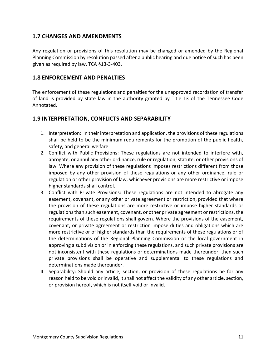# <span id="page-10-0"></span>**1.7 CHANGES AND AMENDMENTS**

Any regulation or provisions of this resolution may be changed or amended by the Regional Planning Commission by resolution passed after a public hearing and due notice of such has been given as required by law, TCA §13-3-403.

# <span id="page-10-1"></span>**1.8 ENFORCEMENT AND PENALTIES**

The enforcement of these regulations and penalties for the unapproved recordation of transfer of land is provided by state law in the authority granted by Title 13 of the Tennessee Code Annotated.

# <span id="page-10-2"></span>**1.9 INTERPRETATION, CONFLICTS AND SEPARABILITY**

- 1. Interpretation: In their interpretation and application, the provisions of these regulations shall be held to be the minimum requirements for the promotion of the public health, safety, and general welfare.
- 2. Conflict with Public Provisions: These regulations are not intended to interfere with, abrogate, or annul any other ordinance, rule or regulation, statute, or other provisions of law. Where any provision of these regulations imposes restrictions different from those imposed by any other provision of these regulations or any other ordinance, rule or regulation or other provision of law, whichever provisions are more restrictive or impose higher standards shall control.
- 3. Conflict with Private Provisions: These regulations are not intended to abrogate any easement, covenant, or any other private agreement or restriction, provided that where the provision of these regulations are more restrictive or impose higher standards or regulations than such easement, covenant, or other private agreement or restrictions, the requirements of these regulations shall govern. Where the provisions of the easement, covenant, or private agreement or restriction impose duties and obligations which are more restrictive or of higher standards than the requirements of these regulations or of the determinations of the Regional Planning Commission or the local government in approving a subdivision or in enforcing these regulations, and such private provisions are not inconsistent with these regulations or determinations made thereunder; then such private provisions shall be operative and supplemental to these regulations and determinations made thereunder.
- 4. Separability: Should any article, section, or provision of these regulations be for any reason held to be void or invalid, it shall not affect the validity of any other article, section, or provision hereof, which is not itself void or invalid.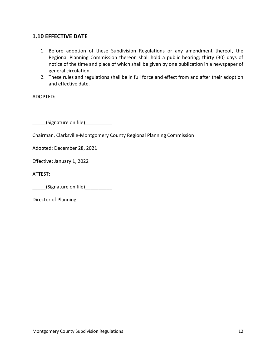# <span id="page-11-0"></span>**1.10 EFFECTIVE DATE**

- 1. Before adoption of these Subdivision Regulations or any amendment thereof, the Regional Planning Commission thereon shall hold a public hearing; thirty (30) days of notice of the time and place of which shall be given by one publication in a newspaper of general circulation.
- 2. These rules and regulations shall be in full force and effect from and after their adoption and effective date.

ADOPTED:

\_\_\_\_\_(Signature on file)\_\_\_\_\_\_\_\_\_\_

Chairman, Clarksville-Montgomery County Regional Planning Commission

Adopted: December 28, 2021

Effective: January 1, 2022

ATTEST:

\_\_\_\_\_(Signature on file)\_\_\_\_\_\_\_\_\_\_

Director of Planning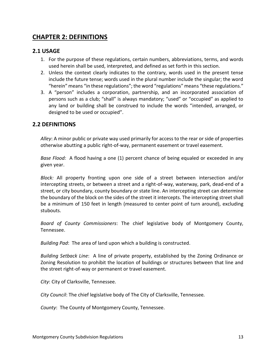# <span id="page-12-0"></span>**CHAPTER 2: DEFINITIONS**

## <span id="page-12-1"></span>**2.1 USAGE**

- 1. For the purpose of these regulations, certain numbers, abbreviations, terms, and words used herein shall be used, interpreted, and defined as set forth in this section.
- 2. Unless the context clearly indicates to the contrary, words used in the present tense include the future tense; words used in the plural number include the singular; the word "herein" means "in these regulations"; the word "regulations" means "these regulations."
- 3. A "person" includes a corporation, partnership, and an incorporated association of persons such as a club; "shall" is always mandatory; "used" or "occupied" as applied to any land or building shall be construed to include the words "intended, arranged, or designed to be used or occupied".

## <span id="page-12-2"></span>**2.2 DEFINITIONS**

*Alley*: A minor public or private way used primarily for access to the rear or side of properties otherwise abutting a public right-of-way, permanent easement or travel easement.

*Base Flood:* A flood having a one (1) percent chance of being equaled or exceeded in any given year.

*Block:* All property fronting upon one side of a street between intersection and/or intercepting streets, or between a street and a right-of-way, waterway, park, dead-end of a street, or city boundary, county boundary or state line. An intercepting street can determine the boundary of the block on the sides of the street it intercepts. The intercepting street shall be a minimum of 150 feet in length (measured to center point of turn around), excluding stubouts.

*Board of County Commissioners*: The chief legislative body of Montgomery County, Tennessee.

*Building Pad*:The area of land upon which a building is constructed.

*Building Setback Line*: A line of private property, established by the Zoning Ordinance or Zoning Resolution to prohibit the location of buildings or structures between that line and the street right-of-way or permanent or travel easement.

*City*: City of Clarksville, Tennessee.

*City Council*: The chief legislative body of The City of Clarksville, Tennessee*.*

*County*: The County of Montgomery County, Tennessee.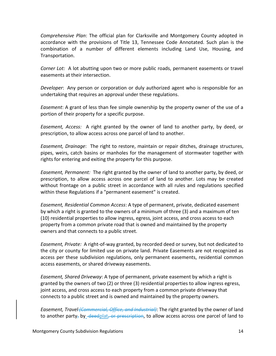*Comprehensive Plan*: The official plan for Clarksville and Montgomery County adopted in accordance with the provisions of Title 13, Tennessee Code Annotated. Such plan is the combination of a number of different elements including Land Use, Housing, and Transportation.

*Corner Lot:* A lot abutting upon two or more public roads, permanent easements or travel easements at their intersection.

*Developer*: Any person or corporation or duly authorized agent who is responsible for an undertaking that requires an approval under these regulations.

*Easement*: A grant of less than fee simple ownership by the property owner of the use of a portion of their property for a specific purpose.

*Easement, Access:* A right granted by the owner of land to another party, by deed, or prescription, to allow access across one parcel of land to another.

*Easement, Drainage*: The right to restore, maintain or repair ditches, drainage structures, pipes, weirs, catch basins or manholes for the management of stormwater together with rights for entering and exiting the property for this purpose.

*Easement, Permanent:* The right granted by the owner of land to another party, by deed, or prescription, to allow access across one parcel of land to another. Lots may be created without frontage on a public street in accordance with all rules and regulations specified within these Regulations if a "permanent easement" is created.

*Easement, Residential Common Access*: A type of permanent, private, dedicated easement by which a right is granted to the owners of a minimum of three (3) and a maximum of ten (10) residential properties to allow ingress, egress, joint access, and cross access to each property from a common private road that is owned and maintained by the property owners and that connects to a public street.

*Easement, Private:* A right-of-way granted, by recorded deed or survey, but not dedicated to the city or county for limited use on private land. Private Easements are not recognized as access per these subdivision regulations, only permanent easements, residential common access easements, or shared driveway easements.

*Easement, Shared Driveway*: A type of permanent, private easement by which a right is granted by the owners of two (2) or three (3) residential properties to allow ingress egress, joint access, and cross access to each property from a common private driveway that connects to a public street and is owned and maintained by the property owners.

*Easement, Travel (Commercial, Office, and Industrial)*: The right granted by the owner of land to another party, by deedplat, or prescription, to allow access across one parcel of land to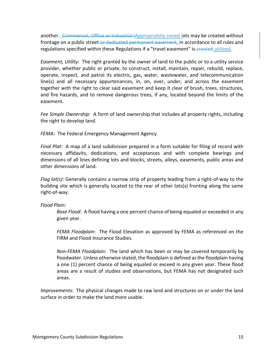another.- Commercial, Office or Industrial IAppropriately zoned lots may be created without frontage on a public street-or dedicated permanent easement, in accordance to all rules and regulations specified within these Regulations if a "travel easement" is-created utilized.

*Easement, Utility*: The right granted by the owner of land to the public or to a utility service provider, whether public or private, to construct, install, maintain, repair, rebuild, replace, operate, inspect, and patrol its electric, gas, water, wastewater, and telecommunication line(s) and all necessary appurtenances, in, on, over, under, and across the easement together with the right to clear said easement and keep it clear of brush, trees, structures, and fire hazards, and to remove dangerous trees, if any, located beyond the limits of the easement.

*Fee Simple Ownership:* A form of land ownership that includes all property rights, including the right to develop land.

*FEMA*: The Federal Emergency Management Agency.

*Final Plat*: A map of a land subdivision prepared in a form suitable for filing of record with necessary affidavits, dedications, and acceptances and with complete bearings and dimensions of all lines defining lots and blocks, streets, alleys, easements, public areas and other dimensions of land.

*Flag lot(s)*: Generally contains a narrow strip of property leading from a right-of-way to the building site which is generally located to the rear of other lots(s) fronting along the same right-of-way.

*Flood Plain:*

*Base Flood*: A flood having a one percent chance of being equaled or exceeded in any given year.

*FEMA Floodplain*: The Flood Elevation as approved by FEMA as referenced on the FIRM and Flood Insurance Studies.

*Non-FEMA Floodplain*: The land which has been or may be covered temporarily by floodwater. Unless otherwise stated, the floodplain is defined as the floodplain having a one (1) percent chance of being equaled or exceed in any given year. These flood areas are a result of studies and observations, but FEMA has not designated such areas.

*Improvements*: The physical changes made to raw land and structures on or under the land surface in order to make the land more usable.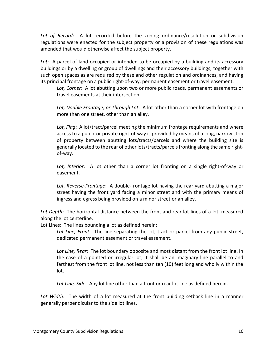*Lot of Record:* A lot recorded before the zoning ordinance/resolution or subdivision regulations were enacted for the subject property or a provision of these regulations was amended that would otherwise affect the subject property.

*Lot*: A parcel of land occupied or intended to be occupied by a building and its accessory buildings or by a dwelling or group of dwellings and their accessory buildings, together with such open spaces as are required by these and other regulation and ordinances, and having its principal frontage on a public right-of-way, permanent easement or travel easement.

*Lot, Corner*: A lot abutting upon two or more public roads, permanent easements or travel easements at their intersection.

*Lot, Double Frontage, or Through Lot*: A lot other than a corner lot with frontage on more than one street, other than an alley.

*Lot, Flag*: A lot/tract/parcel meeting the minimum frontage requirements and where access to a public or private right-of-way is provided by means of a long, narrow strip of property between abutting lots/tracts/parcels and where the building site is generally located to the rear of other lots/tracts/parcels fronting along the same rightof-way.

*Lot, Interior*: A lot other than a corner lot fronting on a single right-of-way or easement.

*Lot, Reverse-Frontage*: A double-frontage lot having the rear yard abutting a major street having the front yard facing a minor street and with the primary means of ingress and egress being provided on a minor street or an alley.

*Lot Depth:* The horizontal distance between the front and rear lot lines of a lot, measured along the lot centerline.

Lot Lines: The lines bounding a lot as defined herein:

*Lot Line, Front*: The line separating the lot, tract or parcel from any public street, dedicated permanent easement or travel easement.

*Lot Line, Rear*: The lot boundary opposite and most distant from the front lot line. In the case of a pointed or irregular lot, it shall be an imaginary line parallel to and farthest from the front lot line, not less than ten (10) feet long and wholly within the lot.

*Lot Line, Side*: Any lot line other than a front or rear lot line as defined herein.

*Lot Width*: The width of a lot measured at the front building setback line in a manner generally perpendicular to the side lot lines.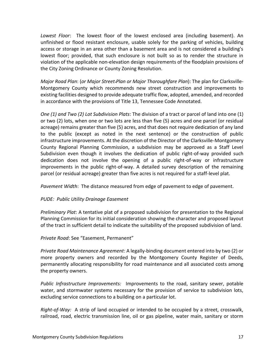*Lowest Floor*: The lowest floor of the lowest enclosed area (including basement). An unfinished or flood resistant enclosure, usable solely for the parking of vehicles, building access or storage in an area other than a basement area and is not considered a building's lowest floor; provided, that such enclosure is not built so as to render the structure in violation of the applicable non-elevation design requirements of the floodplain provisions of the City Zoning Ordinance or County Zoning Resolution.

*Major Road Plan*: (*or Major Street Plan or Major Thoroughfare Plan*): The plan for Clarksville-Montgomery County which recommends new street construction and improvements to existing facilities designed to provide adequate traffic flow, adopted, amended, and recorded in accordance with the provisions of Title 13, Tennessee Code Annotated.

*One (1) and Two (2) Lot Subdivision Plats*: The division of a tract or parcel of land into one (1) or two (2) lots, when one or two lots are less than five (5) acres and one parcel (or residual acreage) remains greater than five (5) acres, and that does not require dedication of any land to the public (except as noted in the next sentence) or the construction of public infrastructure improvements. At the discretion of the Director of the Clarksville-Montgomery County Regional Planning Commission, a subdivision may be approved as a Staff Level Subdivision even though it involves the dedication of public right-of-way provided such dedication does not involve the opening of a public right-of-way or infrastructure improvements in the public right-of-way. A detailed survey description of the remaining parcel (or residual acreage) greater than five acres is not required for a staff-level plat.

*Pavement Width*: The distance measured from edge of pavement to edge of pavement.

## *PUDE: Public Utility Drainage Easement*

*Preliminary Plat*: A tentative plat of a proposed subdivision for presentation to the Regional Planning Commission for its initial consideration showing the character and proposed layout of the tract in sufficient detail to indicate the suitability of the proposed subdivision of land.

*Private Road*: See "Easement, Permanent"

*Private Road Maintenance Agreement*: A legally-binding document entered into by two (2) or more property owners and recorded by the Montgomery County Register of Deeds, permanently allocating responsibility for road maintenance and all associated costs among the property owners.

*Public Infrastructure Improvements:* Improvements to the road, sanitary sewer, potable water, and stormwater systems necessary for the provision of service to subdivision lots, excluding service connections to a building on a particular lot.

*Right-of-Way:* A strip of land occupied or intended to be occupied by a street, crosswalk, railroad, road, electric transmission line, oil or gas pipeline, water main, sanitary or storm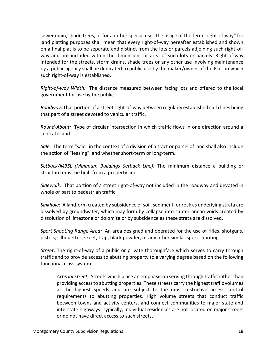sewer main, shade trees, or for another special use. The usage of the term "right-of-way" for land platting purposes shall mean that every right-of-way hereafter established and shown on a final plat is to be separate and distinct from the lots or parcels adjoining such right-ofway and not included within the dimensions or area of such lots or parcels. Right-of-way intended for the streets, storm drains, shade trees or any other use involving maintenance by a public agency shall be dedicated to public use by the maker/owner of the Plat on which such right-of-way is established.

*Right-of-way Width:* The distance measured between facing lots and offered to the local government for use by the public.

*Roadway*: That portion of a street right-of-way between regularly established curb lines being that part of a street devoted to vehicular traffic.

*Round*-*About:* Type of circular intersection in which traffic flows in one direction around a central island.

*Sale:* The term "sale" in the context of a division of a tract or parcel of land shall also include the action of "leasing" land whether short-term or long-term.

*Setback/MBSL (Minimum Buildings Setback Line):* The minimum distance a building or structure must be built from a property line

*Sidewalk*: That portion of a street right-of-way not included in the roadway and devoted in whole or part to pedestrian traffic.

*Sinkhole*: A landform created by subsidence of soil, sediment, or rock as underlying strata are dissolved by groundwater, which may form by collapse into subterranean voids created by dissolution of limestone or dolomite or by subsidence as these strata are dissolved.

*Sport Shooting Range Area:* An area designed and operated for the use of rifles, shotguns, pistols, silhouettes, skeet, trap, black powder, or any other similar sport shooting.

*Street*: The right-of-way of a public or private thoroughfare which serves to carry through traffic and to provide access to abutting property to a varying degree based on the following functional class system:

*Arterial Street*: Streets which place an emphasis on serving through traffic rather than providing access to abutting properties. These streets carry the highest traffic volumes at the highest speeds and are subject to the most restrictive access control requirements to abutting properties. High volume streets that conduct traffic between towns and activity centers, and connect communities to major state and interstate highways. Typically, individual residences are not located on major streets or do not have direct access to such streets.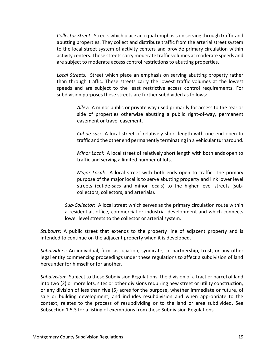*Collector Street:* Streets which place an equal emphasis on serving through traffic and abutting properties. They collect and distribute traffic from the arterial street system to the local street system of activity centers and provide primary circulation within activity centers. These streets carry moderate traffic volumes at moderate speeds and are subject to moderate access control restrictions to abutting properties.

*Local Streets:* Street which place an emphasis on serving abutting property rather than through traffic. These streets carry the lowest traffic volumes at the lowest speeds and are subject to the least restrictive access control requirements. For subdivision purposes these streets are further subdivided as follows:

> *Alley*: A minor public or private way used primarily for access to the rear or side of properties otherwise abutting a public right-of-way, permanent easement or travel easement.

> *Cul-de-sac*: A local street of relatively short length with one end open to traffic and the other end permanently terminating in a vehicular turnaround.

> *Minor Local:* A local street of relatively short length with both ends open to traffic and serving a limited number of lots.

> *Major Local*: A local street with both ends open to traffic. The primary purpose of the major local is to serve abutting property and link lower level streets (cul-de-sacs and minor locals) to the higher level streets (subcollectors, collectors, and arterials).

*Sub-Collector*: A local street which serves as the primary circulation route within a residential, office, commercial or industrial development and which connects lower level streets to the collector or arterial system.

*Stubouts:* A public street that extends to the property line of adjacent property and is intended to continue on the adjacent property when it is developed.

*Subdividers*: An individual, firm, association, syndicate, co-partnership, trust, or any other legal entity commencing proceedings under these regulations to affect a subdivision of land hereunder for himself or for another.

*Subdivision*: Subject to these Subdivision Regulations, the division of a tract or parcel of land into two (2) or more lots, sites or other divisions requiring new street or utility construction, or any division of less than five (5) acres for the purpose, whether immediate or future, of sale or building development, and includes resubdivision and when appropriate to the context, relates to the process of resubdividing or to the land or area subdivided. See Subsection 1.5.3 for a listing of exemptions from these Subdivision Regulations.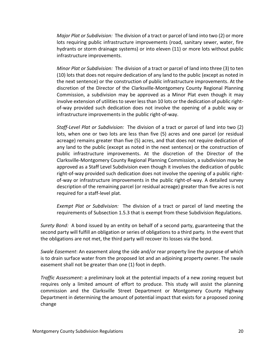*Major Plat or Subdivision:* The division of a tract or parcel of land into two (2) or more lots requiring public infrastructure improvements (road, sanitary sewer, water, fire hydrants or storm drainage systems) or into eleven (11) or more lots without public infrastructure improvements.

*Minor Plat or Subdivision:* The division of a tract or parcel of land into three (3) to ten (10) lots that does not require dedication of any land to the public (except as noted in the next sentence) or the construction of public infrastructure improvements. At the discretion of the Director of the Clarksville-Montgomery County Regional Planning Commission, a subdivision may be approved as a Minor Plat even though it may involve extension of utilities to sever less than 10 lots or the dedication of public rightof-way provided such dedication does not involve the opening of a public way or infrastructure improvements in the public right-of-way.

*Staff-Level Plat or Subdivision:* The division of a tract or parcel of land into two (2) lots, when one or two lots are less than five (5) acres and one parcel (or residual acreage) remains greater than five (5) acres, and that does not require dedication of any land to the public (except as noted in the next sentence) or the construction of public infrastructure improvements. At the discretion of the Director of the Clarksville-Montgomery County Regional Planning Commission, a subdivision may be approved as a Staff Level Subdivision even though it involves the dedication of public right-of-way provided such dedication does not involve the opening of a public rightof-way or infrastructure improvements in the public right-of-way. A detailed survey description of the remaining parcel (or residual acreage) greater than five acres is not required for a staff-level plat.

*Exempt Plat or Subdivision:* The division of a tract or parcel of land meeting the requirements of Subsection 1.5.3 that is exempt from these Subdivision Regulations.

*Surety Bond:* A [bond](http://www.investorwords.com/521/bond.html) issued by an [entity](http://www.investorwords.com/1714/entity.html) on behalf of a [second](http://www.investorwords.com/11014/second.html) [party,](http://www.investorwords.com/3610/party.html) guaranteeing that the second party will fulfill an obligation or [series](http://www.investorwords.com/4497/series.html) of [obligations](http://www.investorwords.com/3373/obligation.html) to [a third party.](http://www.investorwords.com/4963/third_party.html) In the event that the obligations are not met, the third party will [recover](http://www.investorwords.com/10826/recover.html) its losses via the bond.

*Swale Easement*: An easement along the side and/or rear property line the purpose of which is to drain surface water from the proposed lot and an adjoining property owner. The swale easement shall not be greater than one (1) foot in depth.

*Traffic Assessment:* a preliminary look at the potential impacts of a new zoning request but requires only a limited amount of effort to produce. This study will assist the planning commission and the Clarksville Street Department or Montgomery County Highway Department in determining the amount of potential impact that exists for a proposed zoning change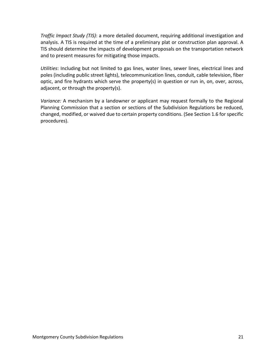*Traffic Impact Study (TIS)*: a more detailed document, requiring additional investigation and analysis. A TIS is required at the time of a preliminary plat or construction plan approval. A TIS should determine the impacts of development proposals on the transportation network and to present measures for mitigating those impacts.

*Utilities*: Including but not limited to gas lines, water lines, sewer lines, electrical lines and poles (including public street lights), telecommunication lines, conduit, cable television, fiber optic, and fire hydrants which serve the property(s) in question or run in, on, over, across, adjacent, or through the property(s).

*Variance:* A mechanism by a landowner or applicant may request formally to the Regional Planning Commission that a section or sections of the Subdivision Regulations be reduced, changed, modified, or waived due to certain property conditions. (See Section 1.6 for specific procedures).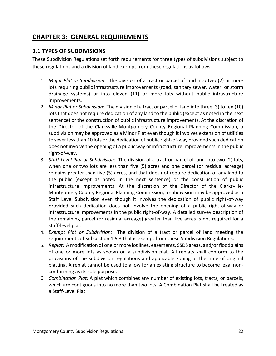# <span id="page-21-0"></span>**CHAPTER 3: GENERAL REQUIREMENTS**

# <span id="page-21-1"></span>**3.1 TYPES OF SUBDIVISIONS**

These Subdivision Regulations set forth requirements for three types of subdivisions subject to these regulations and a division of land exempt from these regulations as follows:

- 1. *Major Plat or Subdivision:* The division of a tract or parcel of land into two (2) or more lots requiring public infrastructure improvements (road, sanitary sewer, water, or storm drainage systems) or into eleven (11) or more lots without public infrastructure improvements.
- 2. *Minor Plat or Subdivision:* The division of a tract or parcel of land into three (3) to ten (10) lots that does not require dedication of any land to the public (except as noted in the next sentence) or the construction of public infrastructure improvements. At the discretion of the Director of the Clarksville-Montgomery County Regional Planning Commission, a subdivision may be approved as a Minor Plat even though it involves extension of utilities to sever less than 10 lots or the dedication of public right-of-way provided such dedication does not involve the opening of a public way or infrastructure improvements in the public right-of-way.
- 3. *Staff-Level Plat or Subdivision:* The division of a tract or parcel of land into two (2) lots, when one or two lots are less than five (5) acres and one parcel (or residual acreage) remains greater than five (5) acres, and that does not require dedication of any land to the public (except as noted in the next sentence) or the construction of public infrastructure improvements. At the discretion of the Director of the Clarksville-Montgomery County Regional Planning Commission, a subdivision may be approved as a Staff Level Subdivision even though it involves the dedication of public right-of-way provided such dedication does not involve the opening of a public right-of-way or infrastructure improvements in the public right-of-way. A detailed survey description of the remaining parcel (or residual acreage) greater than five acres is not required for a staff-level plat.
- 4. *Exempt Plat or Subdivision:* The division of a tract or parcel of land meeting the requirements of Subsection 1.5.3 that is exempt from these Subdivision Regulations.
- 5. *Replat:* A modification of one or more lot lines, easements, SSDS areas, and/or floodplains of one or more lots as shown on a subdivision plat. All replats shall conform to the provisions of the subdivision regulations and applicable zoning at the time of original platting. A replat cannot be used to allow for an existing structure to become legal nonconforming as its sole purpose.
- 6. *Combination Plat:* A plat which combines any number of existing lots, tracts, or parcels, which are contiguous into no more than two lots. A Combination Plat shall be treated as a Staff-Level Plat.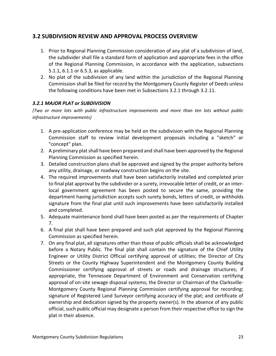# <span id="page-22-0"></span>**3.2 SUBDIVISION REVIEW AND APPROVAL PROCESS OVERVIEW**

- 1. Prior to Regional Planning Commission consideration of any plat of a subdivision of land, the subdivider shall file a standard form of application and appropriate fees in the office of the Regional Planning Commission, in accordance with the application, subsections 5.1.1, 6.1.1 or 6.5.3, as applicable.
- 2. No plat of the subdivision of any land within the jurisdiction of the Regional Planning Commission shall be filed for record by the Montgomery County Register of Deeds unless the following conditions have been met in Subsections 3.2.1 through 3.2.11.

## <span id="page-22-1"></span>*3.2.1 MAJOR PLAT or SUBDIVISION*

*(Two or more lots with public infrastructure improvements and more than ten lots without public infrastructure improvements)* 

- 1. A pre-application conference may be held on the subdivision with the Regional Planning Commission staff to review initial development proposals including a "sketch" or "concept" plan.
- 2. A preliminary plat shall have been prepared and shall have been approved by the Regional Planning Commission as specified herein.
- 3. Detailed construction plans shall be approved and signed by the proper authority before any utility, drainage, or roadway construction begins on the site.
- 4. The required improvements shall have been satisfactorily installed and completed prior to final plat approval by the subdivider or a surety, irrevocable letter of credit, or an interlocal government agreement has been posted to secure the same, providing the department having jurisdiction accepts such surety bonds, letters of credit, or withholds signature from the final plat until such improvements have been satisfactorily installed and completed.
- 5. Adequate maintenance bond shall have been posted as per the requirements of Chapter 7.
- 6. A final plat shall have been prepared and such plat approved by the Regional Planning Commission as specified herein.
- 7. On any final plat, all signatures other than those of public officials shall be acknowledged before a Notary Public. The final plat shall contain the signature of the Chief Utility Engineer or Utility District Official certifying approval of utilities; the Director of City Streets or the County Highway Superintendent and the Montgomery County Building Commissioner certifying approval of streets or roads and drainage structures; if appropriate, the Tennessee Department of Environment and Conservation certifying approval of on-site sewage disposal systems; the Director or Chairman of the Clarksville-Montgomery County Regional Planning Commission certifying approval for recording; signature of Registered Land Surveyor certifying accuracy of the plat; and certificate of ownership and dedication signed by the property owner(s). In the absence of any public official, such public official may designate a person from their respective office to sign the plat in their absence.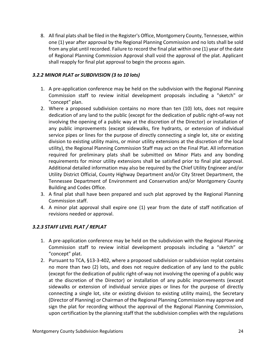8. All final plats shall be filed in the Register's Office, Montgomery County, Tennessee, within one (1) year after approval by the Regional Planning Commission and no lots shall be sold from any plat until recorded. Failure to record the final plat within one (1) year of the date of Regional Planning Commission Approval shall void the approval of the plat. Applicant shall reapply for final plat approval to begin the process again.

## <span id="page-23-0"></span>*3.2.2 MINOR PLAT or SUBDIVISION (3 to 10 lots)*

- 1. A pre-application conference may be held on the subdivision with the Regional Planning Commission staff to review initial development proposals including a "sketch" or "concept" plan.
- 2. Where a proposed subdivision contains no more than ten (10) lots, does not require dedication of any land to the public (except for the dedication of public right-of-way not involving the opening of a public way at the discretion of the Director) or installation of any public improvements (except sidewalks, fire hydrants, or extension of individual service pipes or lines for the purpose of directly connecting a single lot, site or existing division to existing utility mains, or minor utility extensions at the discretion of the local utility), the Regional Planning Commission Staff may act on the Final Plat. All information required for preliminary plats shall be submitted on Minor Plats and any bonding requirements for minor utility extensions shall be satisfied prior to final plat approval. Additional detailed information may also be required by the Chief Utility Engineer and/or Utility District Official, County Highway Department and/or City Street Department, the Tennessee Department of Environment and Conservation and/or Montgomery County Building and Codes Office.
- 3. A final plat shall have been prepared and such plat approved by the Regional Planning Commission staff.
- 4. A minor plat approval shall expire one (1) year from the date of staff notification of revisions needed or approval.

# <span id="page-23-1"></span>*3.2.3 STAFF LEVEL PLAT / REPLAT*

- 1. A pre-application conference may be held on the subdivision with the Regional Planning Commission staff to review initial development proposals including a "sketch" or "concept" plat.
- 2. Pursuant to TCA, §13-3-402, where a proposed subdivision or subdivision replat contains no more than two (2) lots, and does not require dedication of any land to the public (except for the dedication of public right-of-way not involving the opening of a public way at the discretion of the Director) or installation of any public improvements (except sidewalks or extension of individual service pipes or lines for the purpose of directly connecting a single lot, site or existing division to existing utility mains), the Secretary (Director of Planning) or Chairman of the Regional Planning Commission may approve and sign the plat for recording without the approval of the Regional Planning Commission, upon certification by the planning staff that the subdivision complies with the regulations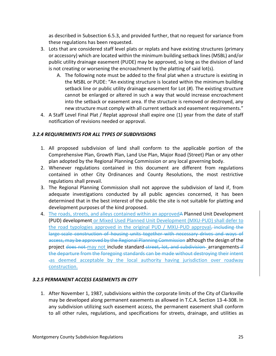as described in Subsection 6.5.3, and provided further, that no request for variance from these regulations has been requested.

- 3. Lots that are considered staff level plats or replats and have existing structures (primary or accessory) which are located within the minimum building setback lines (MSBL) and/or public utility drainage easement (PUDE) may be approved, so long as the division of land is not creating or worsening the encroachment by the platting of said lot(s).
	- A. The following note must be added to the final plat when a structure is existing in the MSBL or PUDE: "An existing structure is located within the minimum building setback line or public utility drainage easement for Lot (#). The existing structure cannot be enlarged or altered in such a way that would increase encroachment into the setback or easement area. If the structure is removed or destroyed, any new structure must comply with all current setback and easement requirements."
- 4. A Staff Level Final Plat / Replat approval shall expire one (1) year from the date of staff notification of revisions needed or approval.

#### <span id="page-24-0"></span>*3.2.4 REQUIREMENTS FOR ALL TYPES OF SUBDIVISIONS*

- 1. All proposed subdivision of land shall conform to the applicable portion of the Comprehensive Plan, Growth Plan, Land Use Plan, Major Road (Street) Plan or any other plan adopted by the Regional Planning Commission or any local governing body.
- 2. Whenever regulations contained in this document are different from regulations contained in other City Ordinances and County Resolutions, the most restrictive regulations shall prevail.
- 3. The Regional Planning Commission shall not approve the subdivision of land if, from adequate investigations conducted by all public agencies concerned, it has been determined that in the best interest of the public the site is not suitable for platting and development purposes of the kind proposed.
- 4. The roads, streets, and alleys contained within an approved<sub>A</sub> Planned Unit Development (PUD) development or Mixed Used Planned Unit Development (MXU-PUD) shall defer to the road typologies approved in the original PUD / MXU-PUD approval, including the large-scale construction of housing units together with necessary drives and ways of access, may be approved by the Regional Planning Commission although the design of the project does not may not include standard street, lot, and subdivision arrangements if the departure from the foregoing standards can be made without destroying their intent .as deemed acceptable by the local authority having jurisdiction over roadway construction.

## <span id="page-24-1"></span>*3.2.5 PERMANENT ACCESS EASEMENTS IN CITY*

1. After November 1, 1987, subdivisions within the corporate limits of the City of Clarksville may be developed along permanent easements as allowed in T.C.A. Section 13-4-308. In any subdivision utilizing such easement access, the permanent easement shall conform to all other rules, regulations, and specifications for streets, drainage, and utilities as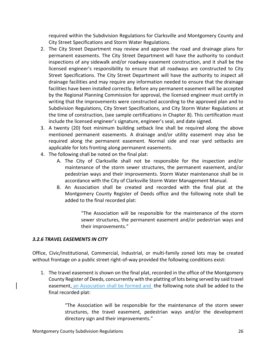required within the Subdivision Regulations for Clarksville and Montgomery County and City Street Specifications and Storm Water Regulations.

- 2. The City Street Department may review and approve the road and drainage plans for permanent easements. The City Street Department will have the authority to conduct inspections of any sidewalk and/or roadway easement construction, and it shall be the licensed engineer's responsibility to ensure that all roadways are constructed to City Street Specifications. The City Street Department will have the authority to inspect all drainage facilities and may require any information needed to ensure that the drainage facilities have been installed correctly. Before any permanent easement will be accepted by the Regional Planning Commission for approval, the licensed engineer must certify in writing that the improvements were constructed according to the approved plan and to Subdivision Regulations, City Street Specifications, and City Storm Water Regulations at the time of construction, (see sample certifications in Chapter 8). This certification must include the licensed engineer's signature, engineer's seal, and date signed.
- 3. A twenty (20) foot minimum building setback line shall be required along the above mentioned permanent easements. A drainage and/or utility easement may also be required along the permanent easement. Normal side and rear yard setbacks are applicable for lots fronting along permanent easements.
- 4. The following shall be noted on the final plat:
	- A. The City of Clarksville shall not be responsible for the inspection and/or maintenance of the storm sewer structures, the permanent easement, and/or pedestrian ways and their improvements. Storm Water maintenance shall be in accordance with the City of Clarksville Storm Water Management Manual.
	- B. An Association shall be created and recorded with the final plat at the Montgomery County Register of Deeds office and the following note shall be added to the final recorded plat:

"The Association will be responsible for the maintenance of the storm sewer structures, the permanent easement and/or pedestrian ways and their improvements."

## <span id="page-25-0"></span>*3.2.6 TRAVEL EASEMENTS IN CITY*

Office, Civic/Institutional, Commercial, Industrial, or multi-family zoned lots may be created without frontage on a public street right-of-way provided the following conditions exist:

1. The travel easement is shown on the final plat, recorded in the office of the Montgomery County Register of Deeds, concurrently with the platting of lots being served by said travel easement, an Association shall be formed and -the following note shall be added to the final recorded plat:

> "The Association will be responsible for the maintenance of the storm sewer structures, the travel easement, pedestrian ways and/or the development directory sign and their improvements."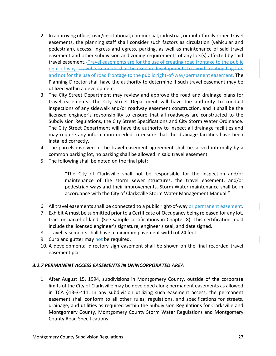- 2. In approving office, civic/institutional, commercial, industrial, or multi-family zoned travel easements, the planning staff shall consider such factors as circulation (vehicular and pedestrian), access, ingress and egress, parking, as well as maintenance of said travel easement and other subdivision and zoning requirements of any lots(s) affected by said travel easement.- Travel easements are for the use of creating road frontage to the public right-of-way. Travel easements shall be used in developments to avoid creating flag lots and not for the use of road frontage to the public right-of-way/permanent easement. The Planning Director shall have the authority to determine if such travel easement may be utilized within a development.
- 3. The City Street Department may review and approve the road and drainage plans for travel easements. The City Street Department will have the authority to conduct inspections of any sidewalk and/or roadway easement construction, and it shall be the licensed engineer's responsibility to ensure that all roadways are constructed to the Subdivision Regulations, the City Street Specifications and City Storm Water Ordinance. The City Street Department will have the authority to inspect all drainage facilities and may require any information needed to ensure that the drainage facilities have been installed correctly.
- 4. The parcels involved in the travel easement agreement shall be served internally by a common parking lot, no parking shall be allowed in said travel easement.
- 5. The following shall be noted on the final plat:

"The City of Clarksville shall not be responsible for the inspection and/or maintenance of the storm sewer structures, the travel easement, and/or pedestrian ways and their improvements. Storm Water maintenance shall be in accordance with the City of Clarksville Storm Water Management Manual."

- 6. All travel easements shall be connected to a public right-of-way or permanent easement.
- 7. Exhibit A must be submitted prior to a Certificate of Occupancy being released for any lot, tract or parcel of land. (See sample certifications in Chapter 8). This certification must include the licensed engineer's signature, engineer's seal, and date signed.
- 8. Travel easements shall have a minimum pavement width of 24 feet.
- 9. Curb and gutter may not be required.
- 10. A developmental directory sign easement shall be shown on the final recorded travel easement plat.

#### <span id="page-26-0"></span>*3.2.7 PERMANENT ACCESS EASEMENTS IN UNINCORPORATED AREA*

1. After August 15, 1994, subdivisions in Montgomery County, outside of the corporate limits of the City of Clarksville may be developed along permanent easements as allowed in TCA §13-3-411. In any subdivision utilizing such easement access, the permanent easement shall conform to all other rules, regulations, and specifications for streets, drainage, and utilities as required within the Subdivision Regulations for Clarksville and Montgomery County, Montgomery County Storm Water Regulations and Montgomery County Road Specifications.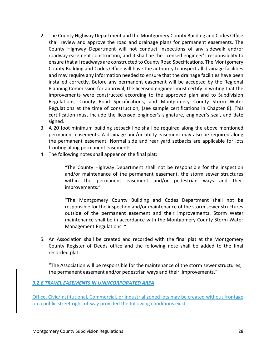- 2. The County Highway Department and the Montgomery County Building and Codes Office shall review and approve the road and drainage plans for permanent easements. The County Highway Department will not conduct inspections of any sidewalk and/or roadway easement construction, and it shall be the licensed engineer's responsibility to ensure that all roadways are constructed to County Road Specifications. The Montgomery County Building and Codes Office will have the authority to inspect all drainage facilities and may require any information needed to ensure that the drainage facilities have been installed correctly. Before any permanent easement will be accepted by the Regional Planning Commission for approval, the licensed engineer must certify in writing that the improvements were constructed according to the approved plan and to Subdivision Regulations, County Road Specifications, and Montgomery County Storm Water Regulations at the time of construction, (see sample certifications in Chapter 8). This certification must include the licensed engineer's signature, engineer's seal, and date signed.
- 3. A 20 foot minimum building setback line shall be required along the above mentioned permanent easements. A drainage and/or utility easement may also be required along the permanent easement. Normal side and rear yard setbacks are applicable for lots fronting along permanent easements.
- 4. The following notes shall appear on the final plat:

"The County Highway Department shall not be responsible for the inspection and/or maintenance of the permanent easement, the storm sewer structures within the permanent easement and/or pedestrian ways and their improvements."

"The Montgomery County Building and Codes Department shall not be responsible for the inspection and/or maintenance of the storm sewer structures outside of the permanent easement and their improvements. Storm Water maintenance shall be in accordance with the Montgomery County Storm Water Management Regulations. "

5. An Association shall be created and recorded with the final plat at the Montgomery County Register of Deeds office and the following note shall be added to the final recorded plat:

"The Association will be responsible for the maintenance of the storm sewer structures, the permanent easement and/or pedestrian ways and their improvements."

## <span id="page-27-0"></span>*3.2.8 TRAVEL EASEMENTS IN UNINCORPORATED AREA*

Office, Civic/Institutional, Commercial, or Industrial zoned lots may be created without frontage on a public street right-of-way provided the following conditions exist: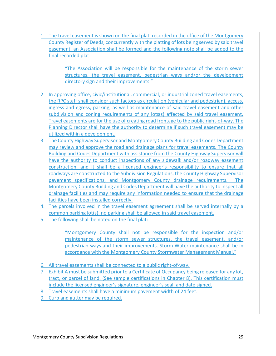1. The travel easement is shown on the final plat, recorded in the office of the Montgomery County Register of Deeds, concurrently with the platting of lots being served by said travel easement, an Association shall be formed and the following note shall be added to the final recorded plat:

> "The Association will be responsible for the maintenance of the storm sewer structures, the travel easement, pedestrian ways and/or the development directory sign and their improvements."

- 2. In approving office, civic/institutional, commercial, or industrial zoned travel easements, the RPC staff shall consider such factors as circulation (vehicular and pedestrian), access, ingress and egress, parking, as well as maintenance of said travel easement and other subdivision and zoning requirements of any lots(s) affected by said travel easement. Travel easements are for the use of creating road frontage to the public right-of-way. The Planning Director shall have the authority to determine if such travel easement may be utilized within a development.
- 3. The County Highway Supervisor and Montgomery County Building and Codes Department may review and approve the road and drainage plans for travel easements. The County Building and Codes Department with assistance from the County Highway Supervisor will have the authority to conduct inspections of any sidewalk and/or roadway easement construction, and it shall be a licensed engineer's responsibility to ensure that all roadways are constructed to the Subdivision Regulations, the County Highway Supervisor pavement specifications, and Montgomery County drainage requirements. The Montgomery County Building and Codes Department will have the authority to inspect all drainage facilities and may require any information needed to ensure that the drainage facilities have been installed correctly.
- 4. The parcels involved in the travel easement agreement shall be served internally by a common parking lot(s), no parking shall be allowed in said travel easement.
- 5. The following shall be noted on the final plat:

"Montgomery County shall not be responsible for the inspection and/or maintenance of the storm sewer structures, the travel easement, and/or pedestrian ways and their improvements. Storm Water maintenance shall be in accordance with the Montgomery County Stormwater Management Manual."

- 6. All travel easements shall be connected to a public right-of-way.
- 7. Exhibit A must be submitted prior to a Certificate of Occupancy being released for any lot, tract, or parcel of land. (See sample certifications in Chapter 8). This certification must include the licensed engineer's signature, engineer's seal, and date signed.
- 8. Travel easements shall have a minimum pavement width of 24 feet.
- 9. Curb and gutter may be required.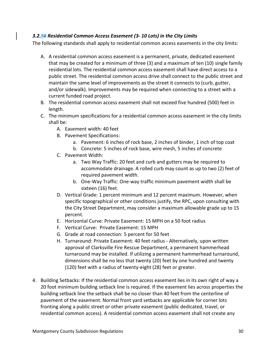## <span id="page-29-0"></span>*3.2.98 Residential Common Access Easement (3- 10 Lots) in the City Limits*

The following standards shall apply to residential common access easements in the city limits:

- A. A residential common access easement is a permanent, private, dedicated easement that may be created for a minimum of three (3) and a maximum of ten (10) single family residential lots. The residential common access easement shall have direct access to a public street. The residential common access drive shall connect to the public street and maintain the same level of improvements as the street it connects to (curb, gutter, and/or sidewalk). Improvements may be required when connecting to a street with a current funded road project.
- B. The residential common access easement shall not exceed five hundred (500) feet in length.
- C. The minimum specifications for a residential common access easement in the city limits shall be:
	- A. Easement width: 40 feet
	- B. Pavement Specifications:
		- a. Pavement: 6 inches of rock base, 2 inches of binder, 1 inch of top coat
		- b. Concrete: 5 inches of rock base, wire mesh, 5 inches of concrete
	- C. Pavement Width:
		- a. Two Way Traffic: 20 feet and curb and gutters may be required to accommodate drainage. A rolled curb may count as up to two (2) feet of required pavement width.
		- b. One-Way Traffic: One-way traffic minimum pavement width shall be sixteen (16) feet.
	- D. Vertical Grade: 1 percent minimum and 12 percent maximum. However, when specific topographical or other conditions justify, the RPC, upon consulting with the City Street Department, may consider a maximum allowable grade up to 15 percent.
	- E. Horizontal Curve: Private Easement: 15 MPH on a 50 foot radius
	- F. Vertical Curve: Private Easement: 15 MPH
	- G. Grade at road connection: 5 percent for 50 feet
	- H. Turnaround: Private Easement: 40 feet radius Alternatively, upon written approval of Clarksville Fire Rescue Department, a permanent hammerhead turnaround may be installed. If utilizing a permanent hammerhead turnaround, dimensions shall be no less that twenty (20) feet by one hundred and twenty (120) feet with a radius of twenty-eight (28) feet or greater.
- 4. Building Setbacks: If the residential common access easement lies in its own right of way a 20 foot minimum building setback line is required. If the easement lies across properties the building setback line the setback shall be no closer than 40 feet from the centerline of pavement of the easement. Normal front yard setbacks are applicable for corner lots fronting along a public street or other private easement (public dedicated, travel, or residential common access). A residential common access easement shall not create any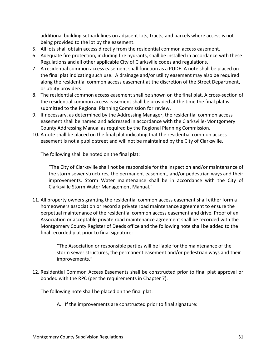additional building setback lines on adjacent lots, tracts, and parcels where access is not being provided to the lot by the easement.

- 5. All lots shall obtain access directly from the residential common access easement.
- 6. Adequate fire protection, including fire hydrants, shall be installed in accordance with these Regulations and all other applicable City of Clarksville codes and regulations.
- 7. A residential common access easement shall function as a PUDE. A note shall be placed on the final plat indicating such use. A drainage and/or utility easement may also be required along the residential common access easement at the discretion of the Street Department, or utility providers.
- 8. The residential common access easement shall be shown on the final plat. A cross-section of the residential common access easement shall be provided at the time the final plat is submitted to the Regional Planning Commission for review.
- 9. If necessary, as determined by the Addressing Manager, the residential common access easement shall be named and addressed in accordance with the Clarksville-Montgomery County Addressing Manual as required by the Regional Planning Commission.
- 10. A note shall be placed on the final plat indicating that the residential common access easement is not a public street and will not be maintained by the City of Clarksville.

The following shall be noted on the final plat:

"The City of Clarksville shall not be responsible for the inspection and/or maintenance of the storm sewer structures, the permanent easement, and/or pedestrian ways and their improvements. Storm Water maintenance shall be in accordance with the City of Clarksville Storm Water Management Manual."

11. All property owners granting the residential common access easement shall either form a homeowners association or record a private road maintenance agreement to ensure the perpetual maintenance of the residential common access easement and drive. Proof of an Association or acceptable private road maintenance agreement shall be recorded with the Montgomery County Register of Deeds office and the following note shall be added to the final recorded plat prior to final signature:

> "The Association or responsible parties will be liable for the maintenance of the storm sewer structures, the permanent easement and/or pedestrian ways and their improvements."

12. Residential Common Access Easements shall be constructed prior to final plat approval or bonded with the RPC (per the requirements in Chapter 7).

The following note shall be placed on the final plat:

A. If the improvements are constructed prior to final signature: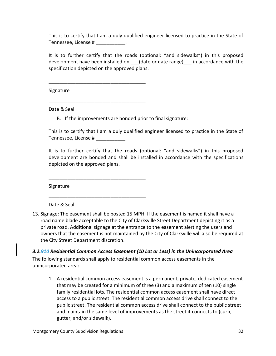This is to certify that I am a duly qualified engineer licensed to practice in the State of Tennessee, License # \_\_\_\_\_\_\_\_\_.

It is to further certify that the roads (optional: "and sidewalks") in this proposed development have been installed on (date or date range) in accordance with the specification depicted on the approved plans.

Signature

Date & Seal

B. If the improvements are bonded prior to final signature:

\_\_\_\_\_\_\_\_\_\_\_\_\_\_\_\_\_\_\_\_\_\_\_\_\_\_\_\_\_\_\_\_\_\_\_\_

\_\_\_\_\_\_\_\_\_\_\_\_\_\_\_\_\_\_\_\_\_\_\_\_\_\_\_\_\_\_\_\_\_\_\_\_

\_\_\_\_\_\_\_\_\_\_\_\_\_\_\_\_\_\_\_\_\_\_\_\_\_\_\_\_\_\_\_\_\_\_\_\_

\_\_\_\_\_\_\_\_\_\_\_\_\_\_\_\_\_\_\_\_\_\_\_\_\_\_\_\_\_\_\_\_\_\_\_\_

This is to certify that I am a duly qualified engineer licensed to practice in the State of Tennessee, License # \_\_\_\_\_\_\_\_\_\_\_.

It is to further certify that the roads (optional: "and sidewalks") in this proposed development are bonded and shall be installed in accordance with the specifications depicted on the approved plans.

Signature

Date & Seal

13. Signage: The easement shall be posted 15 MPH. If the easement is named it shall have a road name blade acceptable to the City of Clarksville Street Department depicting it as a private road. Additional signage at the entrance to the easement alerting the users and owners that the easement is not maintained by the City of Clarksville will also be required at the City Street Department discretion.

<span id="page-31-0"></span>*3.2.910 Residential Common Access Easement (10 Lot or Less) in the Unincorporated Area* The following standards shall apply to residential common access easements in the unincorporated area:

1. A residential common access easement is a permanent, private, dedicated easement that may be created for a minimum of three (3) and a maximum of ten (10) single family residential lots. The residential common access easement shall have direct access to a public street. The residential common access drive shall connect to the public street. The residential common access drive shall connect to the public street and maintain the same level of improvements as the street it connects to (curb, gutter, and/or sidewalk).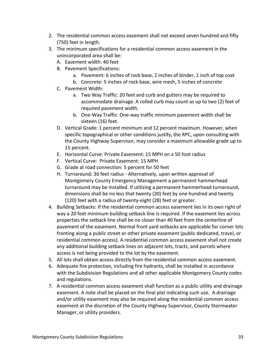- 2. The residential common access easement shall not exceed seven hundred and fifty (750) feet in length.
- 3. The minimum specifications for a residential common access easement in the unincorporated area shall be:
	- A. Easement width: 40 feet
	- B. Pavement Specifications:
		- a. Pavement: 6 inches of rock base, 2 inches of binder, 1 inch of top coat
		- b. Concrete: 5 inches of rock base, wire mesh, 5 inches of concrete
	- C. Pavement Width:
		- a. Two Way Traffic: 20 feet and curb and gutters may be required to accommodate drainage. A rolled curb may count as up to two (2) feet of required pavement width.
		- b. One-Way Traffic: One-way traffic minimum pavement width shall be sixteen (16) feet.
	- D. Vertical Grade: 1 percent minimum and 12 percent maximum. However, when specific topographical or other conditions justify, the RPC, upon consulting with the County Highway Supervisor, may consider a maximum allowable grade up to 15 percent.
	- E. Horizontal Curve: Private Easement: 15 MPH on a 50 foot radius
	- F. Vertical Curve: Private Easement: 15 MPH
	- G. Grade at road connection: 5 percent for 50 feet
	- H. Turnaround: 36 feet radius Alternatively, upon written approval of Montgomery County Emergency Management a permanent hammerhead turnaround may be installed. If utilizing a permanent hammerhead turnaround, dimensions shall be no less that twenty (20) feet by one hundred and twenty (120) feet with a radius of twenty-eight (28) feet or greater.
- 4. Building Setbacks: If the residential common access easement lies in its own right of way a 20 feet minimum building setback line is required. If the easement lies across properties the setback line shall be no closer than 40 feet from the centerline of pavement of the easement. Normal front yard setbacks are applicable for corner lots fronting along a public street or other private easement (public dedicated, travel, or residential common access). A residential common access easement shall not create any additional building setback lines on adjacent lots, tracts, and parcels where access is not being provided to the lot by the easement.
- 5. All lots shall obtain access directly from the residential common access easement.
- 6. Adequate fire protection, including fire hydrants, shall be installed in accordance with the Subdivision Regulations and all other applicable Montgomery County codes and regulations.
- 7. A residential common access easement shall function as a public utility and drainage easement. A note shall be placed on the final plat indicating such use. A drainage and/or utility easement may also be required along the residential common access easement at the discretion of the County Highway Supervisor, County Stormwater Manager, or utility providers.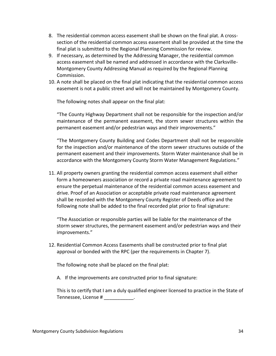- 8. The residential common access easement shall be shown on the final plat. A crosssection of the residential common access easement shall be provided at the time the final plat is submitted to the Regional Planning Commission for review.
- 9. If necessary, as determined by the Addressing Manager, the residential common access easement shall be named and addressed in accordance with the Clarksville-Montgomery County Addressing Manual as required by the Regional Planning Commission.
- 10. A note shall be placed on the final plat indicating that the residential common access easement is not a public street and will not be maintained by Montgomery County.

The following notes shall appear on the final plat:

"The County Highway Department shall not be responsible for the inspection and/or maintenance of the permanent easement, the storm sewer structures within the permanent easement and/or pedestrian ways and their improvements."

"The Montgomery County Building and Codes Department shall not be responsible for the inspection and/or maintenance of the storm sewer structures outside of the permanent easement and their improvements. Storm Water maintenance shall be in accordance with the Montgomery County Storm Water Management Regulations."

11. All property owners granting the residential common access easement shall either form a homeowners association or record a private road maintenance agreement to ensure the perpetual maintenance of the residential common access easement and drive. Proof of an Association or acceptable private road maintenance agreement shall be recorded with the Montgomery County Register of Deeds office and the following note shall be added to the final recorded plat prior to final signature:

"The Association or responsible parties will be liable for the maintenance of the storm sewer structures, the permanent easement and/or pedestrian ways and their improvements."

12. Residential Common Access Easements shall be constructed prior to final plat approval or bonded with the RPC (per the requirements in Chapter 7).

The following note shall be placed on the final plat:

A. If the improvements are constructed prior to final signature:

This is to certify that I am a duly qualified engineer licensed to practice in the State of Tennessee, License # \_\_\_\_\_\_\_\_\_\_\_.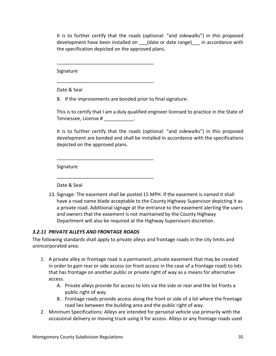It is to further certify that the roads (optional: "and sidewalks") in this proposed development have been installed on (date or date range) in accordance with the specification depicted on the approved plans.

Signature

Date & Seal

B. If the improvements are bonded prior to final signature:

\_\_\_\_\_\_\_\_\_\_\_\_\_\_\_\_\_\_\_\_\_\_\_\_\_\_\_\_\_\_\_\_\_\_\_\_

\_\_\_\_\_\_\_\_\_\_\_\_\_\_\_\_\_\_\_\_\_\_\_\_\_\_\_\_\_\_\_\_\_\_\_\_

\_\_\_\_\_\_\_\_\_\_\_\_\_\_\_\_\_\_\_\_\_\_\_\_\_\_\_\_\_\_\_\_\_\_\_\_

\_\_\_\_\_\_\_\_\_\_\_\_\_\_\_\_\_\_\_\_\_\_\_\_\_\_\_\_\_\_\_\_\_\_\_\_

This is to certify that I am a duly qualified engineer licensed to practice in the State of Tennessee, License # \_\_\_\_\_\_\_\_\_\_\_.

It is to further certify that the roads (optional: "and sidewalks") in this proposed development are bonded and shall be installed in accordance with the specifications depicted on the approved plans.

Signature

Date & Seal

13. Signage: The easement shall be posted 15 MPH. If the easement is named it shall have a road name blade acceptable to the County Highway Supervisor depicting it as a private road. Additional signage at the entrance to the easement alerting the users and owners that the easement is not maintained by the County Highway Department will also be required at the Highway Supervisors discretion.

#### <span id="page-34-0"></span>*3.2.11 PRIVATE ALLEYS AND FRONTAGE ROADS*

The following standards shall apply to private alleys and frontage roads in the city limits and unincorporated area:

- 1. A private alley or frontage road is a permanent, private easement that may be created in order to gain rear or side access (or front access in the case of a frontage road) to lots that has frontage on another public or private right of way as a means for alternative access.
	- A. Private alleys provide for access to lots via the side or rear and the lot fronts a public right of way.
	- B. Frontage roads provide access along the front or side of a lot where the frontage road lies between the building area and the public right of way.
- 2. Minimum Specifications: Alleys are intended for personal vehicle use primarily with the occasional delivery or moving truck using it for access. Alleys or any frontage roads used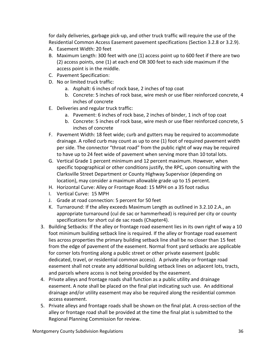for daily deliveries, garbage pick-up, and other truck traffic will require the use of the Residential Common Access Easement pavement specifications (Section 3.2.8 or 3.2.9).

- A. Easement Width: 20 feet
- B. Maximum Length: 300 feet with one (1) access point up to 600 feet if there are two (2) access points, one (1) at each end OR 300 feet to each side maximum if the access point is in the middle.
- C. Pavement Specification:
- D. No or limited truck traffic:
	- a. Asphalt: 6 inches of rock base, 2 inches of top coat
	- b. Concrete: 5 inches of rock base, wire mesh or use fiber reinforced concrete, 4 inches of concrete
- E. Deliveries and regular truck traffic:
	- a. Pavement: 6 inches of rock base, 2 inches of binder, 1 inch of top coat
	- b. Concrete: 5 inches of rock base, wire mesh or use fiber reinforced concrete, 5 inches of concrete
- F. Pavement Width: 18 feet wide; curb and gutters may be required to accommodate drainage. A rolled curb may count as up to one (1) foot of required pavement width per side. The connector "throat road" from the public right of way may be required to have up to 24 feet wide of pavement when serving more than 10 total lots.
- G. Vertical Grade 1 percent minimum and 12 percent maximum. However, when specific topographical or other conditions justify, the RPC, upon consulting with the Clarksville Street Department or County Highway Supervisor (depending on location), may consider a maximum allowable grade up to 15 percent.
- H. Horizontal Curve: Alley or Frontage Road: 15 MPH on a 35 foot radius
- I. Vertical Curve: 15 MPH
- J. Grade at road connection: 5 percent for 50 feet
- K. Turnaround: If the alley exceeds Maximum Length as outlined in 3.2.10 2.A., an appropriate turnaround (cul de sac or hammerhead) is required per city or county specifications for short cul de sac roads (Chapter4).
- 3. Building Setbacks: If the alley or frontage road easement lies in its own right of way a 10 foot minimum building setback line is required. If the alley or frontage road easement lies across properties the primary building setback line shall be no closer than 15 feet from the edge of pavement of the easement. Normal front yard setbacks are applicable for corner lots fronting along a public street or other private easement (public dedicated, travel, or residential common access). A private alley or frontage road easement shall not create any additional building setback lines on adjacent lots, tracts, and parcels where access is not being provided by the easement.
- 4. Private alleys and frontage roads shall function as a public utility and drainage easement. A note shall be placed on the final plat indicating such use. An additional drainage and/or utility easement may also be required along the residential common access easement.
- 5. Private alleys and frontage roads shall be shown on the final plat. A cross-section of the alley or frontage road shall be provided at the time the final plat is submitted to the Regional Planning Commission for review.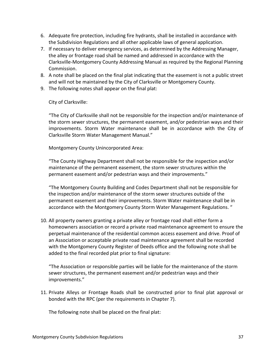- 6. Adequate fire protection, including fire hydrants, shall be installed in accordance with the Subdivision Regulations and all other applicable laws of general application.
- 7. If necessary to deliver emergency services, as determined by the Addressing Manager, the alley or frontage road shall be named and addressed in accordance with the Clarksville-Montgomery County Addressing Manual as required by the Regional Planning Commission.
- 8. A note shall be placed on the final plat indicating that the easement is not a public street and will not be maintained by the City of Clarksville or Montgomery County.
- 9. The following notes shall appear on the final plat:

City of Clarksville:

"The City of Clarksville shall not be responsible for the inspection and/or maintenance of the storm sewer structures, the permanent easement, and/or pedestrian ways and their improvements. Storm Water maintenance shall be in accordance with the City of Clarksville Storm Water Management Manual."

Montgomery County Unincorporated Area:

"The County Highway Department shall not be responsible for the inspection and/or maintenance of the permanent easement, the storm sewer structures within the permanent easement and/or pedestrian ways and their improvements."

"The Montgomery County Building and Codes Department shall not be responsible for the inspection and/or maintenance of the storm sewer structures outside of the permanent easement and their improvements. Storm Water maintenance shall be in accordance with the Montgomery County Storm Water Management Regulations. "

10. All property owners granting a private alley or frontage road shall either form a homeowners association or record a private road maintenance agreement to ensure the perpetual maintenance of the residential common access easement and drive. Proof of an Association or acceptable private road maintenance agreement shall be recorded with the Montgomery County Register of Deeds office and the following note shall be added to the final recorded plat prior to final signature:

"The Association or responsible parties will be liable for the maintenance of the storm sewer structures, the permanent easement and/or pedestrian ways and their improvements."

11. Private Alleys or Frontage Roads shall be constructed prior to final plat approval or bonded with the RPC (per the requirements in Chapter 7).

The following note shall be placed on the final plat: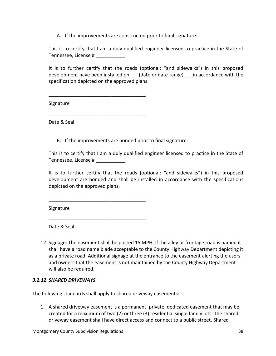A. If the improvements are constructed prior to final signature:

This is to certify that I am a duly qualified engineer licensed to practice in the State of Tennessee, License # \_\_\_\_\_\_\_\_\_.

It is to further certify that the roads (optional: "and sidewalks") in this proposed development have been installed on \_\_\_(date or date range)\_\_\_ in accordance with the specification depicted on the approved plans.

Signature

Date & Seal

B. If the improvements are bonded prior to final signature:

\_\_\_\_\_\_\_\_\_\_\_\_\_\_\_\_\_\_\_\_\_\_\_\_\_\_\_\_\_\_\_\_\_\_\_\_

\_\_\_\_\_\_\_\_\_\_\_\_\_\_\_\_\_\_\_\_\_\_\_\_\_\_\_\_\_\_\_\_\_\_\_\_

\_\_\_\_\_\_\_\_\_\_\_\_\_\_\_\_\_\_\_\_\_\_\_\_\_\_\_\_\_\_\_\_\_\_\_\_

\_\_\_\_\_\_\_\_\_\_\_\_\_\_\_\_\_\_\_\_\_\_\_\_\_\_\_\_\_\_\_\_\_\_\_\_

This is to certify that I am a duly qualified engineer licensed to practice in the State of Tennessee, License # \_\_\_\_\_\_\_\_\_.

It is to further certify that the roads (optional: "and sidewalks") in this proposed development are bonded and shall be installed in accordance with the specifications depicted on the approved plans.

Signature

Date & Seal

12. Signage: The easement shall be posted 15 MPH. If the alley or frontage road is named it shall have a road name blade acceptable to the County Highway Department depicting it as a private road. Additional signage at the entrance to the easement alerting the users and owners that the easement is not maintained by the County Highway Department will also be required.

#### *3.2.12 SHARED DRIVEWAYS*

The following standards shall apply to shared driveway easements:

1. A shared driveway easement is a permanent, private, dedicated easement that may be created for a maximum of two (2) or three (3) residential single family lots. The shared driveway easement shall have direct access and connect to a public street. Shared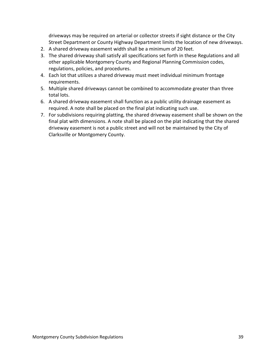driveways may be required on arterial or collector streets if sight distance or the City Street Department or County Highway Department limits the location of new driveways.

- 2. A shared driveway easement width shall be a minimum of 20 feet.
- 3. The shared driveway shall satisfy all specifications set forth in these Regulations and all other applicable Montgomery County and Regional Planning Commission codes, regulations, policies, and procedures.
- 4. Each lot that utilizes a shared driveway must meet individual minimum frontage requirements.
- 5. Multiple shared driveways cannot be combined to accommodate greater than three total lots.
- 6. A shared driveway easement shall function as a public utility drainage easement as required. A note shall be placed on the final plat indicating such use.
- 7. For subdivisions requiring platting, the shared driveway easement shall be shown on the final plat with dimensions. A note shall be placed on the plat indicating that the shared driveway easement is not a public street and will not be maintained by the City of Clarksville or Montgomery County.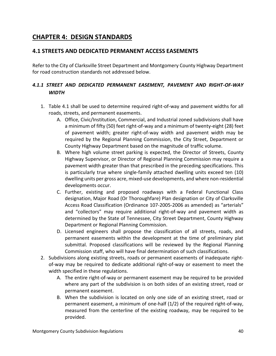# **CHAPTER 4: DESIGN STANDARDS**

## **4.1 STREETS AND DEDICATED PERMANENT ACCESS EASEMENTS**

Refer to the City of Clarksville Street Department and Montgomery County Highway Department for road construction standards not addressed below.

## *4.1.1 STREET AND DEDICATED PERMANENT EASEMENT, PAVEMENT AND RIGHT-OF-WAY WIDTH*

- 1. Table 4.1 shall be used to determine required right-of-way and pavement widths for all roads, streets, and permanent easements.
	- A. Office, Civic/Institution, Commercial, and Industrial zoned subdivisions shall have a minimum of fifty (50) feet right-of-way and a minimum of twenty-eight (28) feet of pavement width; greater right-of-way width and pavement width may be required by the Regional Planning Commission, the City Street, Department or County Highway Department based on the magnitude of traffic volume.
	- B. Where high volume street parking is expected, the Director of Streets, County Highway Supervisor, or Director of Regional Planning Commission may require a pavement width greater than that prescribed in the preceding specifications. This is particularly true where single-family attached dwelling units exceed ten (10) dwelling units per gross acre, mixed-use developments, and where non-residential developments occur.
	- C. Further, existing and proposed roadways with a Federal Functional Class designation, Major Road (Or Thoroughfare) Plan designation or City of Clarksville Access Road Classification (Ordinance 107-2005-2006 as amended) as "arterials" and "collectors" may require additional right-of-way and pavement width as determined by the State of Tennessee, City Street Department, County Highway Department or Regional Planning Commission.
	- D. Licensed engineers shall propose the classification of all streets, roads, and permanent easements within the development at the time of preliminary plat submittal. Proposed classifications will be reviewed by the Regional Planning Commission staff, who will have final determination of such classifications.
- 2. Subdivisions along existing streets, roads or permanent easements of inadequate rightof-way may be required to dedicate additional right-of-way or easement to meet the width specified in these regulations.
	- A. The entire right-of-way or permanent easement may be required to be provided where any part of the subdivision is on both sides of an existing street, road or permanent easement.
	- B. When the subdivision is located on only one side of an existing street, road or permanent easement, a minimum of one-half (1/2) of the required right-of-way, measured from the centerline of the existing roadway, may be required to be provided.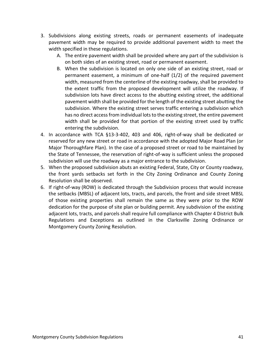- 3. Subdivisions along existing streets, roads or permanent easements of inadequate pavement width may be required to provide additional pavement width to meet the width specified in these regulations.
	- A. The entire pavement width shall be provided where any part of the subdivision is on both sides of an existing street, road or permanent easement.
	- B. When the subdivision is located on only one side of an existing street, road or permanent easement, a minimum of one-half (1/2) of the required pavement width, measured from the centerline of the existing roadway, shall be provided to the extent traffic from the proposed development will utilize the roadway. If subdivision lots have direct access to the abutting existing street, the additional pavement width shall be provided for the length of the existing street abutting the subdivision. Where the existing street serves traffic entering a subdivision which has no direct access from individual lots to the existing street, the entire pavement width shall be provided for that portion of the existing street used by traffic entering the subdivision.
- 4. In accordance with TCA §13-3-402, 403 and 406, right-of-way shall be dedicated or reserved for any new street or road in accordance with the adopted Major Road Plan (or Major Thoroughfare Plan). In the case of a proposed street or road to be maintained by the State of Tennessee, the reservation of right-of-way is sufficient unless the proposed subdivision will use the roadway as a major entrance to the subdivision.
- 5. When the proposed subdivision abuts an existing Federal, State, City or County roadway, the front yards setbacks set forth in the City Zoning Ordinance and County Zoning Resolution shall be observed.
- 6. If right-of-way (ROW) is dedicated through the Subdivision process that would increase the setbacks (MBSL) of adjacent lots, tracts, and parcels, the front and side street MBSL of those existing properties shall remain the same as they were prior to the ROW dedication for the purpose of site plan or building permit. Any subdivision of the existing adjacent lots, tracts, and parcels shall require full compliance with Chapter 4 District Bulk Regulations and Exceptions as outlined in the Clarksville Zoning Ordinance or Montgomery County Zoning Resolution.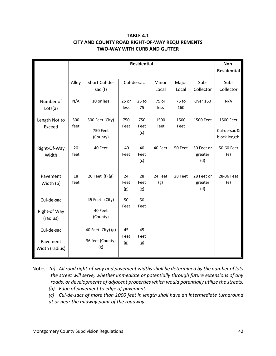## **TABLE 4.1 CITY AND COUNTY ROAD RIGHT-OF-WAY REQUIREMENTS TWO-WAY WITH CURB AND GUTTER**

|                                          | <b>Residential</b> |                                                |                   |                    |                |                |                              | Non-<br><b>Residential</b>                |
|------------------------------------------|--------------------|------------------------------------------------|-------------------|--------------------|----------------|----------------|------------------------------|-------------------------------------------|
|                                          | Alley              | Short Cul-de-<br>sac $(f)$                     | Cul-de-sac        |                    | Minor<br>Local | Major<br>Local | Sub-<br>Collector            | Sub-<br>Collector                         |
| Number of<br>Lots(a)                     | N/A                | 10 or less                                     | $25$ or<br>less   | $26$ to<br>75      | 75 or<br>less  | 76 to<br>160   | <b>Over 160</b>              | N/A                                       |
| Length Not to<br>Exceed                  | 500<br>feet        | 500 Feet (City)<br><b>750 Feet</b><br>(County) | 750<br>Feet       | 750<br>Feet<br>(c) | 1500<br>Feet   | 1500<br>Feet   | 1500 Feet                    | 1500 Feet<br>Cul-de-sac &<br>block length |
| Right-Of-Way<br>Width                    | 20<br>feet         | 40 Feet                                        | 40<br>Feet        | 40<br>Feet<br>(c)  | 40 Feet        | 50 Feet        | 50 Feet or<br>greater<br>(d) | 50-60 Feet<br>(e)                         |
| Pavement<br>Width (b)                    | 18<br>feet         | 20 Feet (f) (g)                                | 24<br>Feet<br>(g) | 28<br>Feet<br>(g)  | 24 Feet<br>(g) | 28 Feet        | 28 Feet or<br>greater<br>(d) | 28-36 Feet<br>(e)                         |
| Cul-de-sac<br>Right-of Way<br>(radius)   |                    | 45 Feet (City)<br>40 Feet<br>(County)          | 50<br>Feet        | 50<br>Feet         |                |                |                              |                                           |
| Cul-de-sac<br>Pavement<br>Width (radius) |                    | 40 Feet (City) (g)<br>36 feet (County)<br>(g)  | 45<br>Feet<br>(g) | 45<br>Feet<br>(g)  |                |                |                              |                                           |

Notes: *(a) All road right-of-way and pavement widths shall be determined by the number of lots the street will serve, whether immediate or potentially through future extensions of any roads, or developments of adjacent properties which would potentially utilize the streets. (b) Edge of pavement to edge of pavement.*

*(c) Cul-de-sacs of more than 1000 feet in length shall have an intermediate turnaround at or near the midway point of the roadway.*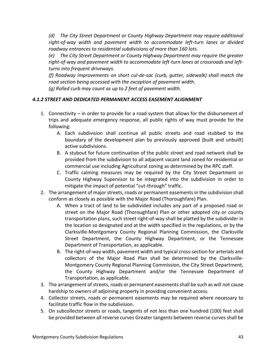*(d) The City Street Department or County Highway Department may require additional right-of-way width and pavement width to accommodate left-turn lanes or divided roadway entrances to residential subdivisions of more than 160 lots.*

*(e) The City Street Department or County Highway Department may require the greater right-of-way and pavement width to accommodate left-turn lanes at crossroads and leftturns into frequent driveways.*

*(f) Roadway improvements on short cul-de-sac (curb, gutter, sidewalk) shall match the road section being accessed with the exception of pavement width.*

*(g) Rolled curb may count as up to 2 feet of pavement width.* 

## *4.1.2 STREET AND DEDICATED PERMANENT ACCESS EASEMENT ALIGNMENT*

- 1. Connectivity in order to provide for a road system that allows for the disbursement of trips and adequate emergency response, all public rights of way must provide for the following:
	- A. Each subdivision shall continue all public streets and road stubbed to the boundary of the development plan by previously approved (built and unbuilt) active subdivisions.
	- B. A stubout for future continuation of the public street and road network shall be provided from the subdivision to all adjacent vacant land zoned for residential or commercial use including Agricultural zoning as determined by the RPC staff.
	- C. Traffic calming measures may be required by the City Street Department or County Highway Supervisor to be integrated into the subdivision in order to mitigate the impact of potential "cut-through" traffic.
- 2. The arrangement of major streets, roads or permanent easementsin the subdivision shall conform as closely as possible with the Major Road (Thoroughfare) Plan.
	- A. When a tract of land to be subdivided includes any part of a proposed road or street on the Major Road (Thoroughfare) Plan or other adopted city or county transportation plans, such street right-of-way shall be platted by the subdivider in the location so designated and at the width specified in the regulations, or by the Clarksville-Montgomery County Regional Planning Commission, the Clarksville Street Department, the County Highway Department, or the Tennessee Department of Transportation, as applicable.
	- B. The right-of-way width, pavement width and typical cross-section for arterials and collectors of the Major Road Plan shall be determined by the Clarksville-Montgomery County Regional Planning Commission, the City Street Department, the County Highway Department and/or the Tennessee Department of Transportation, as applicable.
- 3. The arrangement of streets, roads or permanent easements shall be such as will not cause hardship to owners of adjoining property in providing convenient access.
- 4. Collector streets, roads or permanent easements may be required where necessary to facilitate traffic flow in the subdivision.
- 5. On subcollector streets or roads, tangents of not less than one hundred (100) feet shall be provided between all reverse curves Greater tangents between reverse curves shall be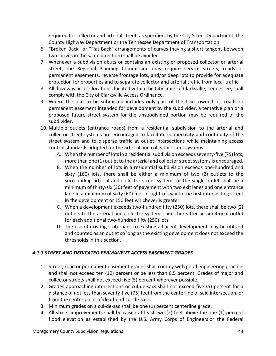required for collector and arterial street, as specified, by the City Street Department, the County Highway Department or the Tennessee Department of Transportation.

- 6. "Broken Back" or "Flat Back" arrangements of curves (having a short tangent between two curves in the same direction) shall be avoided.
- 7. Whenever a subdivision abuts or contains an existing or proposed collector or arterial street, the Regional Planning Commission may require service streets, roads or permanent easements, reverse frontage lots, and/or deep lots to provide for adequate protection for properties and to separate collector and arterial traffic from local traffic.
- 8. All driveway access locations, located within the City limits of Clarksville, Tennessee, shall comply with the City of Clarksville Access Ordinance.
- 9. Where the plat to be submitted includes only part of the tract owned or, roads or permanent easement intended for development by the subdivider, a tentative plan or a proposed future street system for the unsubdivided portion may be required of the subdivider.
- 10. Multiple outlets (entrance roads) from a residential subdivision to the arterial and collector street systems are encouraged to facilitate connectivity and continuity of the street system and to disperse traffic at outlet intersections while maintaining access control standards adopted for the arterial and collector street systems.
	- A. When the number of lots in a residential subdivision exceeds seventy-five (75) lots, more than one (1) outlet to the arterial and collector street systems is encouraged.
	- B. When the number of lots in a residential subdivision exceeds one-hundred and sixty (160) lots, there shall be either a minimum of two (2) outlets to the surrounding arterial and collector street systems or the single outlet shall be a minimum of thirty-six (36) feet of pavement with two exit lanes and one entrance lane in a minimum of sixty (60) feet of right-of-way to the first intersecting street in the development or 150 feet whichever is greater.
	- C. When a development exceeds two-hundred fifty (250) lots, there shall be two (2) outlets to the arterial and collector systems, and thereafter an additional outlet for each additional two-hundred fifty (250) lots*.*
	- D. The use of existing stub roads to existing adjacent development may be utilized and counted as an outlet so long as the existing development does not exceed the thresholds in this section.

#### *4.1.3 STREET AND DEDICATED PERMANENT ACCESS EASEMENT GRADES*

- 1. Street, road or permanent easement grades shall comply with good engineering practice and shall not exceed ten (10) percent or be less than 0.5 percent. Grades of major and collector streets shall not exceed five (5) percent wherever possible.
- 2. Grades approaching intersections or cul-de-sacs shall not exceed five (5) percent for a distance of not less than seventy-five (75) feet from the centerline of said intersection, or from the center point of dead-end cul-de-sacs.
- 3. Minimum grades on a cul-de-sac shall be one (1) percent centerline grade.
- 4. All street improvements shall be raised at least two (2) feet above the one (1) percent flood elevation as established by the U.S. Army Corps of Engineers or the Federal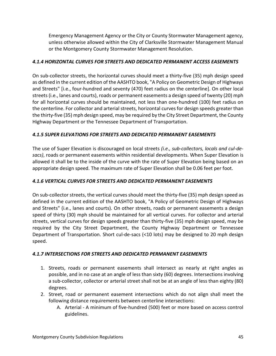Emergency Management Agency or the City or County Stormwater Management agency, unless otherwise allowed within the City of Clarksville Stormwater Management Manual or the Montgomery County Stormwater Management Resolution.

### *4.1.4 HORIZONTAL CURVES FOR STREETS AND DEDICATED PERMANENT ACCESS EASEMENTS*

On sub-collector streets, the horizontal curves should meet a thirty-five (35) mph design speed as defined in the current edition of the AASHTO book, "A Policy on Geometric Design of Highways and Streets" [i.e., four-hundred and seventy (470) feet radius on the centerline]. On other local streets (i.e., lanes and courts), roads or permanent easements a design speed of twenty (20) mph for all horizontal curves should be maintained, not less than one-hundred (100) feet radius on the centerline. For collector and arterial streets, horizontal curves for design speeds greater than the thirty-five (35) mph design speed, may be required by the City Street Department, the County Highway Department or the Tennessee Department of Transportation.

## *4.1.5 SUPER ELEVATIONS FOR STREETS AND DEDICATED PERMANENT EASEMENTS*

The use of Super Elevation is discouraged on local streets *(i.e., sub-collectors, locals and cul-desacs)*, roads or permanent easements within residential developments. When Super Elevation is allowed it shall be to the inside of the curve with the rate of Super Elevation being based on an appropriate design speed. The maximum rate of Super Elevation shall be 0.06 feet per foot.

#### *4.1.6 VERTICAL CURVES FOR STREETS AND DEDICATED PERMANENT EASEMENTS*

On sub-collector streets, the vertical curves should meet the thirty-five (35) mph design speed as defined in the current edition of the AASHTO book, "A Policy of Geometric Design of Highways and Streets" (i.e., lanes and courts). On other streets, roads or permanent easements a design speed of thirty (30) mph should be maintained for all vertical curves. For collector and arterial streets, vertical curves for design speeds greater than thirty-five (35) mph design speed, may be required by the City Street Department, the County Highway Department or Tennessee Department of Transportation. Short cul-de-sacs (<10 lots) may be designed to 20 mph design speed.

#### *4.1.7 INTERSECTIONS FOR STREETS AND DEDICATED PERMANENT EASEMENTS*

- 1. Streets, roads or permanent easements shall intersect as nearly at right angles as possible, and in no case at an angle of less than sixty (60) degrees. Intersections involving a sub-collector, collector or arterial street shall not be at an angle of less than eighty (80) degrees.
- 2. Street, road or permanent easement intersections which do not align shall meet the following distance requirements between centerline intersections:
	- A. Arterial A minimum of five-hundred (500) feet or more based on access control guidelines.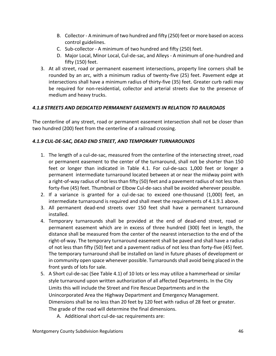- B. Collector A minimum of two hundred and fifty (250) feet or more based on access control guidelines.
- C. Sub-collector A minimum of two hundred and fifty (250) feet.
- D. Major Local, Minor Local, Cul-de-sac, and Alleys A minimum of one-hundred and fifty (150) feet.
- 3. At all street, road or permanent easement intersections, property line corners shall be rounded by an arc, with a minimum radius of twenty-five (25) feet. Pavement edge at intersections shall have a minimum radius of thirty-five (35) feet. Greater curb radii may be required for non-residential, collector and arterial streets due to the presence of medium and heavy trucks.

## *4.1.8 STREETS AND DEDICATED PERMANENT EASEMENTS IN RELATION TO RAILROADS*

The centerline of any street, road or permanent easement intersection shall not be closer than two hundred (200) feet from the centerline of a railroad crossing.

## *4.1.9 CUL-DE-SAC, DEAD END STREET, AND TEMPORARY TURNAROUNDS*

- 1. The length of a cul-de-sac, measured from the centerline of the intersecting street, road or permanent easement to the center of the turnaround, shall not be shorter than 150 feet or longer than indicated in Table 4.1. For cul-de-sacs 1,000 feet or longer a permanent intermediate turnaround located between at or near the midway point with a right-of-way radius of not less than fifty (50) feet and a pavement radius of not less than forty-five (45) feet. Thumbnail or Elbow Cul-de-sacs shall be avoided wherever possible.
- 2. If a variance is granted for a cul-de-sac to exceed one-thousand (1,000) feet, an intermediate turnaround is required and shall meet the requirements of 4.1.9.1 above.
- 3. All permanent dead-end streets over 150 feet shall have a permanent turnaround installed.
- 4. Temporary turnarounds shall be provided at the end of dead-end street, road or permanent easement which are in excess of three hundred (300) feet in length, the distance shall be measured from the center of the nearest intersection to the end of the right-of-way. The temporary turnaround easement shall be paved and shall have a radius of not less than fifty (50) feet and a pavement radius of not less than forty-five (45) feet. The temporary turnaround shall be installed on land in future phases of development or in community open space whenever possible. Turnarounds shall avoid being placed in the front yards of lots for sale.
- 5. A Short cul-de-sac (See Table 4.1) of 10 lots or less may utilize a hammerhead or similar style turnaround upon written authorization of all affected Departments. In the City Limits this will include the Street and Fire Rescue Departments and in the Unincorporated Area the Highway Department and Emergency Management. Dimensions shall be no less than 20 feet by 120 feet with radius of 28 feet or greater. The grade of the road will determine the final dimensions.
	- A. Additional short cul-de-sac requirements are: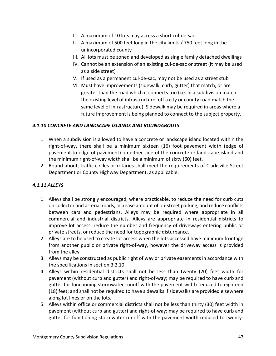- I. A maximum of 10 lots may access a short cul-de-sac
- II. A maximum of 500 feet long in the city limits / 750 feet long in the unincorporated county
- III. All lots must be zoned and developed as single family detached dwellings
- IV. Cannot be an extension of an existing cul-de-sac or street (it may be used as a side street)
- V. If used as a permanent cul-de-sac, may not be used as a street stub
- VI. Must have improvements (sidewalk, curb, gutter) that match, or are greater than the road which it connects too (i.e. in a subdivision match the existing level of infrastructure, off a city or county road match the same level of infrastructure). Sidewalk may be required in areas where a future improvement is being planned to connect to the subject property.

#### *4.1.10 CONCRETE AND LANDSCAPE ISLANDS AND ROUNDABOUTS*

- 1. When a subdivision is allowed to have a concrete or landscape island located within the right-of-way, there shall be a minimum sixteen (16) foot pavement width (edge of pavement to edge of pavement) on either side of the concrete or landscape island and the minimum right-of-way width shall be a minimum of sixty (60) feet.
- 2. Round-about, traffic circles or rotaries shall meet the requirements of Clarksville Street Department or County Highway Department, as applicable.

## *4.1.11 ALLEYS*

- 1. Alleys shall be strongly encouraged, where practicable, to reduce the need for curb cuts on collector and arterial roads, increase amount of on-street parking, and reduce conflicts between cars and pedestrians. Alleys may be required where appropriate in all commercial and industrial districts. Alleys are appropriate in residential districts to improve lot access, reduce the number and frequency of driveways entering public or private streets, or reduce the need for topographic disturbance.
- 2. Alleys are to be used to create lot access when the lots accessed have minimum frontage from another public or private right-of-way, however the driveway access is provided from the alley.
- 3. Alleys may be constructed as public right of way or private easements in accordance with the specifications in section 3.2.10.
- 4. Alleys within residential districts shall not be less than twenty (20) feet width for pavement (without curb and gutter) and right-of-way; may be required to have curb and gutter for functioning stormwater runoff with the pavement width reduced to eighteen (18) feet; and shall not be required to have sidewalks if sidewalks are provided elsewhere along lot lines or on the lots.
- 5. Alleys within office or commercial districts shall not be less than thirty (30) feet width in pavement (without curb and gutter) and right-of-way; may be required to have curb and gutter for functioning stormwater runoff with the pavement width reduced to twenty-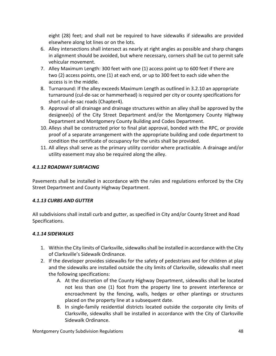eight (28) feet; and shall not be required to have sidewalks if sidewalks are provided elsewhere along lot lines or on the lots.

- 6. Alley intersections shall intersect as nearly at right angles as possible and sharp changes in alignment should be avoided, but where necessary, corners shall be cut to permit safe vehicular movement.
- 7. Alley Maximum Length: 300 feet with one (1) access point up to 600 feet if there are two (2) access points, one (1) at each end, or up to 300 feet to each side when the access is in the middle.
- 8. Turnaround: If the alley exceeds Maximum Length as outlined in 3.2.10 an appropriate turnaround (cul-de-sac or hammerhead) is required per city or county specifications for short cul-de-sac roads (Chapter4).
- 9. Approval of all drainage and drainage structures within an alley shall be approved by the designee(s) of the City Street Department and/or the Montgomery County Highway Department and Montgomery County Building and Codes Department.
- 10. Alleys shall be constructed prior to final plat approval, bonded with the RPC, or provide proof of a separate arrangement with the appropriate building and code department to condition the certificate of occupancy for the units shall be provided.
- 11. All alleys shall serve as the primary utility corridor where practicable. A drainage and/or utility easement may also be required along the alley.

## *4.1.12 ROADWAY SURFACING*

Pavements shall be installed in accordance with the rules and regulations enforced by the City Street Department and County Highway Department.

## *4.1.13 CURBS AND GUTTER*

All subdivisions shall install curb and gutter, as specified in City and/or County Street and Road Specifications.

## *4.1.14 SIDEWALKS*

- 1. Within the City limits of Clarksville, sidewalks shall be installed in accordance with the City of Clarksville's Sidewalk Ordinance.
- 2. If the developer provides sidewalks for the safety of pedestrians and for children at play and the sidewalks are installed outside the city limits of Clarksville, sidewalks shall meet the following specifications:
	- A. At the discretion of the County Highway Department, sidewalks shall be located not less than one (1) foot from the property line to prevent interference or encroachment by the fencing, walls, hedges or other plantings or structures placed on the property line at a subsequent date.
	- B. In single-family residential districts located outside the corporate city limits of Clarksville, sidewalks shall be installed in accordance with the City of Clarksville Sidewalk Ordinance.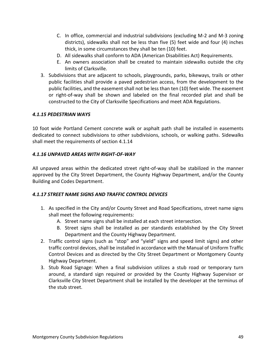- C. In office, commercial and industrial subdivisions (excluding M-2 and M-3 zoning districts), sidewalks shall not be less than five (5) feet wide and four (4) inches thick, in some circumstances they shall be ten (10) feet.
- D. All sidewalks shall conform to ADA (American Disabilities Act) Requirements.
- E. An owners association shall be created to maintain sidewalks outside the city limits of Clarksville.
- 3. Subdivisions that are adjacent to schools, playgrounds, parks, bikeways, trails or other public facilities shall provide a paved pedestrian access, from the development to the public facilities, and the easement shall not be less than ten (10) feet wide. The easement or right-of-way shall be shown and labeled on the final recorded plat and shall be constructed to the City of Clarksville Specifications and meet ADA Regulations.

#### *4.1.15 PEDESTRIAN WAYS*

10 foot wide Portland Cement concrete walk or asphalt path shall be installed in easements dedicated to connect subdivisions to other subdivisions, schools, or walking paths. Sidewalks shall meet the requirements of section 4.1.14

## *4.1.16 UNPAVED AREAS WITH RIGHT-OF-WAY*

All unpaved areas within the dedicated street right-of-way shall be stabilized in the manner approved by the City Street Department, the County Highway Department, and/or the County Building and Codes Department.

#### *4.1.17 STREET NAME SIGNS AND TRAFFIC CONTROL DEVICES*

- 1. As specified in the City and/or County Street and Road Specifications, street name signs shall meet the following requirements:
	- A. Street name signs shall be installed at each street intersection.
	- B. Street signs shall be installed as per standards established by the City Street Department and the County Highway Department.
- 2. Traffic control signs (such as "stop" and "yield" signs and speed limit signs) and other traffic control devices, shall be installed in accordance with the Manual of Uniform Traffic Control Devices and as directed by the City Street Department or Montgomery County Highway Department.
- 3. Stub Road Signage: When a final subdivision utilizes a stub road or temporary turn around, a standard sign required or provided by the County Highway Supervisor or Clarksville City Street Department shall be installed by the developer at the terminus of the stub street.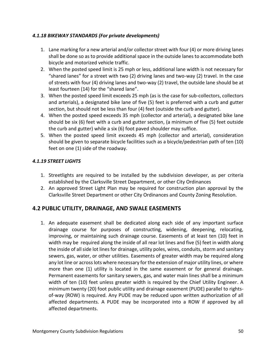### *4.1.18 BIKEWAY STANDARDS (For private developments)*

- 1. Lane marking for a new arterial and/or collector street with four (4) or more driving lanes shall be done so as to provide additional space in the outside lanes to accommodate both bicycle and motorized vehicle traffic.
- 2. When the posted speed limit is 25 mph or less, additional lane width is not necessary for "shared lanes" for a street with two (2) driving lanes and two-way (2) travel. In the case of streets with four (4) driving lanes and two-way (2) travel, the outside lane should be at least fourteen (14) for the "shared lane".
- 3. When the posted speed limit exceeds 25 mph (as is the case for sub-collectors, collectors and arterials), a designated bike lane of five (5) feet is preferred with a curb and gutter section, but should not be less than four (4) feet (outside the curb and gutter).
- 4. When the posted speed exceeds 35 mph (collector and arterial), a designated bike lane should be six (6) feet with a curb and gutter section, (a minimum of five (5) feet outside the curb and gutter) while a six (6) foot paved shoulder may suffice.
- 5. When the posted speed limit exceeds 45 mph (collector and arterial), consideration should be given to separate bicycle facilities such as a bicycle/pedestrian path of ten (10) feet on one (1) side of the roadway.

## *4.1.19 STREET LIGHTS*

- 1. Streetlights are required to be installed by the subdivision developer, as per criteria established by the Clarksville Street Department, or other City Ordinances
- 2. An approved Street Light Plan may be required for construction plan approval by the Clarksville Street Department or other City Ordinances and County Zoning Resolution.

# **4.2 PUBLIC UTILITY, DRAINAGE, AND SWALE EASEMENTS**

1. An adequate easement shall be dedicated along each side of any important surface drainage course for purposes of constructing, widening, deepening, relocating, improving, or maintaining such drainage course. Easements of at least ten (10) feet in width may be required along the inside of all rear lot lines and five (5) feet in width along the inside of all side lot lines for drainage, utility poles, wires, conduits, storm and sanitary sewers, gas, water, or other utilities. Easements of greater width may be required along any lot line or across lots where necessary for the extension of major utility lines, or where more than one (1) utility is located in the same easement or for general drainage. Permanent easements for sanitary sewers, gas, and water main lines shall be a minimum width of ten (10) feet unless greater width is required by the Chief Utility Engineer. A minimum twenty (20) foot public utility and drainage easement (PUDE) parallel to rightsof-way (ROW) is required. Any PUDE may be reduced upon written authorization of all affected departments. A PUDE may be incorporated into a ROW if approved by all affected departments.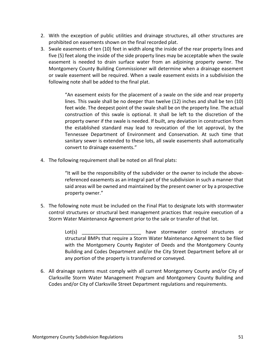- 2. With the exception of public utilities and drainage structures, all other structures are prohibited on easements shown on the final recorded plat.
- 3. Swale easements of ten (10) feet in width along the inside of the rear property lines and five (5) feet along the inside of the side property lines may be acceptable when the swale easement is needed to drain surface water from an adjoining property owner. The Montgomery County Building Commissioner will determine when a drainage easement or swale easement will be required. When a swale easement exists in a subdivision the following note shall be added to the final plat.

"An easement exists for the placement of a swale on the side and rear property lines. This swale shall be no deeper than twelve (12) inches and shall be ten (10) feet wide. The deepest point of the swale shall be on the property line. The actual construction of this swale is optional. It shall be left to the discretion of the property owner if the swale is needed. If built, any deviation in construction from the established standard may lead to revocation of the lot approval, by the Tennessee Department of Environment and Conservation. At such time that sanitary sewer is extended to these lots, all swale easements shall automatically convert to drainage easements."

4. The following requirement shall be noted on all final plats:

"It will be the responsibility of the subdivider or the owner to include the abovereferenced easements as an integral part of the subdivision in such a manner that said areas will be owned and maintained by the present owner or by a prospective property owner."

5. The following note must be included on the Final Plat to designate lots with stormwater control structures or structural best management practices that require execution of a Storm Water Maintenance Agreement prior to the sale or transfer of that lot.

> Lot(s) \_\_\_\_\_\_\_\_\_\_\_\_\_\_\_\_\_\_\_\_\_\_ have stormwater control structures or structural BMPs that require a Storm Water Maintenance Agreement to be filed with the Montgomery County Register of Deeds and the Montgomery County Building and Codes Department and/or the City Street Department before all or any portion of the property is transferred or conveyed.

6. All drainage systems must comply with all current Montgomery County and/or City of Clarksville Storm Water Management Program and Montgomery County Building and Codes and/or City of Clarksville Street Department regulations and requirements.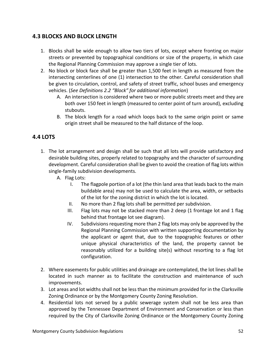# **4.3 BLOCKS AND BLOCK LENGTH**

- 1. Blocks shall be wide enough to allow two tiers of lots, except where fronting on major streets or prevented by topographical conditions or size of the property, in which case the Regional Planning Commission may approve a single tier of lots.
- 2. No block or block face shall be greater than 1,500 feet in length as measured from the intersecting centerlines of one (1) intersection to the other. Careful consideration shall be given to circulation, control, and safety of street traffic, school buses and emergency vehicles. (*See Definitions 2.2 "Block" for additional information*)
	- A. An intersection is considered where two or more public streets meet and they are both over 150 feet in length (measured to center point of turn around), excluding stubouts.
	- B. The block length for a road which loops back to the same origin point or same origin street shall be measured to the half distance of the loop.

# **4.4 LOTS**

- 1. The lot arrangement and design shall be such that all lots will provide satisfactory and desirable building sites, properly related to topography and the character of surrounding development. Careful consideration shall be given to avoid the creation of flag lots within single-family subdivision developments.
	- A. Flag Lots:
		- I. The flagpole portion of a lot (the thin land area that leads back to the main buildable area) may not be used to calculate the area, width, or setbacks of the lot for the zoning district in which the lot is located.
		- II. No more than 2 flag lots shall be permitted per subdivision.
		- III. Flag lots may not be stacked more than 2 deep (1 frontage lot and 1 flag behind that frontage lot see diagram).
		- IV. Subdivisions requesting more than 2 flag lots may only be approved by the Regional Planning Commission with written supporting documentation by the applicant or agent that, due to the topographic features or other unique physical characteristics of the land, the property cannot be reasonably utilized for a building site(s) without resorting to a flag lot configuration.
- 2. Where easements for public utilities and drainage are contemplated, the lot lines shall be located in such manner as to facilitate the construction and maintenance of such improvements.
- 3. Lot areas and lot widths shall not be less than the minimum provided for in the Clarksville Zoning Ordinance or by the Montgomery County Zoning Resolution.
- 4. Residential lots not served by a public sewerage system shall not be less area than approved by the Tennessee Department of Environment and Conservation or less than required by the City of Clarksville Zoning Ordinance or the Montgomery County Zoning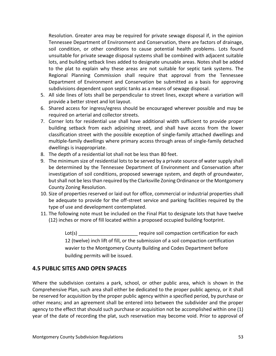Resolution. Greater area may be required for private sewage disposal if, in the opinion Tennessee Department of Environment and Conservation, there are factors of drainage, soil condition, or other conditions to cause potential health problems. Lots found unsuitable for private sewage disposal systems shall be combined with adjacent suitable lots, and building setback lines added to designate unusable areas. Notes shall be added to the plat to explain why these areas are not suitable for septic tank systems. The Regional Planning Commission shall require that approval from the Tennessee Department of Environment and Conservation be submitted as a basis for approving subdivisions dependent upon septic tanks as a means of sewage disposal.

- 5. All side lines of lots shall be perpendicular to street lines, except where a variation will provide a better street and lot layout.
- 6. Shared access for ingress/egress should be encouraged wherever possible and may be required on arterial and collector streets.
- 7. Corner lots for residential use shall have additional width sufficient to provide proper building setback from each adjoining street*,* and shall have access from the lower classification street with the possible exception of single-family attached dwellings and multiple-family dwellings where primary access through areas of single-family detached dwellings is inappropriate.
- 8. The depth of a residential lot shall not be less than 80 feet.
- 9. The minimum size of residential lots to be served by a private source of water supply shall be determined by the Tennessee Department of Environment and Conservation after investigation of soil conditions, proposed sewerage system, and depth of groundwater, but shall not be less than required by the Clarksville Zoning Ordinance or the Montgomery County Zoning Resolution.
- 10. Size of properties reserved or laid out for office, commercial or industrial properties shall be adequate to provide for the off-street service and parking facilities required by the type of use and development contemplated.
- 11. The following note must be included on the Final Plat to designate lots that have twelve (12) inches or more of fill located within a proposed occupied building footprint.

Lot(s) Lot(s) **Example 2** require soil compaction certification for each 12 (twelve) inch lift of fill, or the submission of a soil compaction certification wavier to the Montgomery County Building and Codes Department before building permits will be issued.

## **4.5 PUBLIC SITES AND OPEN SPACES**

Where the subdivision contains a park, school, or other public area, which is shown in the Comprehensive Plan, such area shall either be dedicated to the proper public agency, or it shall be reserved for acquisition by the proper public agency within a specified period, by purchase or other means; and an agreement shall be entered into between the subdivider and the proper agency to the effect that should such purchase or acquisition not be accomplished within one (1) year of the date of recording the plat, such reservation may become void. Prior to approval of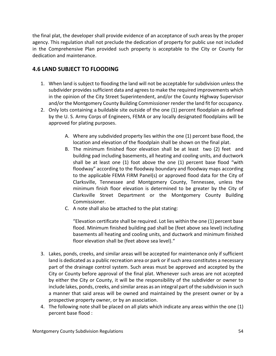the final plat, the developer shall provide evidence of an acceptance of such areas by the proper agency. This regulation shall not preclude the dedication of property for public use not included in the Comprehensive Plan provided such property is acceptable to the City or County for dedication and maintenance.

## **4.6 LAND SUBJECT TO FLOODING**

- 1. When land is subject to flooding the land will not be acceptable for subdivision unless the subdivider provides sufficient data and agrees to make the required improvements which in the opinion of the City Street Superintendent, and/or the County Highway Supervisor and/or the Montgomery County Building Commissioner render the land fit for occupancy.
- 2. Only lots containing a buildable site outside of the one (1) percent floodplain as defined by the U. S. Army Corps of Engineers, FEMA or any locally designated floodplains will be approved for plating purposes.
	- A. Where any subdivided property lies within the one (1) percent base flood, the location and elevation of the floodplain shall be shown on the final plat.
	- B. The minimum finished floor elevation shall be at least two (2) feet and building pad including basements, all heating and cooling units, and ductwork shall be at least one (1) foot above the one (1) percent base flood "with floodway" according to the floodway boundary and floodway maps according to the applicable FEMA FIRM Panel(s) or approved flood data for the City of Clarksville, Tennessee and Montgomery County, Tennessee, unless the minimum finish floor elevation is determined to be greater by the City of Clarksville Street Department or the Montgomery County Building Commissioner.
	- C. A note shall also be attached to the plat stating:

"Elevation certificate shall be required. Lot lies within the one (1) percent base flood. Minimum finished building pad shall be (feet above sea level) including basements all heating and cooling units, and ductwork and minimum finished floor elevation shall be (feet above sea level)."

- 3. Lakes, ponds, creeks, and similar areas will be accepted for maintenance only if sufficient land is dedicated as a public recreation area or park or if such area constitutes a necessary part of the drainage control system. Such areas must be approved and accepted by the City or County before approval of the final plat. Whenever such areas are not accepted by either the City or County, it will be the responsibility of the subdivider or owner to include lakes, ponds, creeks, and similar areas as an integral part of the subdivision in such a manner that said areas will be owned and maintained by the present owner or by a prospective property owner, or by an association.
- 4. The following note shall be placed on all plats which indicate any areas within the one (1) percent base flood :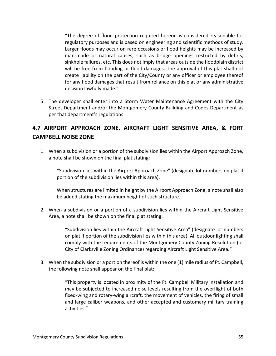"The degree of flood protection required hereon is considered reasonable for regulatory purposes and is based on engineering and scientific methods of study. Larger floods may occur on rare occasions or flood heights may be increased by man-made or natural causes, such as bridge openings restricted by debris, sinkhole failures, etc. This does not imply that areas outside the floodplain district will be free from flooding or flood damages. The approval of this plat shall not create liability on the part of the City/County or any officer or employee thereof for any flood damages that result from reliance on this plat or any administrative decision lawfully made."

5. The developer shall enter into a Storm Water Maintenance Agreement with the City Street Department and/or the Montgomery County Building and Codes Department as per that department's regulations.

# **4.7 AIRPORT APPROACH ZONE, AIRCRAFT LIGHT SENSITIVE AREA, & FORT CAMPBELL NOISE ZONE**

1. When a subdivision or a portion of the subdivision lies within the Airport Approach Zone, a note shall be shown on the final plat stating:

"Subdivision lies within the Airport Approach Zone" (designate lot numbers on plat if portion of the subdivision lies within this area).

When structures are limited in height by the Airport Approach Zone, a note shall also be added stating the maximum height of such structure.

2. When a subdivision or a portion of a subdivision lies within the Aircraft Light Sensitive Area, a note shall be shown on the final plat stating:

> "Subdivision lies within the Aircraft Light Sensitive Area" (designate lot numbers on plat if portion of the subdivision lies within this area). All outdoor lighting shall comply with the requirements of the Montgomery County Zoning Resolution (or City of Clarksville Zoning Ordinance) regarding Aircraft Light Sensitive Area."

3. When the subdivision or a portion thereof is within the one (1) mile radius of Ft. Campbell, the following note shall appear on the final plat:

> "This property is located in proximity of the Ft. Campbell Military Installation and may be subjected to increased noise levels resulting from the overflight of both fixed-wing and rotary-wing aircraft, the movement of vehicles, the firing of small and large caliber weapons, and other accepted and customary military training activities."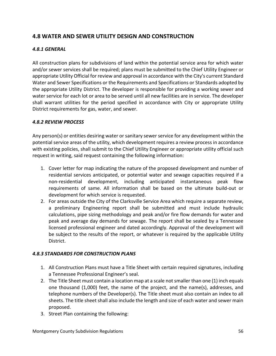# **4.8 WATER AND SEWER UTILITY DESIGN AND CONSTRUCTION**

#### *4.8.1 GENERAL*

All construction plans for subdivisions of land within the potential service area for which water and/or sewer services shall be required; plans must be submitted to the Chief Utility Engineer or appropriate Utility Official for review and approval in accordance with the City's current Standard Water and Sewer Specifications or the Requirements and Specifications or Standards adopted by the appropriate Utility District. The developer is responsible for providing a working sewer and water service for each lot or area to be served until all new facilities are in service. The developer shall warrant utilities for the period specified in accordance with City or appropriate Utility District requirements for gas, water, and sewer.

#### *4.8.2 REVIEW PROCESS*

Any person(s) or entities desiring water or sanitary sewer service for any development within the potential service areas of the utility, which development requires a review process in accordance with existing policies, shall submit to the Chief Utility Engineer or appropriate utility official such request in writing, said request containing the following information:

- 1. Cover letter for map indicating the nature of the proposed development and number of residential services anticipated, or potential water and sewage capacities required if a non-residential development, including anticipated instantaneous peak flow requirements of same. All information shall be based on the ultimate build-out or development for which service is requested.
- 2. For areas outside the City of the Clarksville Service Area which require a separate review, a preliminary Engineering report shall be submitted and must include hydraulic calculations, pipe sizing methodology and peak and/or fire flow demands for water and peak and average day demands for sewage. The report shall be sealed by a Tennessee licensed professional engineer and dated accordingly. Approval of the development will be subject to the results of the report, or whatever is required by the applicable Utility District.

#### *4.8.3 STANDARDS FOR CONSTRUCTION PLANS*

- 1. All Construction Plans must have a Title Sheet with certain required signatures, including a Tennessee Professional Engineer's seal.
- 2. The Title Sheet must contain a location map at a scale not smaller than one (1) inch equals one thousand (1,000) feet, the name of the project, and the name(s), addresses, and telephone numbers of the Developer(s). The Title sheet must also contain an index to all sheets. The title sheet shall also include the length and size of each water and sewer main proposed.
- 3. Street Plan containing the following: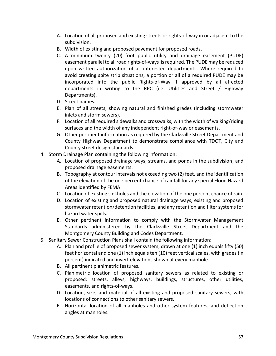- A. Location of all proposed and existing streets or rights-of-way in or adjacent to the subdivision.
- B. Width of existing and proposed pavement for proposed roads.
- C. A minimum twenty (20) foot public utility and drainage easement (PUDE) easement parallel to all road rights-of-ways isrequired. The PUDE may be reduced upon written authorization of all interested departments. Where required to avoid creating spite strip situations, a portion or all of a required PUDE may be incorporated into the public Rights-of-Way if approved by all affected departments in writing to the RPC (i.e. Utilities and Street / Highway Departments).
- D. Street names.
- E. Plan of all streets, showing natural and finished grades (including stormwater inlets and storm sewers).
- F. Location of all required sidewalks and crosswalks, with the width of walking/riding surfaces and the width of any independent right-of-way or easements.
- G. Other pertinent information as required by the Clarksville Street Department and County Highway Department to demonstrate compliance with TDOT, City and County street design standards.
- 4. Storm Drainage Plan containing the following information:
	- A. Location of proposed drainage ways, streams, and ponds in the subdivision, and proposed drainage easements.
	- B. Topography at contour intervals not exceeding two (2) feet, and the identification of the elevation of the one percent chance of rainfall for any special Flood Hazard Areas identified by FEMA.
	- C. Location of existing sinkholes and the elevation of the one percent chance of rain.
	- D. Location of existing and proposed natural drainage ways, existing and proposed stormwater retention/detention facilities, and any retention and filter systems for hazard water spills.
	- E. Other pertinent information to comply with the Stormwater Management Standards administered by the Clarksville Street Department and the Montgomery County Building and Codes Department.
- 5. Sanitary Sewer Construction Plans shall contain the following information:
	- A. Plan and profile of proposed sewer system, drawn at one (1) inch equals fifty (50) feet horizontal and one (1) inch equals ten (10) feet vertical scales, with grades (in percent) indicated and invert elevations shown at every manhole.
	- B. All pertinent planimetric features.
	- C. Planimetric location of proposed sanitary sewers as related to existing or proposed: streets, alleys, highways, buildings, structures, other utilities, easements, and rights-of-ways.
	- D. Location, size, and material of all existing and proposed sanitary sewers, with locations of connections to other sanitary sewers.
	- E. Horizontal location of all manholes and other system features, and deflection angles at manholes.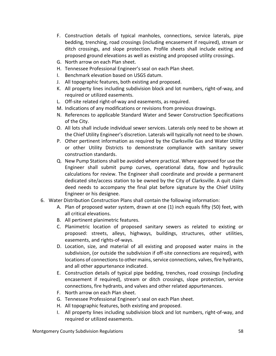- F. Construction details of typical manholes, connections, service laterals, pipe bedding, trenching, road crossings (including encasement if required), stream or ditch crossings, and slope protection. Profile sheets shall include exiting and proposed ground elevations as well as existing and proposed utility crossings.
- G. North arrow on each Plan sheet.
- H. Tennessee Professional Engineer's seal on each Plan sheet.
- I. Benchmark elevation based on USGS datum.
- J. All topographic features, both existing and proposed.
- K. All property lines including subdivision block and lot numbers, right-of-way, and required or utilized easements.
- L. Off-site related right-of-way and easements, as required.
- M. Indications of any modifications or revisions from previous drawings.
- N. References to applicable Standard Water and Sewer Construction Specifications of the City.
- O. All lots shall include individual sewer services. Laterals only need to be shown at the Chief Utility Engineer's discretion. Laterals will typically not need to be shown.
- P. Other pertinent information as required by the Clarksville Gas and Water Utility or other Utility Districts to demonstrate compliance with sanitary sewer construction standards.
- Q. New Pump Stations shall be avoided where practical. Where approved for use the Engineer shall submit pump curves, operational data, flow and hydraulic calculations for review. The Engineer shall coordinate and provide a permanent dedicated site/access station to be owned by the City of Clarksville. A quit claim deed needs to accompany the final plat before signature by the Chief Utility Engineer or his designee.
- 6. Water Distribution Construction Plans shall contain the following information:
	- A. Plan of proposed water system, drawn at one (1) inch equals fifty (50) feet, with all critical elevations.
	- B. All pertinent planimetric features.
	- C. Planimetric location of proposed sanitary sewers as related to existing or proposed: streets, alleys, highways, buildings, structures, other utilities, easements, and rights-of-ways.
	- D. Location, size, and material of all existing and proposed water mains in the subdivision, (or outside the subdivision if off-site connections are required), with locations of connections to other mains, service connections, valves, fire hydrants, and all other appurtenance indicated.
	- E. Construction details of typical pipe bedding, trenches, road crossings (including encasement if required), stream or ditch crossings, slope protection, service connections, fire hydrants, and valves and other related appurtenances.
	- F. North arrow on each Plan sheet.
	- G. Tennessee Professional Engineer's seal on each Plan sheet.
	- H. All topographic features, both existing and proposed.
	- I. All property lines including subdivision block and lot numbers, right-of-way, and required or utilized easements.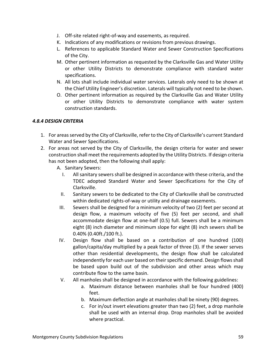- J. Off-site related right-of-way and easements, as required.
- K. Indications of any modifications or revisions from previous drawings.
- L. References to applicable Standard Water and Sewer Construction Specifications of the City.
- M. Other pertinent information as requested by the Clarksville Gas and Water Utility or other Utility Districts to demonstrate compliance with standard water specifications.
- N. All lots shall include individual water services. Laterals only need to be shown at the Chief Utility Engineer's discretion. Laterals will typically not need to be shown.
- O. Other pertinent information as required by the Clarksville Gas and Water Utility or other Utility Districts to demonstrate compliance with water system construction standards.

#### *4.8.4 DESIGN CRITERIA*

- 1. For areas served by the City of Clarksville, refer to the City of Clarksville's current Standard Water and Sewer Specifications.
- 2. For areas not served by the City of Clarksville, the design criteria for water and sewer construction shall meet the requirements adopted by the Utility Districts. If design criteria has not been adopted, then the following shall apply:
	- A. Sanitary Sewers:
		- I. All sanitary sewers shall be designed in accordance with these criteria, and the TDEC adopted Standard Water and Sewer Specifications for the City of Clarksville.
		- II. Sanitary sewers to be dedicated to the City of Clarksville shall be constructed within dedicated rights-of-way or utility and drainage easements.
	- III. Sewers shall be designed for a minimum velocity of two (2) feet per second at design flow, a maximum velocity of five (5) feet per second, and shall accommodate design flow at one-half (0.5) full. Sewers shall be a minimum eight (8) inch diameter and minimum slope for eight (8) inch sewers shall be 0.40% (0.40ft./100 ft.).
	- IV. Design flow shall be based on a contribution of one hundred (100) gallon/capita/day multiplied by a peak factor of three (3). If the sewer serves other than residential developments, the design flow shall be calculated independently for each user based on their specific demand. Design flows shall be based upon build out of the subdivision and other areas which may contribute flow to the same basin.
	- V. All manholes shall be designed in accordance with the following guidelines:
		- a. Maximum distance between manholes shall be four hundred (400) feet.
		- b. Maximum deflection angle at manholes shall be ninety (90) degrees.
		- c. For in/out invert elevations greater than two (2) feet, a drop manhole shall be used with an internal drop. Drop manholes shall be avoided where practical.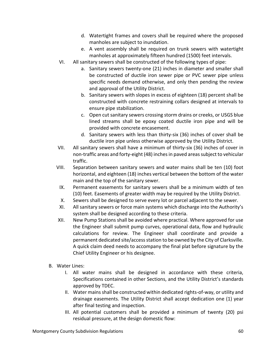- d. Watertight frames and covers shall be required where the proposed manholes are subject to inundation.
- e. A vent assembly shall be required on trunk sewers with watertight manholes at approximately fifteen hundred (1500) feet intervals.
- VI. All sanitary sewers shall be constructed of the following types of pipe:
	- a. Sanitary sewers twenty-one (21) inches in diameter and smaller shall be constructed of ductile iron sewer pipe or PVC sewer pipe unless specific needs demand otherwise, and only then pending the review and approval of the Utility District.
	- b. Sanitary sewers with slopes in excess of eighteen (18) percent shall be constructed with concrete restraining collars designed at intervals to ensure pipe stabilization.
	- c. Open cut sanitary sewers crossing storm drains or creeks, or USGS blue lined streams shall be epoxy coated ductile iron pipe and will be provided with concrete encasement.
	- d. Sanitary sewers with less than thirty-six (36) inches of cover shall be ductile iron pipe unless otherwise approved by the Utility District.
- VII. All sanitary sewers shall have a minimum of thirty-six (36) inches of cover in non-traffic areas and forty-eight (48) inches in paved areas subject to vehicular traffic.
- VIII. Separation between sanitary sewers and water mains shall be ten (10) foot horizontal, and eighteen (18) inches vertical between the bottom of the water main and the top of the sanitary sewer.
	- IX. Permanent easements for sanitary sewers shall be a minimum width of ten (10) feet. Easements of greater width may be required by the Utility District.
	- X. Sewers shall be designed to serve every lot or parcel adjacent to the sewer.
- XI. All sanitary sewers or force main systems which discharge into the Authority's system shall be designed according to these criteria.
- XII. New Pump Stations shall be avoided where practical. Where approved for use the Engineer shall submit pump curves, operational data, flow and hydraulic calculations for review. The Engineer shall coordinate and provide a permanent dedicated site/access station to be owned by the City of Clarksville. A quick claim deed needs to accompany the final plat before signature by the Chief Utility Engineer or his designee.
- B. Water Lines:
	- I. All water mains shall be designed in accordance with these criteria, Specifications contained in other Sections, and the Utility District's standards approved by TDEC.
	- II. Water mains shall be constructed within dedicated rights-of-way, or utility and drainage easements. The Utility District shall accept dedication one (1) year after final testing and inspection.
	- III. All potential customers shall be provided a minimum of twenty (20) psi residual pressure, at the design domestic flow: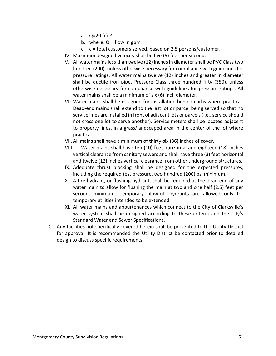- a.  $Q=20$  (c)  $\frac{1}{2}$
- b. where:  $Q =$  flow in gpm
- c. c = total customers served, based on 2.5 persons/customer.
- IV. Maximum designed velocity shall be five (5) feet per second.
- V. All water mains less than twelve (12) inches in diameter shall be PVC Class two hundred (200), unless otherwise necessary for compliance with guidelines for pressure ratings. All water mains twelve (12) inches and greater in diameter shall be ductile iron pipe, Pressure Class three hundred fifty (350), unless otherwise necessary for compliance with guidelines for pressure ratings. All water mains shall be a minimum of six (6) inch diameter.
- VI. Water mains shall be designed for installation behind curbs where practical. Dead-end mains shall extend to the last lot or parcel being served so that no service lines are installed in front of adjacent lots or parcels (i.e., service should not cross one lot to serve another). Service meters shall be located adjacent to property lines, in a grass/landscaped area in the center of the lot where practical.
- VII. All mains shall have a minimum of thirty-six (36) inches of cover.
- VIII. Water mains shall have ten (10) feet horizontal and eighteen (18) inches vertical clearance from sanitary sewers and shall have three (3) feet horizontal and twelve (12) inches vertical clearance from other underground structures.
- IX. Adequate thrust blocking shall be designed for the expected pressures, including the required test pressure, two hundred (200) psi minimum.
- X. A fire hydrant, or flushing hydrant, shall be required at the dead end of any water main to allow for flushing the main at two and one half (2.5) feet per second, minimum. Temporary blow-off hydrants are allowed only for temporary utilities intended to be extended.
- XI. All water mains and appurtenances which connect to the City of Clarksville's water system shall be designed according to these criteria and the City's Standard Water and Sewer Specifications.
- C. Any facilities not specifically covered herein shall be presented to the Utility District for approval. It is recommended the Utility District be contacted prior to detailed design to discuss specific requirements.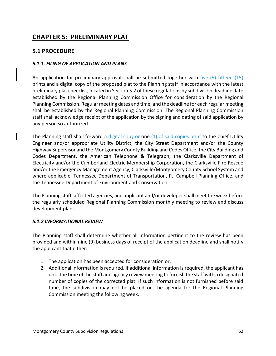# **CHAPTER 5: PRELIMINARY PLAT**

## **5.1 PROCEDURE**

#### *5.1.1. FILING OF APPLICATION AND PLANS*

An application for preliminary approval shall be submitted together with five  $(5)$ -fifteen  $(15)$ prints and a digital copy of the proposed plat to the Planning staff in accordance with the latest preliminary plat checklist, located in Section 5.2 of these regulations by subdivision deadline date established by the Regional Planning Commission Office for consideration by the Regional Planning Commission. Regular meeting dates and time, and the deadline for each regular meeting shall be established by the Regional Planning Commission. The Regional Planning Commission staff shall acknowledge receipt of the application by the signing and dating of said application by any person so authorized.

The Planning staff shall forward a digital copy or one  $(1)$  of said copies-print to the Chief Utility Engineer and/or appropriate Utility District, the City Street Department and/or the County Highway Supervisor and the Montgomery County Building and Codes Office, the City Building and Codes Department, the American Telephone & Telegraph, the Clarksville Department of Electricity and/or the Cumberland Electric Membership Corporation, the Clarksville Fire Rescue and/or the Emergency Management Agency, Clarksville/Montgomery County School System and where applicable, Tennessee Department of Transportation, Ft. Campbell Planning Office, and the Tennessee Department of Environment and Conservation.

The Planning staff, affected agencies, and applicant and/or developer shall meet the week before the regularly scheduled Regional Planning Commission monthly meeting to review and discuss development plans.

#### *5.1.2 INFORMATIONAL REVIEW*

The Planning staff shall determine whether all information pertinent to the review has been provided and within nine (9) business days of receipt of the application deadline and shall notify the applicant that either:

- 1. The application has been accepted for consideration or,
- 2. Additional information is required. If additional information is required, the applicant has until the time of the staff and agency review meeting to furnish the staff with a designated number of copies of the corrected plat. If such information is not furnished before said time, the subdivision may not be placed on the agenda for the Regional Planning Commission meeting the following week.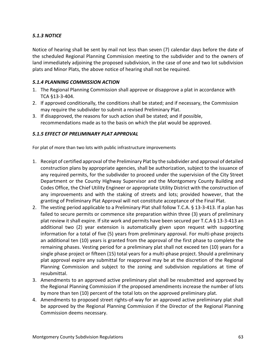## *5.1.3 NOTICE*

Notice of hearing shall be sent by mail not less than seven (7) calendar days before the date of the scheduled Regional Planning Commission meeting to the subdivider and to the owners of land immediately adjoining the proposed subdivision, in the case of one and two lot subdivision plats and Minor Plats, the above notice of hearing shall not be required.

#### *5.1.4 PLANNING COMMISSION ACTION*

- 1. The Regional Planning Commission shall approve or disapprove a plat in accordance with TCA §13-3-404.
- 2. If approved conditionally, the conditions shall be stated; and if necessary, the Commission may require the subdivider to submit a revised Preliminary Plat.
- 3. If disapproved, the reasons for such action shall be stated; and if possible, recommendations made as to the basis on which the plat would be approved.

#### *5.1.5 EFFECT OF PRELIMINARY PLAT APPROVAL*

For plat of more than two lots with public infrastructure improvements

- 1. Receipt of certified approval of the Preliminary Plat by the subdivider and approval of detailed construction plans by appropriate agencies, shall be authorization, subject to the issuance of any required permits, for the subdivider to proceed under the supervision of the City Street Department or the County Highway Supervisor and the Montgomery County Building and Codes Office, the Chief Utility Engineer or appropriate Utility District with the construction of any improvements and with the staking of streets and lots; provided however, that the granting of Preliminary Plat Approval will not constitute acceptance of the Final Plat.
- 2. The vesting period applicable to a Preliminary Plat shall follow T.C.A. § 13-3-413. If a plan has failed to secure permits or commence site preparation within three (3) years of preliminary plat review it shall expire. If site work and permits have been secured per T.C.A § 13-3-413 an additional two (2) year extension is automatically given upon request with supporting information for a total of five (5) years from preliminary approval. For multi-phase projects an additional ten (10) years is granted from the approval of the first phase to complete the remaining phases. Vesting period for a preliminary plat shall not exceed ten (10) years for a single phase project or fifteen (15) total years for a multi-phase project. Should a preliminary plat approval expire any submittal for reapproval may be at the discretion of the Regional Planning Commission and subject to the zoning and subdivision regulations at time of resubmittal.
- 3. Amendments to an approved active preliminary plat shall be resubmitted and approved by the Regional Planning Commission if the proposed amendments increase the number of lots by more than ten (10) percent of the total lots on the approved preliminary plat.
- 4. Amendments to proposed street rights-of-way for an approved active preliminary plat shall be approved by the Regional Planning Commission if the Director of the Regional Planning Commission deems necessary.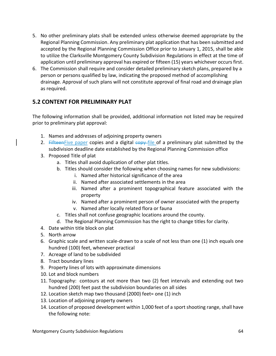- 5. No other preliminary plats shall be extended unless otherwise deemed appropriate by the Regional Planning Commission. Any preliminary plat application that has been submitted and accepted by the Regional Planning Commission Office prior to January 1, 2015, shall be able to utilize the Clarksville Montgomery County Subdivision Regulations in effect at the time of application until preliminary approval has expired or fifteen (15) years whichever occurs first.
- 6. The Commission shall require and consider detailed preliminary sketch plans, prepared by a person or persons qualified by law, indicating the proposed method of accomplishing drainage. Approval of such plans will not constitute approval of final road and drainage plan as required.

# **5.2 CONTENT FOR PRELIMINARY PLAT**

The following information shall be provided, additional information not listed may be required prior to preliminary plat approval:

- 1. Names and addresses of adjoining property owners
- 2. Fifteen Five paper copies and a digital copy file of a preliminary plat submitted by the subdivision deadline date established by the Regional Planning Commission office
- 3. Proposed Title of plat
	- a. Titles shall avoid duplication of other plat titles.
	- b. Titles should consider the following when choosing names for new subdivisions:
		- i. Named after historical significance of the area
		- ii. Named after associated settlements in the area
		- iii. Named after a prominent topographical feature associated with the property
		- iv. Named after a prominent person of owner associated with the property
		- v. Named after locally related flora or fauna
	- c. Titles shall not confuse geographic locations around the county.
	- d. The Regional Planning Commission has the right to change titles for clarity.
- 4. Date within title block on plat
- 5. North arrow
- 6. Graphic scale and written scale-drawn to a scale of not less than one (1) inch equals one hundred (100) feet, whenever practical
- 7. Acreage of land to be subdivided
- 8. Tract boundary lines
- 9. Property lines of lots with approximate dimensions
- 10. Lot and block numbers
- 11. Topography: contours at not more than two (2) feet intervals and extending out two hundred (200) feet past the subdivision boundaries on all sides
- 12. Location sketch map two thousand (2000) feet= one (1) inch
- 13. Location of adjoining property owners
- 14. Location of proposed development within 1,000 feet of a sport shooting range, shall have the following note: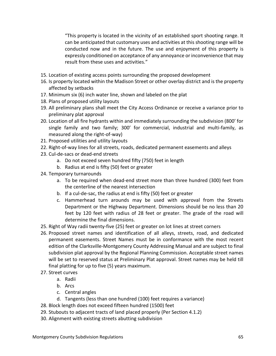"This property is located in the vicinity of an established sport shooting range. It can be anticipated that customary uses and activities at this shooting range will be conducted now and in the future. The use and enjoyment of this property is expressly conditioned on acceptance of any annoyance or inconvenience that may result from these uses and activities."

- 15. Location of existing access points surrounding the proposed development
- 16. Is property located within the Madison Street or other overlay district and is the property affected by setbacks
- 17. Minimum six (6) inch water line, shown and labeled on the plat
- 18. Plans of proposed utility layouts
- 19. All preliminary plans shall meet the City Access Ordinance or receive a variance prior to preliminary plat approval
- 20. Location of all fire hydrants within and immediately surrounding the subdivision (800' for single family and two family; 300' for commercial, industrial and multi-family, as measured along the right-of-way)
- 21. Proposed utilities and utility layouts
- 22. Right-of-way lines for all streets, roads, dedicated permanent easements and alleys
- 23. Cul-de-sacs or dead-end streets
	- a. Do not exceed seven hundred fifty (750) feet in length
	- b. Radius at end is fifty (50) feet or greater
- 24. Temporary turnarounds
	- a. To be required when dead-end street more than three hundred (300) feet from the centerline of the nearest intersection
	- b. If a cul-de-sac, the radius at end is fifty (50) feet or greater
	- c. Hammerhead turn arounds may be used with approval from the Streets Department or the Highway Department. Dimensions should be no less than 20 feet by 120 feet with radius of 28 feet or greater. The grade of the road will determine the final dimensions.
- 25. Right of Way radii twenty-five (25) feet or greater on lot lines at street corners
- 26. Proposed street names and identification of all alleys, streets, road, and dedicated permanent easements. Street Names must be in conformance with the most recent edition of the Clarksville-Montgomery County Addressing Manual and are subject to final subdivision plat approval by the Regional Planning Commission. Acceptable street names will be set to reserved status at Preliminary Plat approval. Street names may be held till final platting for up to five (5) years maximum.
- 27. Street curves
	- a. Radii
	- b. Arcs
	- c. Central angles
	- d. Tangents (less than one hundred (100) feet requires a variance)
- 28. Block length does not exceed fifteen hundred (1500) feet
- 29. Stubouts to adjacent tracts of land placed properly (Per Section 4.1.2)
- 30. Alignment with existing streets abutting subdivision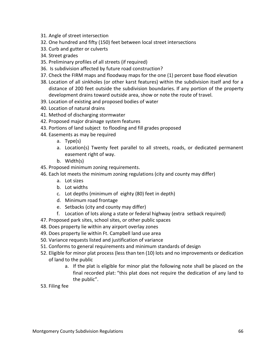- 31. Angle of street intersection
- 32. One hundred and fifty (150) feet between local street intersections
- 33. Curb and gutter or culverts
- 34. Street grades
- 35. Preliminary profiles of all streets (if required)
- 36. Is subdivision affected by future road construction?
- 37. Check the FIRM maps and floodway maps for the one (1) percent base flood elevation
- 38. Location of all sinkholes (or other karst features) within the subdivision itself and for a distance of 200 feet outside the subdivision boundaries. If any portion of the property development drains toward outside area, show or note the route of travel.
- 39. Location of existing and proposed bodies of water
- 40. Location of natural drains
- 41. Method of discharging stormwater
- 42. Proposed major drainage system features
- 43. Portions of land subject to flooding and fill grades proposed
- 44. Easements as may be required
	- a. Type(s)
	- a. Location(s) Twenty feet parallel to all streets, roads, or dedicated permanent easement right of way.
	- b. Width(s)
- 45. Proposed minimum zoning requirements.
- 46. Each lot meets the minimum zoning regulations (city and county may differ)
	- a. Lot sizes
	- b. Lot widths
	- c. Lot depths (minimum of eighty (80) feet in depth)
	- d. Minimum road frontage
	- e. Setbacks (city and county may differ)
	- f. Location of lots along a state or federal highway (extra setback required)
- 47. Proposed park sites, school sites, or other public spaces
- 48. Does property lie within any airport overlay zones
- 49. Does property lie within Ft. Campbell land use area
- 50. Variance requests listed and justification of variance
- 51. Conforms to general requirements and minimum standards of design
- 52. Eligible for minor plat process (less than ten (10) lots and no improvements or dedication of land to the public
	- a. If the plat is eligible for minor plat the following note shall be placed on the final recorded plat: "this plat does not require the dedication of any land to the public".
- 53. Filing fee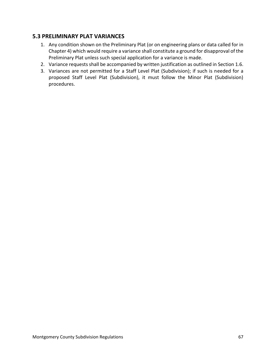## **5.3 PRELIMINARY PLAT VARIANCES**

- 1. Any condition shown on the Preliminary Plat (or on engineering plans or data called for in Chapter 4) which would require a variance shall constitute a ground for disapproval of the Preliminary Plat unless such special application for a variance is made.
- 2. Variance requests shall be accompanied by written justification as outlined in Section 1.6.
- 3. Variances are not permitted for a Staff Level Plat (Subdivision); if such is needed for a proposed Staff Level Plat (Subdivision), it must follow the Minor Plat (Subdivision) procedures.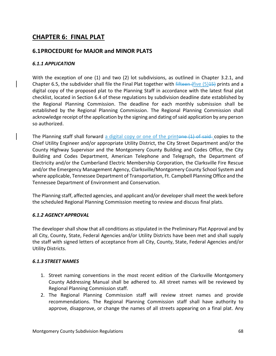# **CHAPTER 6: FINAL PLAT**

## **6.1PROCEDURE for MAJOR and MINOR PLATS**

#### *6.1.1 APPLICATION*

With the exception of one (1) and two (2) lot subdivisions, as outlined in Chapter 3.2.1, and Chapter 6.5, the subdivider shall file the Final Plat together with  $\frac{f_1f_2}{f_1f_2}$  (five (5) 45) prints and a digital copy of the proposed plat to the Planning Staff in accordance with the latest final plat checklist, located in Section 6.4 of these regulations by subdivision deadline date established by the Regional Planning Commission. The deadline for each monthly submission shall be established by the Regional Planning Commission. The Regional Planning Commission shall acknowledge receipt of the application by the signing and dating of said application by any person so authorized.

The Planning staff shall forward a digital copy or one of the printene  $(1)$  of said copies to the Chief Utility Engineer and/or appropriate Utility District, the City Street Department and/or the County Highway Supervisor and the Montgomery County Building and Codes Office, the City Building and Codes Department, American Telephone and Telegraph, the Department of Electricity and/or the Cumberland Electric Membership Corporation, the Clarksville Fire Rescue and/or the Emergency Management Agency, Clarksville/Montgomery County School System and where applicable, Tennessee Department of Transportation, Ft. Campbell Planning Office and the Tennessee Department of Environment and Conservation.

The Planning staff, affected agencies, and applicant and/or developer shall meet the week before the scheduled Regional Planning Commission meeting to review and discuss final plats.

#### *6.1.2 AGENCY APPROVAL*

The developer shall show that all conditions as stipulated in the Preliminary Plat Approval and by all City, County, State, Federal Agencies and/or Utility Districts have been met and shall supply the staff with signed letters of acceptance from all City, County, State, Federal Agencies and/or Utility Districts.

#### *6.1.3 STREET NAMES*

- 1. Street naming conventions in the most recent edition of the Clarksville Montgomery County Addressing Manual shall be adhered to. All street names will be reviewed by Regional Planning Commission staff.
- 2. The Regional Planning Commission staff will review street names and provide recommendations. The Regional Planning Commission staff shall have authority to approve, disapprove, or change the names of all streets appearing on a final plat. Any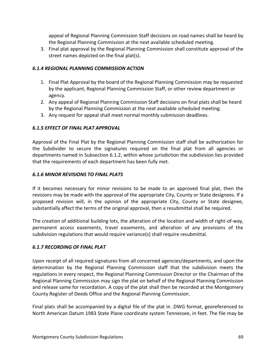appeal of Regional Planning Commission Staff decisions on road names shall be heard by the Regional Planning Commission at the next available scheduled meeting.

3. Final plat approval by the Regional Planning Commission shall constitute approval of the street names depicted on the final plat(s).

#### *6.1.4 REGIONAL PLANNING COMMISSION ACTION*

- 1. Final Plat Approval by the board of the Regional Planning Commission may be requested by the applicant, Regional Planning Commission Staff, or other review department or agency.
- 2. Any appeal of Regional Planning Commission Staff decisions on final plats shall be heard by the Regional Planning Commission at the next available scheduled meeting.
- 3. Any request for appeal shall meet normal monthly submission deadlines.

## *6.1.5 EFFECT OF FINAL PLAT APPROVAL*

Approval of the Final Plat by the Regional Planning Commission staff shall be authorization for the Subdivider to secure the signatures required on the final plat from all agencies or departments named in Subsection 6.1.2, within whose jurisdiction the subdivision lies provided that the requirements of each department has been fully met.

#### *6.1.6 MINOR REVISIONS TO FINAL PLATS*

If it becomes necessary for minor revisions to be made to an approved final plat, then the revisions may be made with the approval of the appropriate City, County or State designees. If a proposed revision will, in the opinion of the appropriate City, County or State designee, substantially affect the terms of the original approval, then a resubmittal shall be required.

The creation of additional building lots, the alteration of the location and width of right-of-way, permanent access easements, travel easements, and alteration of any provisions of the subdivision regulations that would require variance(s) shall require resubmittal.

## *6.1.7 RECORDING OF FINAL PLAT*

Upon receipt of all required signatures from all concerned agencies/departments, and upon the determination by the Regional Planning Commission staff that the subdivision meets the regulations in every respect, the Regional Planning Commission Director or the Chairman of the Regional Planning Commission may sign the plat on behalf of the Regional Planning Commission and release same for recordation. A copy of the plat shall then be recorded at the Montgomery County Register of Deeds Office and the Regional Planning Commission.

Final plats shall be accompanied by a digital file of the plat in .DWG format, georeferenced to North American Datum 1983 State Plane coordinate system Tennessee, in feet. The file may be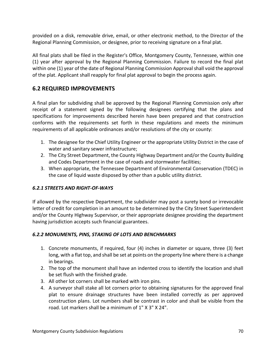provided on a disk, removable drive, email, or other electronic method, to the Director of the Regional Planning Commission, or designee, prior to receiving signature on a final plat.

All final plats shall be filed in the Register's Office, Montgomery County, Tennessee, within one (1) year after approval by the Regional Planning Commission. Failure to record the final plat within one (1) year of the date of Regional Planning Commission Approval shall void the approval of the plat. Applicant shall reapply for final plat approval to begin the process again.

# **6.2 REQUIRED IMPROVEMENTS**

A final plan for subdividing shall be approved by the Regional Planning Commission only after receipt of a statement signed by the following designees certifying that the plans and specifications for improvements described herein have been prepared and that construction conforms with the requirements set forth in these regulations and meets the minimum requirements of all applicable ordinances and/or resolutions of the city or county:

- 1. The designee for the Chief Utility Engineer or the appropriate Utility District in the case of water and sanitary sewer infrastructure;
- 2. The City Street Department, the County Highway Department and/or the County Building and Codes Department in the case of roads and stormwater facilities;
- 3. When appropriate, the Tennessee Department of Environmental Conservation (TDEC) in the case of liquid waste disposed by other than a public utility district.

## *6.2.1 STREETS AND RIGHT-OF-WAYS*

If allowed by the respective Department, the subdivider may post a surety bond or irrevocable letter of credit for completion in an amount to be determined by the City Street Superintendent and/or the County Highway Supervisor, or their appropriate designee providing the department having jurisdiction accepts such financial guarantees.

## *6.2.2 MONUMENTS, PINS, STAKING OF LOTS AND BENCHMARKS*

- 1. Concrete monuments, if required, four (4) inches in diameter or square, three (3) feet long, with a flat top, and shall be set at points on the property line where there is a change in bearings.
- 2. The top of the monument shall have an indented cross to identify the location and shall be set flush with the finished grade.
- 3. All other lot corners shall be marked with iron pins.
- 4. A surveyor shall stake all lot corners prior to obtaining signatures for the approved final plat to ensure drainage structures have been installed correctly as per approved construction plans. Lot numbers shall be contrast in color and shall be visible from the road. Lot markers shall be a minimum of 1" X 3" X 24".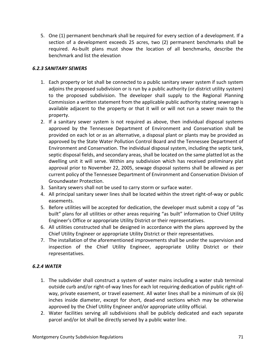5. One (1) permanent benchmark shall be required for every section of a development. If a section of a development exceeds 25 acres, two (2) permanent benchmarks shall be required. As-built plans must show the location of all benchmarks, describe the benchmark and list the elevation

#### *6.2.3 SANITARY SEWERS*

- 1. Each property or lot shall be connected to a public sanitary sewer system if such system adjoins the proposed subdivision or is run by a public authority (or district utility system) to the proposed subdivision. The developer shall supply to the Regional Planning Commission a written statement from the applicable public authority stating sewerage is available adjacent to the property or that it will or will not run a sewer main to the property.
- 2. If a sanitary sewer system is not required as above, then individual disposal systems approved by the Tennessee Department of Environment and Conservation shall be provided on each lot or as an alternative, a disposal plant or plants may be provided as approved by the State Water Pollution Control Board and the Tennessee Department of Environment and Conservation. The individual disposal system, including the septic tank, septic disposal fields, and secondary areas, shall be located on the same platted lot as the dwelling unit it will serve. Within any subdivision which has received preliminary plat approval prior to November 22, 2005, sewage disposal systems shall be allowed as per current policy of the Tennessee Department of Environment and Conservation Division of Groundwater Protection.
- 3. Sanitary sewers shall not be used to carry storm or surface water.
- 4. All principal sanitary sewer lines shall be located within the street right-of-way or public easements.
- 5. Before utilities will be accepted for dedication, the developer must submit a copy of "as built" plans for all utilities or other areas requiring "as built" information to Chief Utility Engineer's Office or appropriate Utility District or their representatives.
- 6. All utilities constructed shall be designed in accordance with the plans approved by the Chief Utility Engineer or appropriate Utility District or their representatives.
- 7. The installation of the aforementioned improvements shall be under the supervision and inspection of the Chief Utility Engineer, appropriate Utility District or their representatives.

#### *6.2.4 WATER*

- 1. The subdivider shall construct a system of water mains including a water stub terminal outside curb and/or right-of-way lines for each lot requiring dedication of public right-ofway, private easement, or travel easement. All water lines shall be a minimum of six (6) inches inside diameter, except for short, dead-end sections which may be otherwise approved by the Chief Utility Engineer and/or appropriate utility official.
- 2. Water facilities serving all subdivisions shall be publicly dedicated and each separate parcel and/or lot shall be directly served by a public water line.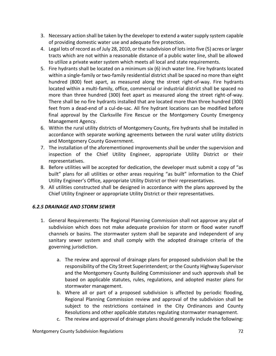- 3. Necessary action shall be taken by the developer to extend a water supply system capable of providing domestic water use and adequate fire protection.
- 4. Legal lots of record as of July 28, 2010, or the subdivision of lots into five (5) acres or larger tracts which are not within a reasonable distance of a public water line, shall be allowed to utilize a private water system which meets all local and state requirements.
- 5. Fire hydrants shall be located on a minimum six (6) inch water line. Fire hydrants located within a single-family or two-family residential district shall be spaced no more than eight hundred (800) feet apart, as measured along the street right-of-way. Fire hydrants located within a multi-family, office, commercial or industrial district shall be spaced no more than three hundred (300) feet apart as measured along the street right-of-way. There shall be no fire hydrants installed that are located more than three hundred (300) feet from a dead-end of a cul-de-sac. All fire hydrant locations can be modified before final approval by the Clarksville Fire Rescue or the Montgomery County Emergency Management Agency.
- 6. Within the rural utility districts of Montgomery County, fire hydrants shall be installed in accordance with separate working agreements between the rural water utility districts and Montgomery County Government.
- 7. The installation of the aforementioned improvements shall be under the supervision and inspection of the Chief Utility Engineer, appropriate Utility District or their representatives.
- 8. Before utilities will be accepted for dedication, the developer must submit a copy of "as built" plans for all utilities or other areas requiring "as built" information to the Chief Utility Engineer's Office, appropriate Utility District or their representatives.
- 9. All utilities constructed shall be designed in accordance with the plans approved by the Chief Utility Engineer or appropriate Utility District or their representatives.

## *6.2.5 DRAINAGE AND STORM SEWER*

- 1. General Requirements: The Regional Planning Commission shall not approve any plat of subdivision which does not make adequate provision for storm or flood water runoff channels or basins. The stormwater system shall be separate and independent of any sanitary sewer system and shall comply with the adopted drainage criteria of the governing jurisdiction.
	- a. The review and approval of drainage plans for proposed subdivision shall be the responsibility of the City Street Superintendent; or the County Highway Supervisor and the Montgomery County Building Commissioner and such approvals shall be based on applicable statutes, rules, regulations, and adopted master plans for stormwater management.
	- b. Where all or part of a proposed subdivision is affected by periodic flooding, Regional Planning Commission review and approval of the subdivision shall be subject to the restrictions contained in the City Ordinances and County Resolutions and other applicable statutes regulating stormwater management.
	- c. The review and approval of drainage plans should generally include the following: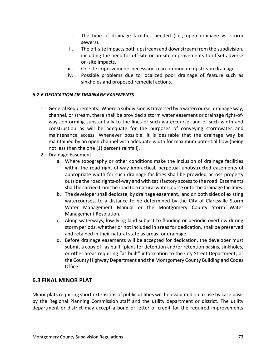- i. The type of drainage facilities needed (i.e., open drainage vs. storm sewers).
- ii. The off-site impacts both upstream and downstream from the subdivision, including the need for off-site or on-site improvements to offset adverse on-site impacts.
- iii. On-site improvements necessary to accommodate upstream drainage.
- iv. Possible problems due to localized poor drainage of feature such as sinkholes and proposed remedial actions.

## *6.2.6 DEDICATION OF DRAINAGE EASEMENTS*

- 1. General Requirements: Where a subdivision is traversed by a watercourse, drainage way, channel, or stream, there shall be provided a storm water easement or drainage right-ofway conforming substantially to the lines of such watercourse, and of such width and construction as will be adequate for the purposes of conveying stormwater and maintenance access. Whenever possible, it is desirable that the drainage way be maintained by an open channel with adequate width for maximum potential flow (being not less than the one (1) percent rainfall).
- 2. Drainage Easement
	- a. Where topography or other conditions make the inclusion of drainage facilities within the road right-of-way impractical, perpetual unobstructed easements of appropriate width for such drainage facilities shall be provided across property outside the road rights-of-way and with satisfactory access to the road. Easements shall be carried from the road to a natural watercourse or to the drainage facilities.
	- b. The developer shall dedicate, by drainage easement, land on both sides of existing watercourses, to a distance to be determined by the City of Clarksville Storm Water Management Manual or the Montgomery County Storm Water Management Resolution.
	- c. Along waterways, low-lying land subject to flooding or periodic overflow during storm periods, whether or not included in areas for dedication, shall be preserved and retained in their natural state as areas for drainage.
	- d. Before drainage easements will be accepted for dedication, the developer must submit a copy of "as built" plans for detention and/or retention basins, sinkholes, or other areas requiring "as built" information to the City Street Department; or the County Highway Department and the Montgomery County Building and Codes Office.

# **6.3 FINAL MINOR PLAT**

Minor plats requiring short extensions of public utilities will be evaluated on a case by case basis by the Regional Planning Commission staff and the utility department or district. The utility department or district may accept a bond or letter of credit for the required improvements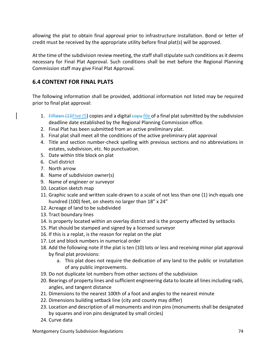allowing the plat to obtain final approval prior to infrastructure installation. Bond or letter of credit must be received by the appropriate utility before final plat(s) will be approved.

At the time of the subdivision review meeting, the staff shall stipulate such conditions as it deems necessary for Final Plat Approval. Such conditions shall be met before the Regional Planning Commission staff may give Final Plat Approval.

# **6.4 CONTENT FOR FINAL PLATS**

The following information shall be provided, additional information not listed may be required prior to final plat approval:

- 1. Fifteen (15Five (5) copies and a digital copy file of a final plat submitted by the subdivision deadline date established by the Regional Planning Commission office.
- 2. Final Plat has been submitted from an active preliminary plat.
- 3. Final plat shall meet all the conditions of the active preliminary plat approval
- 4. Title and section number-check spelling with previous sections and no abbreviations in estates, subdivision, etc. No punctuation.
- 5. Date within title block on plat
- 6. Civil district
- 7. North arrow
- 8. Name of subdivision owner(s)
- 9. Name of engineer or surveyor
- 10. Location sketch map
- 11. Graphic scale and written scale-drawn to a scale of not less than one (1) inch equals one hundred (100) feet, on sheets no larger than 18" x 24"
- 12. Acreage of land to be subdivided
- 13. Tract boundary lines
- 14. Is property located within an overlay district and is the property affected by setbacks
- 15. Plat should be stamped and signed by a licensed surveyor
- 16. If this is a replat, is the reason for replat on the plat
- 17. Lot and block numbers in numerical order
- 18. Add the following note if the plat is ten (10) lots or less and receiving minor plat approval by final plat provisions:
	- a. This plat does not require the dedication of any land to the public or installation of any public improvements.
- 19. Do not duplicate lot numbers from other sections of the subdivision
- 20. Bearings of property lines and sufficient engineering data to locate all lines including radii, angles, and tangent distance
- 21. Dimensions to the nearest 100th of a foot and angles to the nearest minute
- 22. Dimensions building setback line (city and county may differ)
- 23. Location and description of all monuments and iron pins (monuments shall be designated by squares and iron pins designated by small circles)
- 24. Curve data

Montgomery County Subdivision Regulations 74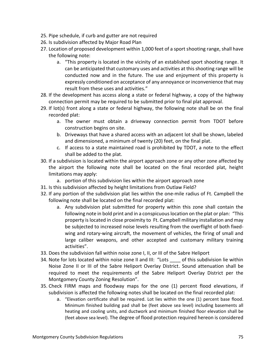- 25. Pipe schedule, if curb and gutter are not required
- 26. Is subdivision affected by Major Road Plan
- 27. Location of proposed development within 1,000 feet of a sport shooting range, shall have the following note:
	- a. "This property is located in the vicinity of an established sport shooting range. It can be anticipated that customary uses and activities at this shooting range will be conducted now and in the future. The use and enjoyment of this property is expressly conditioned on acceptance of any annoyance or inconvenience that may result from these uses and activities."
- 28. If the development has access along a state or federal highway, a copy of the highway connection permit may be required to be submitted prior to final plat approval.
- 29. If lot(s) front along a state or federal highway, the following note shall be on the final recorded plat:
	- a. The owner must obtain a driveway connection permit from TDOT before construction begins on site.
	- b. Driveways that have a shared access with an adjacent lot shall be shown, labeled and dimensioned, a minimum of twenty (20) feet, on the final plat.
	- c. If access to a state maintained road is prohibited by TDOT, a note to the effect shall be added to the plat.
- 30. If a subdivision is located within the airport approach zone or any other zone affected by the airport the following note shall be located on the final recorded plat, height limitations may apply:
	- a. portion of this subdivision lies within the airport approach zone
- 31. Is this subdivision affected by height limitations from Outlaw Field?
- 32. If any portion of the subdivision plat lies within the one-mile radius of Ft. Campbell the following note shall be located on the final recorded plat:
	- a. Any subdivision plat submitted for property within this zone shall contain the following note in bold print and in a conspicuous location on the plat or plan: "This property is located in close proximity to Ft. Campbell military installation and may be subjected to increased noise levels resulting from the overflight of both fixedwing and rotary-wing aircraft, the movement of vehicles, the firing of small and large caliber weapons, and other accepted and customary military training activities".
- 33. Does the subdivision fall within noise zone I, II, or III of the Sabre Heliport
- 34. Note for lots located within noise zone II and III: "Lots of this subdivision lie within Noise Zone II or III of the Sabre Heliport Overlay District. Sound attenuation shall be required to meet the requirements of the Sabre Heliport Overlay District per the Montgomery County Zoning Resolution".
- 35. Check FIRM maps and floodway maps for the one (1) percent flood elevations, if subdivision is affected the following notes shall be located on the final recorded plat:
	- a. "Elevation certificate shall be required. Lot lies within the one (1) percent base flood. Minimum finished building pad shall be (feet above sea level) including basements all heating and cooling units, and ductwork and minimum finished floor elevation shall be (feet above sea level). The degree of flood protection required hereon is considered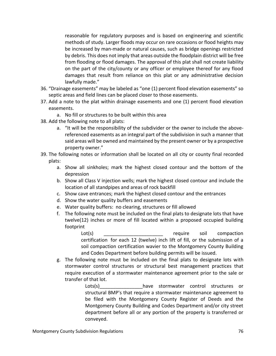reasonable for regulatory purposes and is based on engineering and scientific methods of study. Larger floods may occur on rare occasions or flood heights may be increased by man-made or natural causes, such as bridge openings restricted by debris. This does not imply that areas outside the floodplain district will be free from flooding or flood damages. The approval of this plat shall not create liability on the part of the city/county or any officer or employee thereof for any flood damages that result from reliance on this plat or any administrative decision lawfully made."

- 36. "Drainage easements" may be labeled as "one (1) percent flood elevation easements" so septic areas and field lines can be placed closer to those easements.
- 37. Add a note to the plat within drainage easements and one (1) percent flood elevation easements.
	- a. No fill or structures to be built within this area
- 38. Add the following note to all plats:
	- a. "It will be the responsibility of the subdivider or the owner to include the abovereferenced easements as an integral part of the subdivision in such a manner that said areas will be owned and maintained by the present owner or by a prospective property owner."
- 39. The following notes or information shall be located on all city or county final recorded plats:
	- a. Show all sinkholes; mark the highest closed contour and the bottom of the depression
	- b. Show all Class V injection wells; mark the highest closed contour and include the location of all standpipes and areas of rock backfill
	- c. Show cave entrances; mark the highest closed contour and the entrances
	- d. Show the water quality buffers and easements
	- e. Water quality buffers: no clearing, structures or fill allowed
	- f. The following note must be included on the final plats to designate lots that have twelve(12) inches or more of fill located within a proposed occupied building footprint

Lot(s) Lot(s) Lot(s) Lot(s) Lot(s) Lot(s) Lot(s) Lot(s) Lot(s) Lot(s) Lot(s) Lot(s) Lot(s) Lot(s) Lot(s) Lot(s) certification for each 12 (twelve) inch lift of fill, or the submission of a soil compaction certification wavier to the Montgomery County Building and Codes Department before building permits will be issued.

g. The following note must be included on the final plats to designate lots with stormwater control structures or structural best management practices that require execution of a stormwater maintenance agreement prior to the sale or transfer of that lot.

> Lots(s) The lots of the stormwater control structures or structural BMP's that require a stormwater maintenance agreement to be filed with the Montgomery County Register of Deeds and the Montgomery County Building and Codes Department and/or city street department before all or any portion of the property is transferred or conveyed.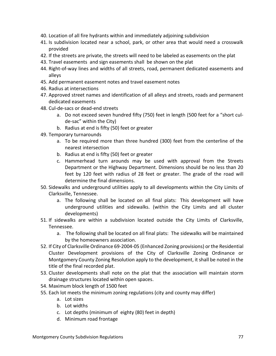- 40. Location of all fire hydrants within and immediately adjoining subdivision
- 41. Is subdivision located near a school, park, or other area that would need a crosswalk provided
- 42. If the streets are private, the streets will need to be labeled as easements on the plat
- 43. Travel easements and sign easements shall be shown on the plat
- 44. Right-of-way lines and widths of all streets, road, permanent dedicated easements and alleys
- 45. Add permanent easement notes and travel easement notes
- 46. Radius at intersections
- 47. Approved street names and identification of all alleys and streets, roads and permanent dedicated easements
- 48. Cul-de-sacs or dead-end streets
	- a. Do not exceed seven hundred fifty (750) feet in length (500 feet for a "short culde-sac" within the City)
	- b. Radius at end is fifty (50) feet or greater
- 49. Temporary turnarounds
	- a. To be required more than three hundred (300) feet from the centerline of the nearest intersection
	- b. Radius at end is fifty (50) feet or greater
	- c. Hammerhead turn arounds may be used with approval from the Streets Department or the Highway Department. Dimensions should be no less than 20 feet by 120 feet with radius of 28 feet or greater. The grade of the road will determine the final dimensions.
- 50. Sidewalks and underground utilities apply to all developments within the City Limits of Clarksville, Tennessee.
	- a. The following shall be located on all final plats: This development will have underground utilities and sidewalks. (within the City Limits and all cluster developments)
- 51. If sidewalks are within a subdivision located outside the City Limits of Clarksville, Tennessee.
	- a. The following shall be located on all final plats: The sidewalks will be maintained by the homeowners association.
- 52. If City of Clarksville Ordinance 69-2004-05 (Enhanced Zoning provisions) or the Residential Cluster Development provisions of the City of Clarksville Zoning Ordinance or Montgomery County Zoning Resolution apply to the development, it shall be noted in the title of the final recorded plat.
- 53. Cluster developments shall note on the plat that the association will maintain storm drainage structures located within open spaces.
- 54. Maximum block length of 1500 feet
- 55. Each lot meets the minimum zoning regulations (city and county may differ)
	- a. Lot sizes
	- b. Lot widths
	- c. Lot depths (minimum of eighty (80) feet in depth)
	- d. Minimum road frontage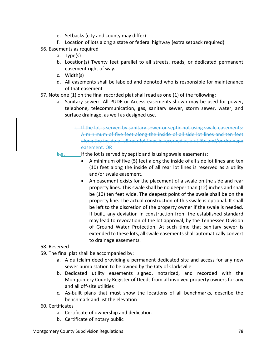- e. Setbacks (city and county may differ)
- f. Location of lots along a state or federal highway (extra setback required)
- 56. Easements as required
	- a. Type(s)
	- b. Location(s) Twenty feet parallel to all streets, roads, or dedicated permanent easement right of way.
	- c. Width(s)
	- d. All easements shall be labeled and denoted who is responsible for maintenance of that easement
- 57. Note one (1) on the final recorded plat shall read as one (1) of the following:
	- a. Sanitary sewer: All PUDE or Access easements shown may be used for power, telephone, telecommunication, gas, sanitary sewer, storm sewer, water, and surface drainage, as well as designed use.
		- i. If the lot is served by sanitary sewer or septic not using swale easements: A minimum of five feet along the inside of all side lot lines and ten feet along the inside of all rear lot lines is reserved as a utility and/or drainage easement. OR
	- b<sub>ra</sub>. If the lot is served by septic and is using swale easements:
		- A minimum of five (5) feet along the inside of all side lot lines and ten (10) feet along the inside of all rear lot lines is reserved as a utility and/or swale easement.
		- An easement exists for the placement of a swale on the side and rear property lines. This swale shall be no deeper than (12) inches and shall be (10) ten feet wide. The deepest point of the swale shall be on the property line. The actual construction of this swale is optional. It shall be left to the discretion of the property owner if the swale is needed. If built, any deviation in construction from the established standard may lead to revocation of the lot approval, by the Tennessee Division of Ground Water Protection. At such time that sanitary sewer is extended to these lots, all swale easements shall automatically convert to drainage easements.
- 58. Reserved
- 59. The final plat shall be accompanied by:
	- a. A quitclaim deed providing a permanent dedicated site and access for any new sewer pump station to be owned by the City of Clarksville
	- b. Dedicated utility easements signed, notarized, and recorded with the Montgomery County Register of Deeds from all involved property owners for any and all off-site utilities
	- c. As-built plans that must show the locations of all benchmarks, describe the benchmark and list the elevation
- 60. Certificates
	- a. Certificate of ownership and dedication
	- b. Certificate of notary public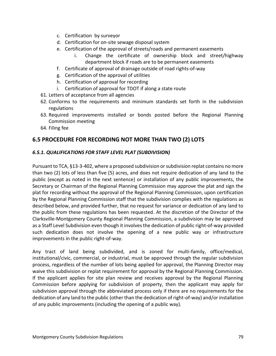- c. Certification by surveyor
- d. Certification for on-site sewage disposal system
- e. Certification of the approval of streets/roads and permanent easements
	- i. Change the certificate of ownership block and street/highway department block if roads are to be permanent easements
- f. Certificate of approval of drainage outside of road rights-of-way
- g. Certification of the approval of utilities
- h. Certification of approval for recording
- i. Certification of approval for TDOT if along a state route
- 61. Letters of acceptance from all agencies
- 62. Conforms to the requirements and minimum standards set forth in the subdivision regulations
- 63. Required improvements installed or bonds posted before the Regional Planning Commission meeting
- 64. Filing fee

## **6.5 PROCEDURE FOR RECORDING NOT MORE THAN TWO (2) LOTS**

#### *6.5.1. QUALIFICATIONS FOR STAFF LEVEL PLAT (SUBDIVISION)*

Pursuant to TCA, §13-3-402, where a proposed subdivision or subdivision replat contains no more than two (2) lots of less than five (5) acres, and does not require dedication of any land to the public (except as noted in the next sentence) or installation of any public improvements, the Secretary or Chairman of the Regional Planning Commission may approve the plat and sign the plat for recording without the approval of the Regional Planning Commission, upon certification by the Regional Planning Commission staff that the subdivision complies with the regulations as described below, and provided further, that no request for variance or dedication of any land to the public from these regulations has been requested. At the discretion of the Director of the Clarksville-Montgomery County Regional Planning Commission, a subdivision may be approved as a Staff Level Subdivision even though it involves the dedication of public right-of-way provided such dedication does not involve the opening of a new public way or infrastructure improvements in the public right-of-way.

Any tract of land being subdivided, and is zoned for multi-family, office/medical, institutional/civic, commercial, or industrial, must be approved through the regular subdivision process, regardless of the number of lots being applied for approval, the Planning Director may waive this subdivision or replat requirement for approval by the Regional Planning Commission. If the applicant applies for site plan review and receives approval by the Regional Planning Commission before applying for subdivision of property, then the applicant may apply for subdivision approval through the abbreviated process only if there are no requirements for the dedication of any land to the public (other than the dedication of right-of-way) and/or installation of any public improvements (including the opening of a public way).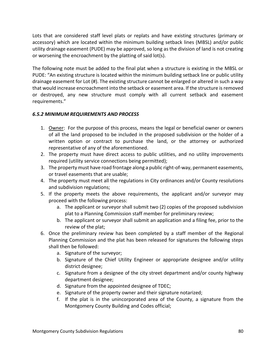Lots that are considered staff level plats or replats and have existing structures (primary or accessory) which are located within the minimum building setback lines (MBSL) and/or public utility drainage easement (PUDE) may be approved, so long as the division of land is not creating or worsening the encroachment by the platting of said lot(s).

The following note must be added to the final plat when a structure is existing in the MBSL or PUDE: "An existing structure is located within the minimum building setback line or public utility drainage easement for Lot (#). The existing structure cannot be enlarged or altered in such a way that would increase encroachment into the setback or easement area. If the structure is removed or destroyed, any new structure must comply with all current setback and easement requirements."

#### *6.5.2 MINIMUM REQUIREMENTS AND PROCESS*

- 1. Owner: For the purpose of this process, means the legal or beneficial owner or owners of all the land proposed to be included in the proposed subdivision or the holder of a written option or contract to purchase the land, or the attorney or authorized representative of any of the aforementioned.
- 2. The property must have direct access to public utilities, and no utility improvements required (utility service connections being permitted);
- 3. The property must have road frontage along a public right-of-way, permanent easements, or travel easements that are usable;
- 4. The property must meet all the regulations in City ordinances and/or County resolutions and subdivision regulations;
- 5. If the property meets the above requirements, the applicant and/or surveyor may proceed with the following process:
	- a. The applicant or surveyor shall submit two (2) copies of the proposed subdivision plat to a Planning Commission staff member for preliminary review;
	- b. The applicant or surveyor shall submit an application and a filing fee, prior to the review of the plat;
- 6. Once the preliminary review has been completed by a staff member of the Regional Planning Commission and the plat has been released for signatures the following steps shall then be followed:
	- a. Signature of the surveyor;
	- b. Signature of the Chief Utility Engineer or appropriate designee and/or utility district designee;
	- c. Signature from a designee of the city street department and/or county highway department designee;
	- d. Signature from the appointed designee of TDEC;
	- e. Signature of the property owner and their signature notarized;
	- f. If the plat is in the unincorporated area of the County, a signature from the Montgomery County Building and Codes official;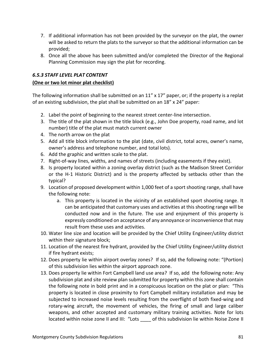- 7. If additional information has not been provided by the surveyor on the plat, the owner will be asked to return the plats to the surveyor so that the additional information can be provided;
- 8. Once all the above has been submitted and/or completed the Director of the Regional Planning Commission may sign the plat for recording.

## *6.5.3 STAFF LEVEL PLAT CONTENT*

## **(One or two lot minor plat checklist)**

The following information shall be submitted on an 11" x 17" paper, or; if the property is a replat of an existing subdivision, the plat shall be submitted on an 18" x 24" paper:

- 2. Label the point of beginning to the nearest street center-line intersection.
- 3. The title of the plat shown in the title block (e.g., John Doe property, road name, and lot number) title of the plat must match current owner
- 4. The north arrow on the plat
- 5. Add all title block information to the plat (date, civil district, total acres, owner's name, owner's address and telephone number, and total lots).
- 6. Add the graphic and written scale to the plat.
- 7. Right-of-way lines, widths, and names of streets (including easements if they exist).
- 8. Is property located within a zoning overlay district (such as the Madison Street Corridor or the H-1 Historic District) and is the property affected by setbacks other than the typical?
- 9. Location of proposed development within 1,000 feet of a sport shooting range, shall have the following note:
	- a. This property is located in the vicinity of an established sport shooting range. It can be anticipated that customary uses and activities at this shooting range will be conducted now and in the future. The use and enjoyment of this property is expressly conditioned on acceptance of any annoyance or inconvenience that may result from these uses and activities.
- 10. Water line size and location will be provided by the Chief Utility Engineer/utility district within their signature block;
- 11. Location of the nearest fire hydrant, provided by the Chief Utility Engineer/utility district if fire hydrant exists;
- 12. Does property lie within airport overlay zones? If so, add the following note: "(Portion) of this subdivision lies within the airport approach zone.
- 13. Does property lie within Fort Campbell land use area? If so, add the following note: Any subdivision plat and site review plan submitted for property within this zone shall contain the following note in bold print and in a conspicuous location on the plat or plan: "This property is located in close proximity to Fort Campbell military installation and may be subjected to increased noise levels resulting from the overflight of both fixed-wing and rotary-wing aircraft, the movement of vehicles, the firing of small and large caliber weapons, and other accepted and customary military training activities. Note for lots located within noise zone II and III: "Lots \_\_\_\_ of this subdivision lie within Noise Zone II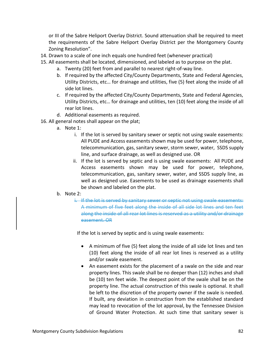or III of the Sabre Heliport Overlay District. Sound attenuation shall be required to meet the requirements of the Sabre Heliport Overlay District per the Montgomery County Zoning Resolution".

- 14. Drawn to a scale of one inch equals one hundred feet (whenever practical)
- 15. All easements shall be located, dimensioned, and labeled as to purpose on the plat.
	- a. Twenty (20) feet from and parallel to nearest right-of-way line.
	- b. If required by the affected City/County Departments, State and Federal Agencies, Utility Districts, etc… for drainage and utilities, five (5) feet along the inside of all side lot lines.
	- c. If required by the affected City/County Departments, State and Federal Agencies, Utility Districts, etc… for drainage and utilities, ten (10) feet along the inside of all rear lot lines.
	- d. Additional easements as required.
- 16. All general notes shall appear on the plat;
	- a. Note 1:
		- i. If the lot is served by sanitary sewer or septic not using swale easements: All PUDE and Access easements shown may be used for power, telephone, telecommunication, gas, sanitary sewer, storm sewer, water, SSDS supply line, and surface drainage, as well as designed use. OR
		- ii. If the lot is served by septic and is using swale easements: All PUDE and Access easements shown may be used for power, telephone, telecommunication, gas, sanitary sewer, water, and SSDS supply line, as well as designed use. Easements to be used as drainage easements shall be shown and labeled on the plat.
	- b. Note 2:
		- i. If the lot is served by sanitary sewer or septic not using swale easeme A minimum of five feet along the inside of all side lot lines and ten feet along the inside of all rear lot lines is reserved as a utility and/or drainage easement. OR

If the lot is served by septic and is using swale easements:

- A minimum of five (5) feet along the inside of all side lot lines and ten (10) feet along the inside of all rear lot lines is reserved as a utility and/or swale easement.
- An easement exists for the placement of a swale on the side and rear property lines. This swale shall be no deeper than (12) inches and shall be (10) ten feet wide. The deepest point of the swale shall be on the property line. The actual construction of this swale is optional. It shall be left to the discretion of the property owner if the swale is needed. If built, any deviation in construction from the established standard may lead to revocation of the lot approval, by the Tennessee Division of Ground Water Protection. At such time that sanitary sewer is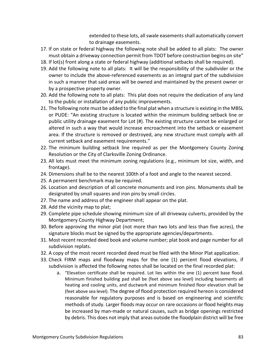extended to these lots, all swale easements shall automatically convert to drainage easements.

- 17. If on state or federal highway the following note shall be added to all plats: The owner must obtain a driveway connection permit from TDOT before construction begins on site"
- 18. If lot(s) front along a state or federal highway (additional setbacks shall be required).
- 19. Add the following note to all plats: It will be the responsibility of the subdivider or the owner to include the above-referenced easements as an integral part of the subdivision in such a manner that said areas will be owned and maintained by the present owner or by a prospective property owner.
- 20. Add the following note to all plats: This plat does not require the dedication of any land to the public or installation of any public improvements.
- 21. The following note must be added to the final plat when a structure is existing in the MBSL or PUDE: "An existing structure is located within the minimum building setback line or public utility drainage easement for Lot (#). The existing structure cannot be enlarged or altered in such a way that would increase encroachment into the setback or easement area. If the structure is removed or destroyed, any new structure must comply with all current setback and easement requirements."
- 22. The minimum building setback line required as per the Montgomery County Zoning Resolution or the City of Clarksville Zoning Ordinance.
- 23. All lots must meet the minimum zoning regulations (e.g., minimum lot size, width, and frontage).
- 24. Dimensions shall be to the nearest 100th of a foot and angle to the nearest second.
- 25. A permanent benchmark may be required.
- 26. Location and description of all concrete monuments and iron pins. Monuments shall be designated by small squares and iron pins by small circles.
- 27. The name and address of the engineer shall appear on the plat.
- 28. Add the vicinity map to plat;
- 29. Complete pipe schedule showing minimum size of all driveway culverts, provided by the Montgomery County Highway Department;
- 30. Before approving the minor plat (not more than two lots and less than five acres), the signature blocks must be signed by the appropriate agencies/departments.
- 31. Most recent recorded deed book and volume number; plat book and page number for all subdivision replats.
- 32. A copy of the most recent recorded deed must be filed with the Minor Plat application.
- 33. Check FIRM maps and floodway maps for the one (1) percent flood elevations, if subdivision is affected the following notes shall be located on the final recorded plat:
	- a. "Elevation certificate shall be required. Lot lies within the one (1) percent base flood. Minimum finished building pad shall be (feet above sea level) including basements all heating and cooling units, and ductwork and minimum finished floor elevation shall be (feet above sea level). The degree of flood protection required hereon is considered reasonable for regulatory purposes and is based on engineering and scientific methods of study. Larger floods may occur on rare occasions or flood heights may be increased by man-made or natural causes, such as bridge openings restricted by debris. This does not imply that areas outside the floodplain district will be free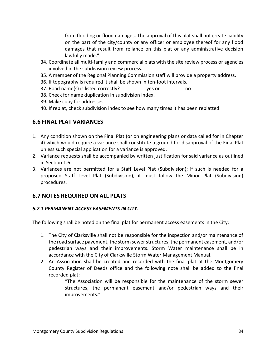from flooding or flood damages. The approval of this plat shall not create liability on the part of the city/county or any officer or employee thereof for any flood damages that result from reliance on this plat or any administrative decision lawfully made."

- 34. Coordinate all multi-family and commercial plats with the site review process or agencies involved in the subdivision review process.
- 35. A member of the Regional Planning Commission staff will provide a property address.
- 36. If topography is required it shall be shown in ten-foot intervals.
- 37. Road name(s) is listed correctly? The ves or the mo
- 38. Check for name duplication in subdivision index.
- 39. Make copy for addresses.
- 40. If replat, check subdivision index to see how many times it has been replatted.

# **6.6 FINAL PLAT VARIANCES**

- 1. Any condition shown on the Final Plat (or on engineering plans or data called for in Chapter 4) which would require a variance shall constitute a ground for disapproval of the Final Plat unless such special application for a variance is approved.
- 2. Variance requests shall be accompanied by written justification for said variance as outlined in Section 1.6.
- 3. Variances are not permitted for a Staff Level Plat (Subdivision); if such is needed for a proposed Staff Level Plat (Subdivision), it must follow the Minor Plat (Subdivision) procedures.

# **6.7 NOTES REQUIRED ON ALL PLATS**

## *6.7.1 PERMANENT ACCESS EASEMENTS IN CITY.*

The following shall be noted on the final plat for permanent access easements in the City:

- 1. The City of Clarksville shall not be responsible for the inspection and/or maintenance of the road surface pavement, the storm sewer structures, the permanent easement, and/or pedestrian ways and their improvements. Storm Water maintenance shall be in accordance with the City of Clarksville Storm Water Management Manual.
- 2. An Association shall be created and recorded with the final plat at the Montgomery County Register of Deeds office and the following note shall be added to the final recorded plat:

"The Association will be responsible for the maintenance of the storm sewer structures, the permanent easement and/or pedestrian ways and their improvements."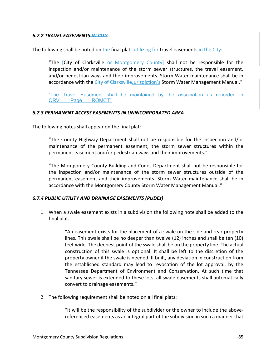#### *6.7.2 TRAVEL EASEMENTS IN CITY*

The following shall be noted on the final plats utilizing for travel easements in the City:

"The [City of Clarksville or Montgomery County] shall not be responsible for the inspection and/or maintenance of the storm sewer structures, the travel easement, and/or pedestrian ways and their improvements. Storm Water maintenance shall be in accordance with the City of ClarksvilleJurisdiction's Storm Water Management Manual."

"The Travel Easement shall be maintained by the association as recorded in ORV Page ROMCT"

#### *6.7.3 PERMANENT ACCESS EASEMENTS IN UNINCORPORATED AREA*

The following notes shall appear on the final plat:

"The County Highway Department shall not be responsible for the inspection and/or maintenance of the permanent easement, the storm sewer structures within the permanent easement and/or pedestrian ways and their improvements."

"The Montgomery County Building and Codes Department shall not be responsible for the inspection and/or maintenance of the storm sewer structures outside of the permanent easement and their improvements. Storm Water maintenance shall be in accordance with the Montgomery County Storm Water Management Manual."

#### *6.7.4 PUBLIC UTILITY AND DRAINAGE EASEMENTS (PUDEs)*

1. When a swale easement exists in a subdivision the following note shall be added to the final plat.

> "An easement exists for the placement of a swale on the side and rear property lines. This swale shall be no deeper than twelve (12) inches and shall be ten (10) feet wide. The deepest point of the swale shall be on the property line. The actual construction of this swale is optional. It shall be left to the discretion of the property owner if the swale is needed. If built, any deviation in construction from the established standard may lead to revocation of the lot approval, by the Tennessee Department of Environment and Conservation. At such time that sanitary sewer is extended to these lots, all swale easements shall automatically convert to drainage easements."

2. The following requirement shall be noted on all final plats:

"It will be the responsibility of the subdivider or the owner to include the abovereferenced easements as an integral part of the subdivision in such a manner that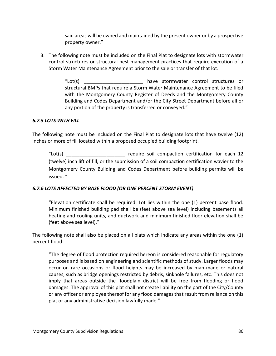said areas will be owned and maintained by the present owner or by a prospective property owner."

3. The following note must be included on the Final Plat to designate lots with stormwater control structures or structural best management practices that require execution of a Storm Water Maintenance Agreement prior to the sale or transfer of that lot.

> "Lot(s) \_\_\_\_\_\_\_\_\_\_\_\_\_\_\_\_\_\_\_\_\_\_ have stormwater control structures or structural BMPs that require a Storm Water Maintenance Agreement to be filed with the Montgomery County Register of Deeds and the Montgomery County Building and Codes Department and/or the City Street Department before all or any portion of the property is transferred or conveyed."

#### *6.7.5 LOTS WITH FILL*

The following note must be included on the Final Plat to designate lots that have twelve (12) inches or more of fill located within a proposed occupied building footprint.

"Lot(s) \_\_\_\_\_\_\_\_\_\_\_\_\_\_\_\_\_\_\_\_\_\_ require soil compaction certification for each 12 (twelve) inch lift of fill, or the submission of a soil compaction certification wavier to the Montgomery County Building and Codes Department before building permits will be issued. "

#### *6.7.6 LOTS AFFECTED BY BASE FLOOD (OR ONE PERCENT STORM EVENT)*

"Elevation certificate shall be required. Lot lies within the one (1) percent base flood. Minimum finished building pad shall be (feet above sea level) including basements all heating and cooling units, and ductwork and minimum finished floor elevation shall be (feet above sea level)."

The following note shall also be placed on all plats which indicate any areas within the one (1) percent flood:

"The degree of flood protection required hereon is considered reasonable for regulatory purposes and is based on engineering and scientific methods of study. Larger floods may occur on rare occasions or flood heights may be increased by man-made or natural causes, such as bridge openings restricted by debris, sinkhole failures, etc. This does not imply that areas outside the floodplain district will be free from flooding or flood damages. The approval of this plat shall not create liability on the part of the City/County or any officer or employee thereof for any flood damages that result from reliance on this plat or any administrative decision lawfully made."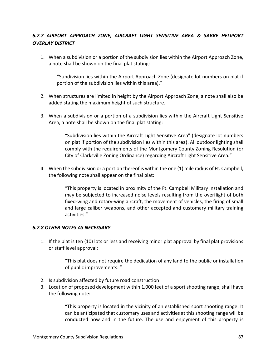# *6.7.7 AIRPORT APPROACH ZONE, AIRCRAFT LIGHT SENSITIVE AREA & SABRE HELIPORT OVERLAY DISTRICT*

1. When a subdivision or a portion of the subdivision lies within the Airport Approach Zone, a note shall be shown on the final plat stating:

"Subdivision lies within the Airport Approach Zone (designate lot numbers on plat if portion of the subdivision lies within this area)."

- 2. When structures are limited in height by the Airport Approach Zone, a note shall also be added stating the maximum height of such structure.
- 3. When a subdivision or a portion of a subdivision lies within the Aircraft Light Sensitive Area, a note shall be shown on the final plat stating:

"Subdivision lies within the Aircraft Light Sensitive Area" (designate lot numbers on plat if portion of the subdivision lies within this area). All outdoor lighting shall comply with the requirements of the Montgomery County Zoning Resolution (or City of Clarksville Zoning Ordinance) regarding Aircraft Light Sensitive Area."

4. When the subdivision or a portion thereof is within the one (1) mile radius of Ft. Campbell, the following note shall appear on the final plat:

> "This property is located in proximity of the Ft. Campbell Military Installation and may be subjected to increased noise levels resulting from the overflight of both fixed-wing and rotary-wing aircraft, the movement of vehicles, the firing of small and large caliber weapons, and other accepted and customary military training activities."

#### *6.7.8 OTHER NOTES AS NECESSARY*

1. If the plat is ten (10) lots or less and receiving minor plat approval by final plat provisions or staff level approval:

> "This plat does not require the dedication of any land to the public or installation of public improvements. "

- 2. Is subdivision affected by future road construction
- 3. Location of proposed development within 1,000 feet of a sport shooting range, shall have the following note:

"This property is located in the vicinity of an established sport shooting range. It can be anticipated that customary uses and activities at this shooting range will be conducted now and in the future. The use and enjoyment of this property is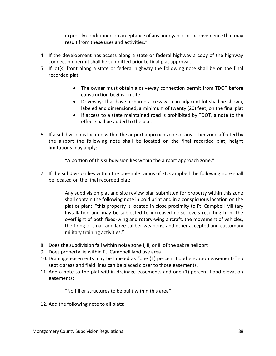expressly conditioned on acceptance of any annoyance or inconvenience that may result from these uses and activities."

- 4. If the development has access along a state or federal highway a copy of the highway connection permit shall be submitted prior to final plat approval.
- 5. If lot(s) front along a state or federal highway the following note shall be on the final recorded plat:
	- The owner must obtain a driveway connection permit from TDOT before construction begins on site
	- Driveways that have a shared access with an adjacent lot shall be shown, labeled and dimensioned, a minimum of twenty (20) feet, on the final plat
	- If access to a state maintained road is prohibited by TDOT, a note to the effect shall be added to the plat.
- 6. If a subdivision is located within the airport approach zone or any other zone affected by the airport the following note shall be located on the final recorded plat, height limitations may apply:

"A portion of this subdivision lies within the airport approach zone."

7. If the subdivision lies within the one-mile radius of Ft. Campbell the following note shall be located on the final recorded plat:

> Any subdivision plat and site review plan submitted for property within this zone shall contain the following note in bold print and in a conspicuous location on the plat or plan: "this property is located in close proximity to Ft. Campbell Military Installation and may be subjected to increased noise levels resulting from the overflight of both fixed-wing and rotary-wing aircraft, the movement of vehicles, the firing of small and large caliber weapons, and other accepted and customary military training activities."

- 8. Does the subdivision fall within noise zone i, ii, or iii of the sabre heliport
- 9. Does property lie within Ft. Campbell land use area
- 10. Drainage easements may be labeled as "one (1) percent flood elevation easements" so septic areas and field lines can be placed closer to those easements.
- 11. Add a note to the plat within drainage easements and one (1) percent flood elevation easements:

"No fill or structures to be built within this area"

12. Add the following note to all plats: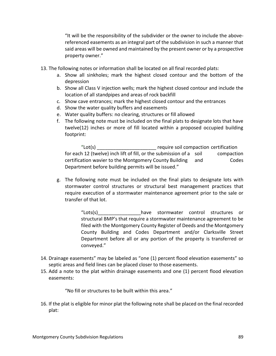"It will be the responsibility of the subdivider or the owner to include the abovereferenced easements as an integral part of the subdivision in such a manner that said areas will be owned and maintained by the present owner or by a prospective property owner."

- 13. The following notes or information shall be located on all final recorded plats:
	- a. Show all sinkholes; mark the highest closed contour and the bottom of the depression
	- b. Show all Class V injection wells; mark the highest closed contour and include the location of all standpipes and areas of rock backfill
	- c. Show cave entrances; mark the highest closed contour and the entrances
	- d. Show the water quality buffers and easements
	- e. Water quality buffers: no clearing, structures or fill allowed
	- f. The following note must be included on the final plats to designate lots that have twelve(12) inches or more of fill located within a proposed occupied building footprint:

"Lot(s) \_\_\_\_\_\_\_\_\_\_\_\_\_\_\_\_\_\_\_\_\_\_ require soil compaction certification for each 12 (twelve) inch lift of fill, or the submission of a soil compaction certification wavier to the Montgomery County Building and Codes Department before building permits will be issued."

g. The following note must be included on the final plats to designate lots with stormwater control structures or structural best management practices that require execution of a stormwater maintenance agreement prior to the sale or transfer of that lot.

> "Lots(s)\_\_\_\_\_\_\_\_\_\_\_\_\_\_\_\_have stormwater control structures or structural BMP's that require a stormwater maintenance agreement to be filed with the Montgomery County Register of Deeds and the Montgomery County Building and Codes Department and/or Clarksville Street Department before all or any portion of the property is transferred or conveyed."

- 14. Drainage easements" may be labeled as "one (1) percent flood elevation easements" so septic areas and field lines can be placed closer to those easements.
- 15. Add a note to the plat within drainage easements and one (1) percent flood elevation easements:

"No fill or structures to be built within this area."

16. If the plat is eligible for minor plat the following note shall be placed on the final recorded plat: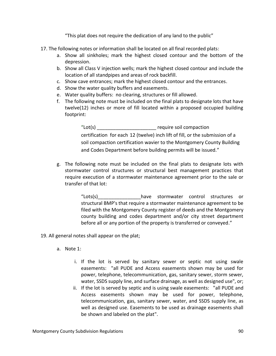"This plat does not require the dedication of any land to the public"

- 17. The following notes or information shall be located on all final recorded plats:
	- a. Show all sinkholes; mark the highest closed contour and the bottom of the depression.
	- b. Show all Class V injection wells; mark the highest closed contour and include the location of all standpipes and areas of rock backfill.
	- c. Show cave entrances; mark the highest closed contour and the entrances.
	- d. Show the water quality buffers and easements.
	- e. Water quality buffers: no clearing, structures or fill allowed.
	- f. The following note must be included on the final plats to designate lots that have twelve(12) inches or more of fill located within a proposed occupied building footprint:

"Lot(s) \_\_\_\_\_\_\_\_\_\_\_\_\_\_\_\_\_\_\_\_\_\_ require soil compaction certification for each 12 (twelve) inch lift of fill, or the submission of a soil compaction certification wavier to the Montgomery County Building and Codes Department before building permits will be issued."

g. The following note must be included on the final plats to designate lots with stormwater control structures or structural best management practices that require execution of a stormwater maintenance agreement prior to the sale or transfer of that lot:

> "Lots(s)\_\_\_\_\_\_\_\_\_\_\_\_\_\_\_\_have stormwater control structures or structural BMP's that require a stormwater maintenance agreement to be filed with the Montgomery County register of deeds and the Montgomery county building and codes department and/or city street department before all or any portion of the property is transferred or conveyed."

- 19. All general notes shall appear on the plat;
	- a. Note 1:
		- i. If the lot is served by sanitary sewer or septic not using swale easements: "all PUDE and Access easements shown may be used for power, telephone, telecommunication, gas, sanitary sewer, storm sewer, water, SSDS supply line, and surface drainage, as well as designed use", or;
		- ii. If the lot is served by septic and is using swale easements: "all PUDE and Access easements shown may be used for power, telephone, telecommunication, gas, sanitary sewer, water, and SSDS supply line, as well as designed use. Easements to be used as drainage easements shall be shown and labeled on the plat".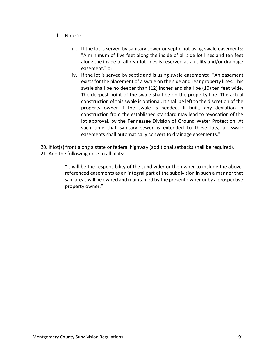- b. Note 2:
	- iii. If the lot is served by sanitary sewer or septic not using swale easements: "A minimum of five feet along the inside of all side lot lines and ten feet along the inside of all rear lot lines is reserved as a utility and/or drainage easement." or;
	- iv. If the lot is served by septic and is using swale easements: "An easement exists for the placement of a swale on the side and rear property lines. This swale shall be no deeper than (12) inches and shall be (10) ten feet wide. The deepest point of the swale shall be on the property line. The actual construction of this swale is optional. It shall be left to the discretion of the property owner if the swale is needed. If built, any deviation in construction from the established standard may lead to revocation of the lot approval, by the Tennessee Division of Ground Water Protection. At such time that sanitary sewer is extended to these lots, all swale easements shall automatically convert to drainage easements."

20. If lot(s) front along a state or federal highway (additional setbacks shall be required). 21. Add the following note to all plats:

> "It will be the responsibility of the subdivider or the owner to include the abovereferenced easements as an integral part of the subdivision in such a manner that said areas will be owned and maintained by the present owner or by a prospective property owner."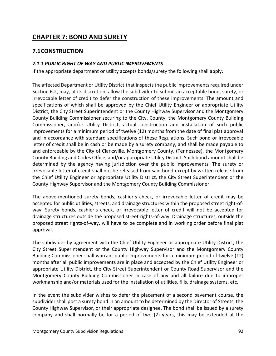# **CHAPTER 7: BOND AND SURETY**

# **7.1CONSTRUCTION**

#### *7.1.1 PUBLIC RIGHT OF WAY AND PUBLIC IMPROVEMENTS*

If the appropriate department or utility accepts bonds/surety the following shall apply:

The affected Department or Utility District that inspects the public improvements required under Section 6.2, may, at its discretion, allow the subdivider to submit an acceptable bond, surety, or irrevocable letter of credit to defer the construction of these improvements. The amount and specifications of which shall be approved by the Chief Utility Engineer or appropriate Utility District, the City Street Superintendent or the County Highway Supervisor and the Montgomery County Building Commissioner securing to the City, County, the Montgomery County Building Commissioner, and/or Utility District, actual construction and installation of such public improvements for a minimum period of twelve (12) months from the date of final plat approval and in accordance with standard specifications of these Regulations. Such bond or irrevocable letter of credit shall be in cash or be made by a surety company, and shall be made payable to and enforceable by the City of Clarksville, Montgomery County, (Tennessee), the Montgomery County Building and Codes Office, and/or appropriate Utility District. Such bond amount shall be determined by the agency having jurisdiction over the public improvements. The surety or irrevocable letter of credit shall not be released from said bond except by written release from the Chief Utility Engineer or appropriate Utility District, the City Street Superintendent or the County Highway Supervisor and the Montgomery County Building Commissioner.

The above-mentioned surety bonds, cashier's check, or irrevocable letter of credit may be accepted for public utilities, streets, and drainage structures within the proposed street right-ofway. Surety bonds, cashier's check, or irrevocable letter of credit will not be accepted for drainage structures outside the proposed street rights-of-way. Drainage structures, outside the proposed street rights-of-way, will have to be complete and in working order before final plat approval.

The subdivider by agreement with the Chief Utility Engineer or appropriate Utility District, the City Street Superintendent or the County Highway Supervisor and the Montgomery County Building Commissioner shall warrant public improvements for a minimum period of twelve (12) months after all public improvements are in place and accepted by the Chief Utility Engineer or appropriate Utility District, the City Street Superintendent or County Road Supervisor and the Montgomery County Building Commissioner in case of any and all failure due to improper workmanship and/or materials used for the installation of utilities, fills, drainage systems, etc.

In the event the subdivider wishes to defer the placement of a second pavement course, the subdivider shall post a surety bond in an amount to be determined by the Director of Streets, the County Highway Supervisor, or their appropriate designee. The bond shall be issued by a surety company and shall normally be for a period of two (2) years, this may be extended at the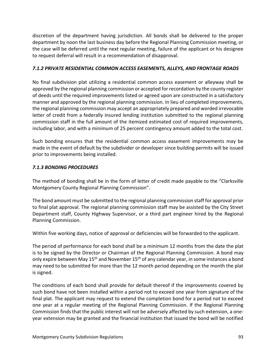discretion of the department having jurisdiction. All bonds shall be delivered to the proper department by noon the last business day before the Regional Planning Commission meeting, or the case will be deferred until the next regular meeting, failure of the applicant or his designee to request deferral will result in a recommendation of disapproval.

#### *7.1.2 PRIVATE RESIDENTIAL COMMON ACCESS EASEMENTS, ALLEYS, AND FRONTAGE ROADS*

No final subdivision plat utilizing a residential common access easement or alleyway shall be approved by the regional planning commission or accepted for recordation by the county register of deeds until the required improvements listed or agreed upon are constructed in a satisfactory manner and approved by the regional planning commission. In lieu of completed improvements, the regional planning commission may accept an appropriately prepared and worded irrevocable letter of credit from a federally insured lending institution submitted to the regional planning commission staff in the full amount of the itemized estimated cost of required improvements, including labor, and with a minimum of 25 percent contingency amount added to the total cost.

Such bonding ensures that the residential common access easement improvements may be made in the event of default by the subdivider or developer since building permits will be issued prior to improvements being installed.

#### *7.1.3 BONDING PROCEDURES*

The method of bonding shall be in the form of letter of credit made payable to the "Clarksville Montgomery County Regional Planning Commission".

The bond amount must be submitted to the regional planning commission staff for approval prior to final plat approval. The regional planning commission staff may be assisted by the City Street Department staff, County Highway Supervisor, or a third part engineer hired by the Regional Planning Commission.

Within five working days, notice of approval or deficiencies will be forwarded to the applicant.

The period of performance for each bond shall be a minimum 12 months from the date the plat is to be signed by the Director or Chairman of the Regional Planning Commission. A bond may only expire between May  $15<sup>th</sup>$  and November  $15<sup>th</sup>$  of any calendar year, in some instances a bond may need to be submitted for more than the 12 month period depending on the month the plat is signed.

The conditions of each bond shall provide for default thereof if the improvements covered by such bond have not been installed within a period not to exceed one year from signature of the final plat. The applicant may request to extend the completion bond for a period not to exceed one year at a regular meeting of the Regional Planning Commission. If the Regional Planning Commission finds that the public interest will not be adversely affected by such extension, a oneyear extension may be granted and the financial institution that issued the bond will be notified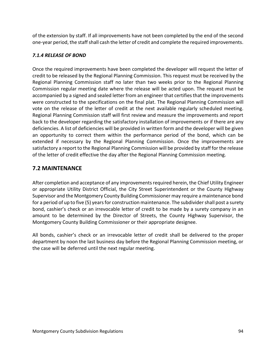of the extension by staff. If all improvements have not been completed by the end of the second one-year period, the staff shall cash the letter of credit and complete the required improvements.

## *7.1.4 RELEASE OF BOND*

Once the required improvements have been completed the developer will request the letter of credit to be released by the Regional Planning Commission. This request must be received by the Regional Planning Commission staff no later than two weeks prior to the Regional Planning Commission regular meeting date where the release will be acted upon. The request must be accompanied by a signed and sealed letter from an engineer that certifies that the improvements were constructed to the specifications on the final plat. The Regional Planning Commission will vote on the release of the letter of credit at the next available regularly scheduled meeting. Regional Planning Commission staff will first review and measure the improvements and report back to the developer regarding the satisfactory installation of improvements or if there are any deficiencies. A list of deficiencies will be provided in written form and the developer will be given an opportunity to correct them within the performance period of the bond, which can be extended if necessary by the Regional Planning Commission. Once the improvements are satisfactory a report to the Regional Planning Commission will be provided by staff for the release of the letter of credit effective the day after the Regional Planning Commission meeting.

# **7.2 MAINTENANCE**

After completion and acceptance of any improvements required herein, the Chief Utility Engineer or appropriate Utility District Official, the City Street Superintendent or the County Highway Supervisor and the Montgomery County Building Commissioner may require a maintenance bond for a period of up to five (5) years for construction maintenance. The subdivider shall post a surety bond, cashier's check or an irrevocable letter of credit to be made by a surety company in an amount to be determined by the Director of Streets, the County Highway Supervisor, the Montgomery County Building Commissioner or their appropriate designee.

All bonds, cashier's check or an irrevocable letter of credit shall be delivered to the proper department by noon the last business day before the Regional Planning Commission meeting, or the case will be deferred until the next regular meeting.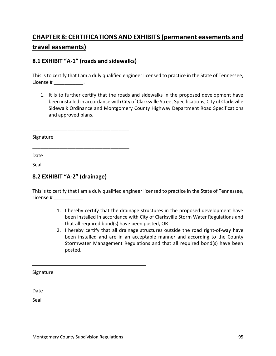# **CHAPTER 8: CERTIFICATIONS AND EXHIBITS (permanent easements and travel easements)**

## **8.1 EXHIBIT "A-1" (roads and sidewalks)**

\_\_\_\_\_\_\_\_\_\_\_\_\_\_\_\_\_\_\_\_\_\_\_\_\_\_\_\_\_\_\_\_\_\_\_\_

\_\_\_\_\_\_\_\_\_\_\_\_\_\_\_\_\_\_\_\_\_\_\_\_\_\_\_\_\_\_\_\_\_\_\_\_

This is to certify that I am a duly qualified engineer licensed to practice in the State of Tennessee, License #  $\qquad \qquad$ 

1. It is to further certify that the roads and sidewalks in the proposed development have been installed in accordance with City of Clarksville Street Specifications, City of Clarksville Sidewalk Ordinance and Montgomery County Highway Department Road Specifications and approved plans.

Signature

Date

Seal

## **8.2 EXHIBIT "A-2" (drainage)**

This is to certify that I am a duly qualified engineer licensed to practice in the State of Tennessee, License #  $\qquad \qquad \ldots$ 

- 1. I hereby certify that the drainage structures in the proposed development have been installed in accordance with City of Clarksville Storm Water Regulations and that all required bond(s) have been posted, OR
- 2. I hereby certify that all drainage structures outside the road right-of-way have been installed and are in an acceptable manner and according to the County Stormwater Management Regulations and that all required bond(s) have been posted.

Signature

Date

Seal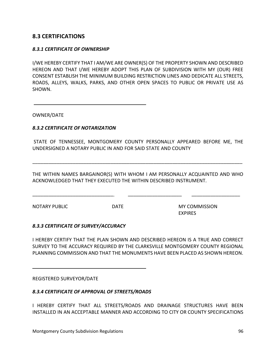## **8.3 CERTIFICATIONS**

#### *8.3.1 CERTIFICATE OF OWNERSHIP*

I/WE HEREBY CERTIFY THAT I AM/WE ARE OWNER(S) OF THE PROPERTY SHOWN AND DESCRIBED HEREON AND THAT I/WE HEREBY ADOPT THIS PLAN OF SUBDIVISION WITH MY (OUR) FREE CONSENT ESTABLISH THE MINIMUM BUILDING RESTRICTION LINES AND DEDICATE ALL STREETS, ROADS, ALLEYS, WALKS, PARKS, AND OTHER OPEN SPACES TO PUBLIC OR PRIVATE USE AS SHOWN.

OWNER/DATE

#### *8.3.2 CERTIFICATE OF NOTARIZATION*

STATE OF TENNESSEE, MONTGOMERY COUNTY PERSONALLY APPEARED BEFORE ME, THE UNDERSIGNED A NOTARY PUBLIC IN AND FOR SAID STATE AND COUNTY

THE WITHIN NAMES BARGAINOR(S) WITH WHOM I AM PERSONALLY ACQUAINTED AND WHO ACKNOWLEDGED THAT THEY EXECUTED THE WITHIN DESCRIBED INSTRUMENT.

\_\_\_\_\_\_\_\_\_\_\_\_\_\_\_\_\_\_\_\_\_\_\_\_\_\_\_\_\_\_ \_\_\_\_\_\_\_\_\_\_\_\_\_\_\_\_\_\_\_\_ \_\_\_\_\_\_\_\_\_\_\_\_\_\_\_\_\_\_

\_\_\_\_\_\_\_\_\_\_\_\_\_\_\_\_\_\_\_\_\_\_\_\_\_\_\_\_\_\_\_\_\_\_\_\_\_\_\_\_\_\_\_\_\_\_\_\_\_\_\_\_\_\_\_\_\_\_\_\_\_\_\_\_\_\_\_\_\_\_\_\_\_\_\_\_\_\_

NOTARY PUBLIC **DATE DATE** MY COMMISSION EXPIRES

#### *8.3.3 CERTIFICATE OF SURVEY/ACCURACY*

I HEREBY CERTIFY THAT THE PLAN SHOWN AND DESCRIBED HEREON IS A TRUE AND CORRECT SURVEY TO THE ACCURACY REQUIRED BY THE CLARKSVILLE MONTGOMERY COUNTY REGIONAL PLANNING COMMISSION AND THAT THE MONUMENTS HAVE BEEN PLACED AS SHOWN HEREON.

REGISTERED SURVEYOR/DATE

#### *8.3.4 CERTIFICATE OF APPROVAL OF STREETS/ROADS*

I HEREBY CERTIFY THAT ALL STREETS/ROADS AND DRAINAGE STRUCTURES HAVE BEEN INSTALLED IN AN ACCEPTABLE MANNER AND ACCORDING TO CITY OR COUNTY SPECIFICATIONS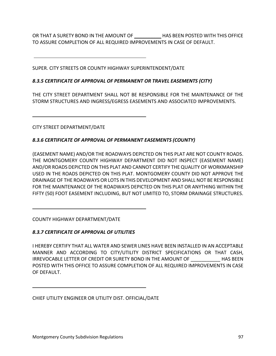OR THAT A SURETY BOND IN THE AMOUNT OF **HAS BEEN POSTED WITH THIS OFFICE** TO ASSURE COMPLETION OF ALL REQUIRED IMPROVEMENTS IN CASE OF DEFAULT.

SUPER. CITY STREETS OR COUNTY HIGHWAY SUPERINTENDENT/DATE

*8.3.5 CERTIFICATE OF APPROVAL OF PERMANENT OR TRAVEL EASEMENTS (CITY)*

THE CITY STREET DEPARTMENT SHALL NOT BE RESPONSIBLE FOR THE MAINTENANCE OF THE STORM STRUCTURES AND INGRESS/EGRESS EASEMENTS AND ASSOCIATED IMPROVEMENTS.

CITY STREET DEPARTMENT/DATE

#### *8.3.6 CERTIFICATE OF APPROVAL OF PERMANENT EASEMENTS (COUNTY)*

(EASEMENT NAME) AND/OR THE ROADWAYS DEPICTED ON THIS PLAT ARE NOT COUNTY ROADS. THE MONTGOMERY COUNTY HIGHWAY DEPARTMENT DID NOT INSPECT (EASEMENT NAME) AND/OR ROADS DEPICTED ON THIS PLAT AND CANNOT CERTIFY THE QUALITY OF WORKMANSHIP USED IN THE ROADS DEPICTED ON THIS PLAT. MONTGOMERY COUNTY DID NOT APPROVE THE DRAINAGE OF THE ROADWAYS OR LOTS IN THIS DEVELOPMENT AND SHALL NOT BE RESPONSIBLE FOR THE MAINTENANCE OF THE ROADWAYS DEPICTED ON THIS PLAT OR ANYTHING WITHIN THE FIFTY (50) FOOT EASEMENT INCLUDING, BUT NOT LIMITED TO, STORM DRAINAGE STRUCTURES.

COUNTY HIGHWAY DEPARTMENT/DATE

## *8.3.7 CERTIFICATE OF APPROVAL OF UTILITIES*

I HEREBY CERTIFY THAT ALL WATER AND SEWER LINES HAVE BEEN INSTALLED IN AN ACCEPTABLE MANNER AND ACCORDING TO CITY/UTILITY DISTRICT SPECIFICATIONS OR THAT CASH, IRREVOCABLE LETTER OF CREDIT OR SURETY BOND IN THE AMOUNT OF **THE HAS BEEN** POSTED WITH THIS OFFICE TO ASSURE COMPLETION OF ALL REQUIRED IMPROVEMENTS IN CASE OF DEFAULT.

CHIEF UTILITY ENGINEER OR UTILITY DIST. OFFICIAL/DATE